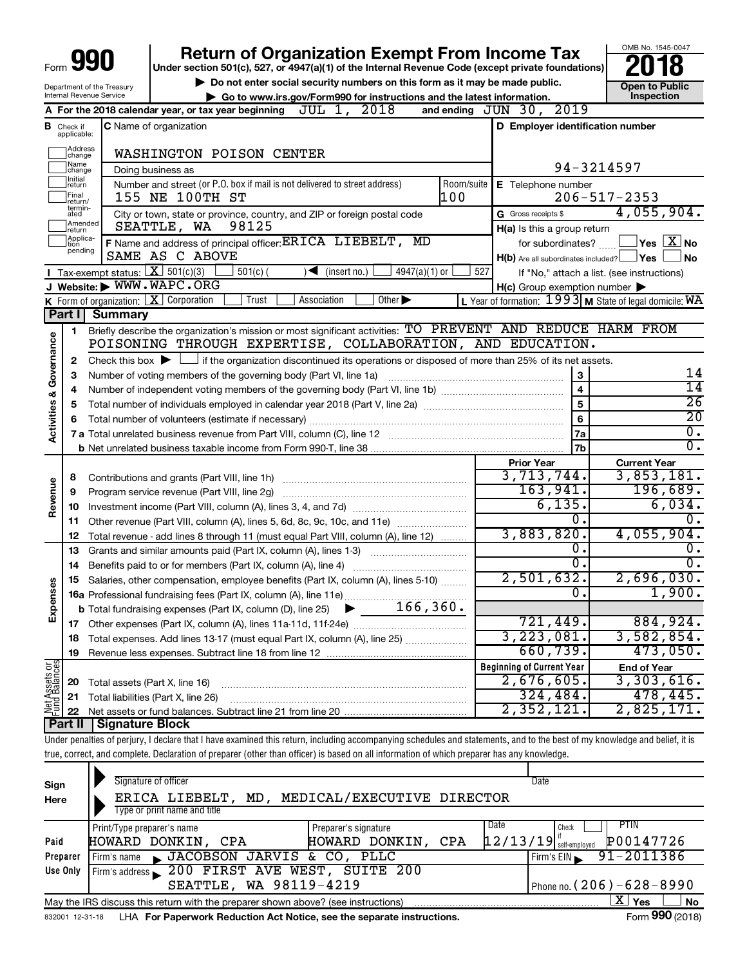| orm $\bigcup$ ( | 990 |  |
|-----------------|-----|--|
|                 |     |  |

# **990** Return of Organization Exempt From Income Tax **Punce 1845-004 Puncer section 501(c), 527, or 4947(a)(1)** of the Internal Revenue Code (except private foundations) **2018**

Department of the Treasury Internal Revenue Service

Form

▶ Do not enter social security numbers on this form as it may be made public. <br>**● Go to www.irs.gov/Form990 for instructions and the latest information.** Inspection **| Go to www.irs.gov/Form990 for instructions and the latest information. Inspection**

OMB No. 1545-0047

|                         |                               | JUL 1, 2018<br>A For the 2018 calendar year, or tax year beginning                                                                                                         | and ending JUN 30, 2019                                   |                                            |
|-------------------------|-------------------------------|----------------------------------------------------------------------------------------------------------------------------------------------------------------------------|-----------------------------------------------------------|--------------------------------------------|
|                         | <b>B</b> Check if applicable: | C Name of organization                                                                                                                                                     | D Employer identification number                          |                                            |
|                         | ]Address<br>]change           | WASHINGTON POISON CENTER                                                                                                                                                   |                                                           |                                            |
|                         | Name<br>change                | Doing business as                                                                                                                                                          |                                                           | 94-3214597                                 |
|                         | ]Initial<br>]return           | Room/suite<br>Number and street (or P.O. box if mail is not delivered to street address)                                                                                   | E Telephone number                                        |                                            |
|                         | Final<br>return/              | 100<br>155 NE 100TH ST                                                                                                                                                     |                                                           | $206 - 517 - 2353$                         |
|                         | termin-<br>ated               | City or town, state or province, country, and ZIP or foreign postal code                                                                                                   | G Gross receipts \$                                       | 4,055,904.                                 |
|                         | Amended<br>Ireturn            | 98125<br>SEATTLE, WA                                                                                                                                                       | H(a) Is this a group return                               |                                            |
|                         | Applica-<br>tion              | F Name and address of principal officer: ERICA LIEBELT, MD                                                                                                                 | for subordinates?                                         | $\sqrt{}$ Yes $\boxed{\text{X}}$ No        |
|                         | pending                       | SAME AS C ABOVE                                                                                                                                                            | $H(b)$ Are all subordinates included? $\Box$ Yes          | ⊿ No                                       |
|                         |                               | <b>I</b> Tax-exempt status: $X \ 501(c)(3)$<br>$501(c)$ (<br>$\sqrt{\bullet}$ (insert no.)<br>$4947(a)(1)$ or                                                              | 527                                                       | If "No," attach a list. (see instructions) |
|                         |                               | J Website: WWW.WAPC.ORG                                                                                                                                                    | $H(c)$ Group exemption number $\blacktriangleright$       |                                            |
|                         |                               | <b>K</b> Form of organization: $\boxed{\mathbf{X}}$ Corporation<br>Trust<br>Association<br>Other $\blacktriangleright$                                                     | L Year of formation: $1993$ M State of legal domicile: WA |                                            |
|                         | Part I                        | <b>Summary</b>                                                                                                                                                             |                                                           |                                            |
|                         | 1                             | Briefly describe the organization's mission or most significant activities: TO PREVENT AND REDUCE HARM FROM                                                                |                                                           |                                            |
|                         |                               | POISONING THROUGH EXPERTISE, COLLABORATION, AND EDUCATION.                                                                                                                 |                                                           |                                            |
| Governance              | 2                             | Check this box $\blacktriangleright$ $\Box$ if the organization discontinued its operations or disposed of more than 25% of its net assets.                                |                                                           | 14                                         |
|                         | З                             |                                                                                                                                                                            | 3<br>$\overline{4}$                                       | $\overline{14}$                            |
|                         | 4<br>5                        |                                                                                                                                                                            | $\overline{5}$                                            | $\overline{26}$                            |
|                         |                               |                                                                                                                                                                            | $\overline{6}$                                            | $\overline{20}$                            |
| <b>Activities &amp;</b> |                               |                                                                                                                                                                            | 7a                                                        | $\overline{0}$ .                           |
|                         |                               |                                                                                                                                                                            | 7b                                                        | $\overline{0}$ .                           |
|                         |                               |                                                                                                                                                                            | <b>Prior Year</b>                                         | <b>Current Year</b>                        |
|                         | 8                             |                                                                                                                                                                            | 3,713,744.                                                | 3,853,181.                                 |
|                         | 9                             | Program service revenue (Part VIII, line 2g)                                                                                                                               | 163,941.                                                  | 196,689.                                   |
| Revenue                 | 10                            |                                                                                                                                                                            | 6,135.                                                    | 6,034.                                     |
|                         | 11                            | Other revenue (Part VIII, column (A), lines 5, 6d, 8c, 9c, 10c, and 11e)                                                                                                   | $0$ .                                                     | 0.                                         |
|                         | 12                            | Total revenue - add lines 8 through 11 (must equal Part VIII, column (A), line 12)                                                                                         | 3,883,820.                                                | 4,055,904.                                 |
|                         | 13                            | Grants and similar amounts paid (Part IX, column (A), lines 1-3)                                                                                                           | $\overline{0}$ .                                          | Ο.                                         |
|                         | 14                            |                                                                                                                                                                            | $\overline{0}$ .                                          | $0$ .                                      |
|                         | 15                            | Salaries, other compensation, employee benefits (Part IX, column (A), lines 5-10)                                                                                          | 2,501,632.                                                | 2,696,030.                                 |
| Expenses                |                               |                                                                                                                                                                            | $\overline{0}$ .                                          | 1,900.                                     |
|                         |                               |                                                                                                                                                                            |                                                           |                                            |
|                         |                               |                                                                                                                                                                            | 721, 449.                                                 | 884,924.                                   |
|                         |                               | 18 Total expenses. Add lines 13-17 (must equal Part IX, column (A), line 25)                                                                                               | 3, 223, 081.<br>660, 739.                                 | 3,582,854.<br>473,050.                     |
|                         | 19                            |                                                                                                                                                                            |                                                           |                                            |
| Net Assets or           |                               |                                                                                                                                                                            | <b>Beginning of Current Year</b><br>2,676,605.            | <b>End of Year</b><br>3,303,616.           |
|                         | 20                            | Total assets (Part X, line 16)                                                                                                                                             | 324,484.                                                  | 478, 445.                                  |
|                         | 21                            | Total liabilities (Part X, line 26)                                                                                                                                        | 2,352,121.                                                | 2,825,171.                                 |
|                         | 22<br>Part II                 | Signature Block                                                                                                                                                            |                                                           |                                            |
|                         |                               | Under penalties of perjury, I declare that I have examined this return, including accompanying schedules and statements, and to the best of my knowledge and belief, it is |                                                           |                                            |

true, correct, and complete. Declaration of preparer (other than officer) is based on all information of which preparer has any knowledge.

| Sign<br>Here     | Signature of officer<br>MD, MEDICAL/EXECUTIVE DIRECTOR<br>ERICA LIEBELT,<br>Type or print name and title                                                                                                             | Date                                                                                                |  |  |  |  |  |  |
|------------------|----------------------------------------------------------------------------------------------------------------------------------------------------------------------------------------------------------------------|-----------------------------------------------------------------------------------------------------|--|--|--|--|--|--|
| Paid<br>Preparer | Date<br>Print/Type preparer's name<br>Preparer's signature<br>HOWARD DONKIN,<br>CPA<br>HOWARD DONKIN,<br>CPA<br>JACOBSON JARVIS & CO, PLLC<br>Firm's name                                                            | PTIN<br>Check<br>P00147726<br>$\left[12/13/19\right]$ self-employed<br>$91 - 2011386$<br>Firm's EIN |  |  |  |  |  |  |
| Use Only         | Firm's address 200 FIRST AVE WEST, SUITE 200<br>SEATTLE, WA 98119-4219                                                                                                                                               | Phone no. (206) - 628 - 8990                                                                        |  |  |  |  |  |  |
|                  | ΧI<br>No<br>Yes<br>May the IRS discuss this return with the preparer shown above? (see instructions)<br>Form 990 (2018)<br>LHA For Paperwork Reduction Act Notice, see the separate instructions.<br>832001 12-31-18 |                                                                                                     |  |  |  |  |  |  |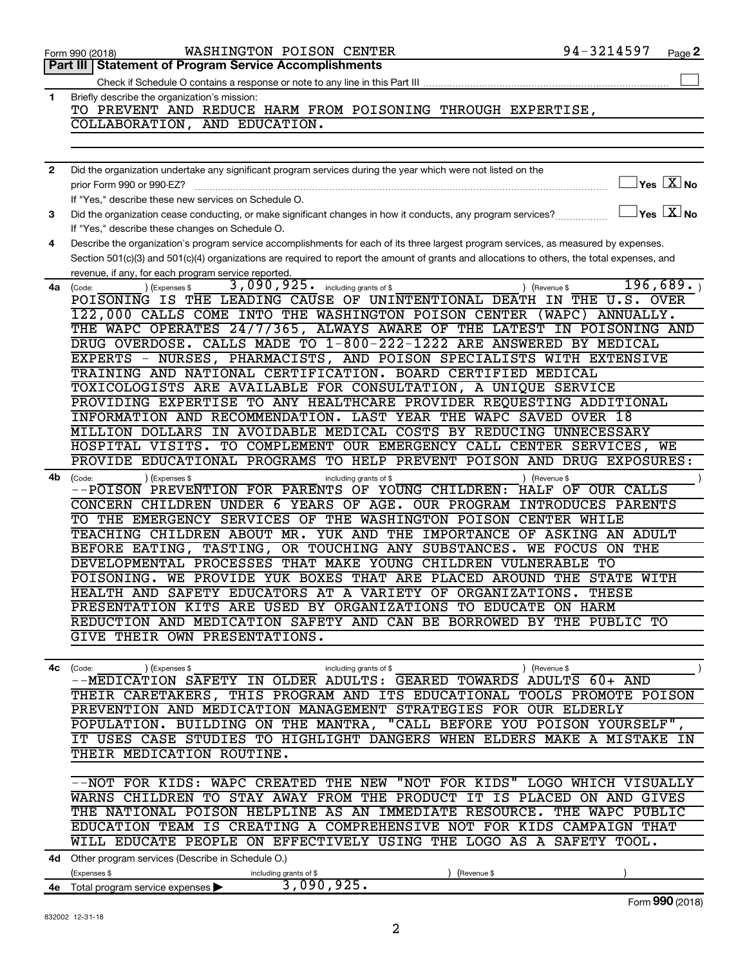| 2  | Did the organization undertake any significant program services during the year which were not listed on the                                        |
|----|-----------------------------------------------------------------------------------------------------------------------------------------------------|
|    | $\overline{\ }$ Yes $\overline{\rm X}$ No<br>prior Form 990 or 990-EZ?                                                                              |
|    | If "Yes," describe these new services on Schedule O.                                                                                                |
| З  | $\exists$ Yes $\boxed{\text{X}}$ No<br>Did the organization cease conducting, or make significant changes in how it conducts, any program services? |
|    | If "Yes," describe these changes on Schedule O.                                                                                                     |
| 4  | Describe the organization's program service accomplishments for each of its three largest program services, as measured by expenses.                |
|    | Section 501(c)(3) and 501(c)(4) organizations are required to report the amount of grants and allocations to others, the total expenses, and        |
|    | revenue, if any, for each program service reported.                                                                                                 |
| 4a | $3,090,925.$ including grants of \$<br>196,689.<br>(Code:<br>(Expenses \$<br>(Revenue \$                                                            |
|    | POISONING IS THE LEADING CAUSE OF UNINTENTIONAL DEATH IN THE U.S. OVER                                                                              |
|    | 122,000 CALLS COME INTO THE WASHINGTON POISON CENTER (WAPC) ANNUALLY.                                                                               |
|    | THE WAPC OPERATES 24/7/365, ALWAYS AWARE OF THE LATEST IN POISONING AND                                                                             |
|    | DRUG OVERDOSE. CALLS MADE TO 1-800-222-1222 ARE ANSWERED BY MEDICAL                                                                                 |
|    | EXPERTS - NURSES, PHARMACISTS, AND POISON SPECIALISTS WITH EXTENSIVE                                                                                |
|    | TRAINING AND NATIONAL CERTIFICATION. BOARD CERTIFIED MEDICAL                                                                                        |
|    | TOXICOLOGISTS ARE AVAILABLE FOR CONSULTATION, A UNIQUE SERVICE<br>PROVIDING EXPERTISE TO ANY HEALTHCARE PROVIDER REQUESTING ADDITIONAL              |
|    | INFORMATION AND RECOMMENDATION. LAST YEAR THE WAPC SAVED OVER 18                                                                                    |
|    | MILLION DOLLARS IN AVOIDABLE MEDICAL COSTS BY REDUCING UNNECESSARY                                                                                  |
|    | HOSPITAL VISITS. TO COMPLEMENT OUR EMERGENCY CALL CENTER SERVICES, WE                                                                               |
|    | PROVIDE EDUCATIONAL PROGRAMS TO HELP PREVENT POISON AND DRUG EXPOSURES:                                                                             |
| 4b | (Expenses \$<br>(Revenue \$<br>(Code:<br>including grants of \$                                                                                     |
|    | --POISON PREVENTION FOR PARENTS OF YOUNG CHILDREN:<br>HALF OF OUR CALLS                                                                             |
|    | CONCERN CHILDREN UNDER 6 YEARS OF AGE. OUR PROGRAM INTRODUCES PARENTS                                                                               |
|    | TO THE EMERGENCY SERVICES OF THE WASHINGTON POISON CENTER WHILE                                                                                     |
|    | TEACHING CHILDREN ABOUT MR. YUK AND THE IMPORTANCE OF ASKING AN ADULT                                                                               |
|    | BEFORE EATING, TASTING, OR TOUCHING ANY SUBSTANCES.<br>WE FOCUS ON THE                                                                              |
|    | DEVELOPMENTAL PROCESSES THAT MAKE YOUNG CHILDREN VULNERABLE TO                                                                                      |
|    | POISONING. WE PROVIDE YUK BOXES THAT ARE PLACED AROUND THE STATE WITH                                                                               |
|    | SAFETY EDUCATORS AT A VARIETY OF ORGANIZATIONS.<br>HEALTH AND<br>THESE                                                                              |
|    | PRESENTATION KITS ARE USED BY ORGANIZATIONS TO EDUCATE ON HARM                                                                                      |
|    | REDUCTION AND MEDICATION SAFETY AND CAN BE BORROWED BY THE PUBLIC TO<br>GIVE THEIR OWN PRESENTATIONS.                                               |
|    |                                                                                                                                                     |
|    |                                                                                                                                                     |
| 4c | ) (Expenses \$<br>(Revenue \$<br>(Code:<br>including grants of \$<br>--MEDICATION SAFETY IN OLDER ADULTS: GEARED TOWARDS<br>ADULTS 60+ AND          |
|    | THEIR CARETAKERS, THIS PROGRAM AND ITS EDUCATIONAL TOOLS PROMOTE POISON                                                                             |
|    | PREVENTION AND MEDICATION MANAGEMENT STRATEGIES FOR OUR ELDERLY                                                                                     |
|    | POPULATION. BUILDING ON THE MANTRA, "CALL BEFORE YOU POISON YOURSELF"                                                                               |
|    | IT USES CASE STUDIES TO HIGHLIGHT DANGERS WHEN ELDERS MAKE A MISTAKE IN                                                                             |
|    | THEIR MEDICATION ROUTINE.                                                                                                                           |
|    |                                                                                                                                                     |
|    | --NOT FOR KIDS: WAPC CREATED THE NEW "NOT FOR KIDS" LOGO WHICH VISUALLY                                                                             |
|    | WARNS CHILDREN TO STAY AWAY FROM THE PRODUCT IT IS PLACED ON AND GIVES                                                                              |
|    | THE NATIONAL POISON HELPLINE AS AN IMMEDIATE RESOURCE. THE WAPC PUBLIC                                                                              |
|    | EDUCATION TEAM IS CREATING A COMPREHENSIVE NOT FOR KIDS CAMPAIGN THAT<br>WILL EDUCATE PEOPLE ON EFFECTIVELY USING THE LOGO AS A SAFETY TOOL.        |
|    |                                                                                                                                                     |
|    | 4d Other program services (Describe in Schedule O.)                                                                                                 |
| 4е | (Expenses \$<br>(Revenue \$<br>including grants of \$<br>3,090,925.<br>Total program service expenses                                               |
|    | Form 990 (2018)                                                                                                                                     |
|    | 832002 12-31-18                                                                                                                                     |
|    | $\overline{a}$                                                                                                                                      |
|    |                                                                                                                                                     |

Check if Schedule O contains a response or note to any line in this Part III

TO PREVENT AND REDUCE HARM FROM POISONING THROUGH EXPERTISE,

**1**

Briefly describe the organization's mission:

**Part III Statement of Program Service Accomplishments**

COLLABORATION, AND EDUCATION.

 $\Box$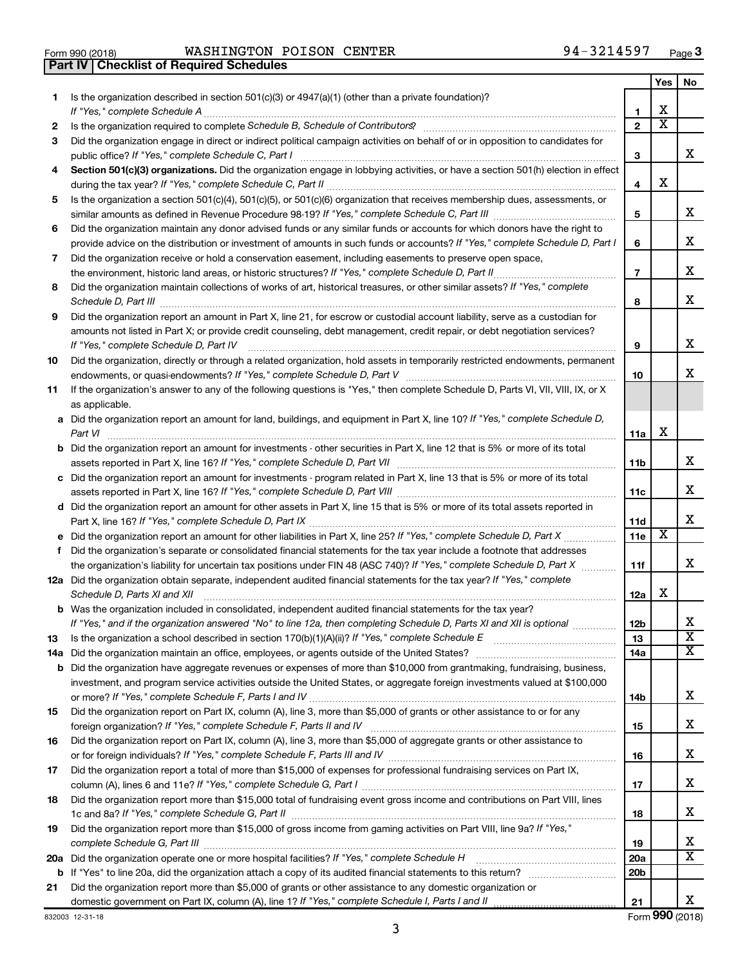| Form 990 (2018) |  |
|-----------------|--|

**Part IV Checklist of Required Schedules**

 $\frac{1}{4}$  Form 990 (2018) WASHINGTON POISON CENTER 94-3214597 Page WASHINGTON POISON CENTER 94-3214597

|    |                                                                                                                                                                                                                                                                                                                                                                     |                 | Yes | No                      |
|----|---------------------------------------------------------------------------------------------------------------------------------------------------------------------------------------------------------------------------------------------------------------------------------------------------------------------------------------------------------------------|-----------------|-----|-------------------------|
| 1. | Is the organization described in section $501(c)(3)$ or $4947(a)(1)$ (other than a private foundation)?<br>If "Yes," complete Schedule A                                                                                                                                                                                                                            | 1               | х   |                         |
| 2  | Is the organization required to complete Schedule B, Schedule of Contributors? [11] The organization required to complete Schedule B, Schedule of Contributors?                                                                                                                                                                                                     | $\overline{2}$  | x   |                         |
| 3  | Did the organization engage in direct or indirect political campaign activities on behalf of or in opposition to candidates for                                                                                                                                                                                                                                     |                 |     |                         |
|    | public office? If "Yes," complete Schedule C, Part I                                                                                                                                                                                                                                                                                                                | 3               |     | x                       |
| 4  | Section 501(c)(3) organizations. Did the organization engage in lobbying activities, or have a section 501(h) election in effect                                                                                                                                                                                                                                    | 4               | х   |                         |
| 5  | Is the organization a section 501(c)(4), 501(c)(5), or 501(c)(6) organization that receives membership dues, assessments, or                                                                                                                                                                                                                                        |                 |     |                         |
|    |                                                                                                                                                                                                                                                                                                                                                                     | 5               |     | x                       |
| 6  | Did the organization maintain any donor advised funds or any similar funds or accounts for which donors have the right to<br>provide advice on the distribution or investment of amounts in such funds or accounts? If "Yes," complete Schedule D, Part I                                                                                                           | 6               |     | х                       |
| 7  | Did the organization receive or hold a conservation easement, including easements to preserve open space,                                                                                                                                                                                                                                                           | $\overline{7}$  |     | х                       |
| 8  | Did the organization maintain collections of works of art, historical treasures, or other similar assets? If "Yes," complete<br>Schedule D, Part III <b>Process Constructs</b> Construction and Technical Construction and Technical Construction and Technical Construction and Technical Construction and Technical Construction and Technical Construction and T | 8               |     | x                       |
| 9  | Did the organization report an amount in Part X, line 21, for escrow or custodial account liability, serve as a custodian for                                                                                                                                                                                                                                       |                 |     |                         |
|    | amounts not listed in Part X; or provide credit counseling, debt management, credit repair, or debt negotiation services?<br>If "Yes," complete Schedule D, Part IV                                                                                                                                                                                                 | 9               |     | x                       |
| 10 | Did the organization, directly or through a related organization, hold assets in temporarily restricted endowments, permanent                                                                                                                                                                                                                                       | 10              |     | х                       |
| 11 | If the organization's answer to any of the following questions is "Yes," then complete Schedule D, Parts VI, VII, VIII, IX, or X<br>as applicable.                                                                                                                                                                                                                  |                 |     |                         |
|    | a Did the organization report an amount for land, buildings, and equipment in Part X, line 10? If "Yes," complete Schedule D,<br>Part VI                                                                                                                                                                                                                            | 11a             | x   |                         |
|    | <b>b</b> Did the organization report an amount for investments - other securities in Part X, line 12 that is 5% or more of its total                                                                                                                                                                                                                                | 11b             |     | x                       |
|    | c Did the organization report an amount for investments - program related in Part X, line 13 that is 5% or more of its total                                                                                                                                                                                                                                        |                 |     |                         |
|    |                                                                                                                                                                                                                                                                                                                                                                     | 11c             |     | х                       |
|    | d Did the organization report an amount for other assets in Part X, line 15 that is 5% or more of its total assets reported in                                                                                                                                                                                                                                      |                 |     |                         |
|    |                                                                                                                                                                                                                                                                                                                                                                     | 11d             |     | х                       |
|    |                                                                                                                                                                                                                                                                                                                                                                     | 11e             | х   |                         |
| f  | Did the organization's separate or consolidated financial statements for the tax year include a footnote that addresses<br>the organization's liability for uncertain tax positions under FIN 48 (ASC 740)? If "Yes," complete Schedule D, Part X                                                                                                                   |                 |     | x                       |
|    | 12a Did the organization obtain separate, independent audited financial statements for the tax year? If "Yes," complete<br>Schedule D, Parts XI and XII                                                                                                                                                                                                             | 11f<br>12a      | x   |                         |
|    | <b>b</b> Was the organization included in consolidated, independent audited financial statements for the tax year?                                                                                                                                                                                                                                                  |                 |     |                         |
|    | If "Yes," and if the organization answered "No" to line 12a, then completing Schedule D, Parts XI and XII is optional                                                                                                                                                                                                                                               | 12 <sub>b</sub> |     | х                       |
| 13 |                                                                                                                                                                                                                                                                                                                                                                     | 13              |     | $\overline{\texttt{x}}$ |
|    |                                                                                                                                                                                                                                                                                                                                                                     | 14a             |     | x                       |
|    | <b>b</b> Did the organization have aggregate revenues or expenses of more than \$10,000 from grantmaking, fundraising, business,                                                                                                                                                                                                                                    |                 |     |                         |
|    | investment, and program service activities outside the United States, or aggregate foreign investments valued at \$100,000                                                                                                                                                                                                                                          | 14b             |     | x                       |
| 15 | Did the organization report on Part IX, column (A), line 3, more than \$5,000 of grants or other assistance to or for any                                                                                                                                                                                                                                           |                 |     |                         |
|    |                                                                                                                                                                                                                                                                                                                                                                     | 15              |     | x                       |
| 16 | Did the organization report on Part IX, column (A), line 3, more than \$5,000 of aggregate grants or other assistance to                                                                                                                                                                                                                                            | 16              |     | x                       |
| 17 | Did the organization report a total of more than \$15,000 of expenses for professional fundraising services on Part IX,                                                                                                                                                                                                                                             |                 |     |                         |
|    |                                                                                                                                                                                                                                                                                                                                                                     | 17              |     | x                       |
| 18 | Did the organization report more than \$15,000 total of fundraising event gross income and contributions on Part VIII, lines                                                                                                                                                                                                                                        |                 |     | x                       |
|    | Did the organization report more than \$15,000 of gross income from gaming activities on Part VIII, line 9a? If "Yes,"                                                                                                                                                                                                                                              | 18              |     |                         |
| 19 |                                                                                                                                                                                                                                                                                                                                                                     | 19              |     | х                       |
|    |                                                                                                                                                                                                                                                                                                                                                                     | 20a             |     | x                       |
|    |                                                                                                                                                                                                                                                                                                                                                                     | 20 <sub>b</sub> |     |                         |
| 21 | Did the organization report more than \$5,000 of grants or other assistance to any domestic organization or                                                                                                                                                                                                                                                         |                 |     |                         |
|    |                                                                                                                                                                                                                                                                                                                                                                     | 21              |     | х                       |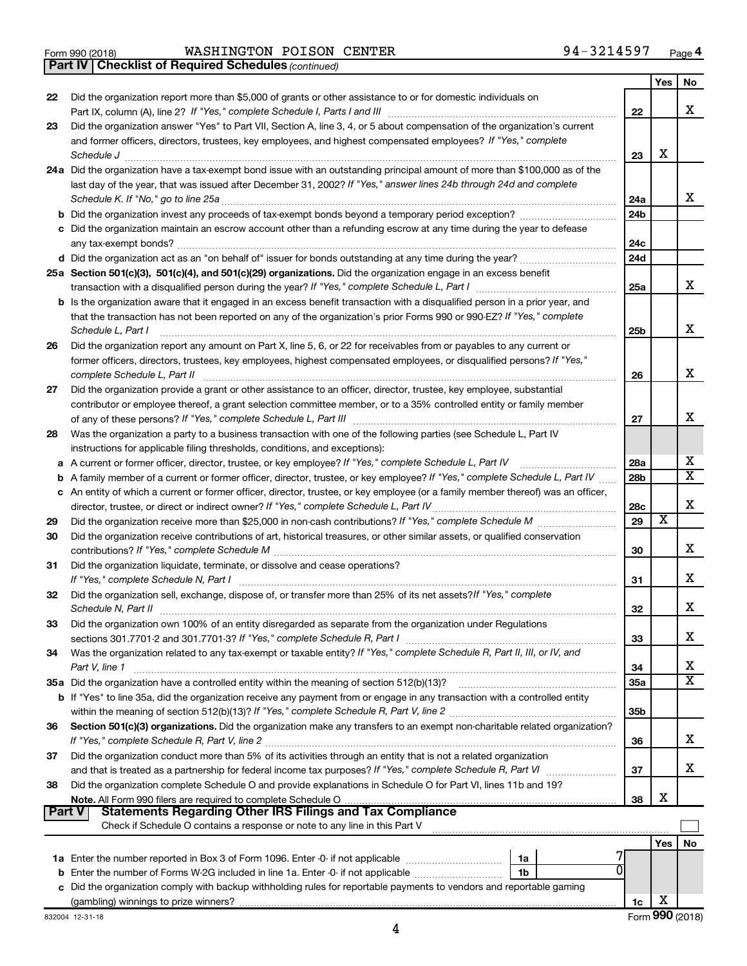|  | Form 990 (2018) |
|--|-----------------|
|  |                 |

*(continued)* **Part IV Checklist of Required Schedules**

|               |                                                                                                                                                                                                                                                                                                                                                                                                                |                 | Yes | No                      |
|---------------|----------------------------------------------------------------------------------------------------------------------------------------------------------------------------------------------------------------------------------------------------------------------------------------------------------------------------------------------------------------------------------------------------------------|-----------------|-----|-------------------------|
| 22            | Did the organization report more than \$5,000 of grants or other assistance to or for domestic individuals on                                                                                                                                                                                                                                                                                                  |                 |     |                         |
|               |                                                                                                                                                                                                                                                                                                                                                                                                                | 22              |     | x                       |
| 23            | Did the organization answer "Yes" to Part VII, Section A, line 3, 4, or 5 about compensation of the organization's current                                                                                                                                                                                                                                                                                     |                 |     |                         |
|               | and former officers, directors, trustees, key employees, and highest compensated employees? If "Yes," complete                                                                                                                                                                                                                                                                                                 |                 |     |                         |
|               | $\textit{Schedule J} \label{eq:1} \vspace{-0.1cm} \vspace{-0.1cm} \vspace{-0.1cm} \vspace{-0.1cm} \vspace{-0.1cm} \vspace{-0.1cm} \vspace{-0.1cm} \vspace{-0.1cm} \vspace{-0.1cm} \vspace{-0.1cm} \vspace{-0.1cm} \vspace{-0.1cm} \vspace{-0.1cm} \vspace{-0.1cm} \vspace{-0.1cm} \vspace{-0.1cm} \vspace{-0.1cm} \vspace{-0.1cm} \vspace{-0.1cm} \vspace{-0.1cm} \vspace{-0.1cm} \vspace{-0.1cm} \vspace{-0.$ | 23              | х   |                         |
|               | 24a Did the organization have a tax-exempt bond issue with an outstanding principal amount of more than \$100,000 as of the                                                                                                                                                                                                                                                                                    |                 |     |                         |
|               | last day of the year, that was issued after December 31, 2002? If "Yes," answer lines 24b through 24d and complete                                                                                                                                                                                                                                                                                             |                 |     |                         |
|               | Schedule K. If "No," go to line 25a                                                                                                                                                                                                                                                                                                                                                                            | 24a             |     | x                       |
|               |                                                                                                                                                                                                                                                                                                                                                                                                                | 24 <sub>b</sub> |     |                         |
|               | c Did the organization maintain an escrow account other than a refunding escrow at any time during the year to defease                                                                                                                                                                                                                                                                                         |                 |     |                         |
|               |                                                                                                                                                                                                                                                                                                                                                                                                                | 24c             |     |                         |
|               |                                                                                                                                                                                                                                                                                                                                                                                                                | 24d             |     |                         |
|               | 25a Section 501(c)(3), 501(c)(4), and 501(c)(29) organizations. Did the organization engage in an excess benefit                                                                                                                                                                                                                                                                                               |                 |     | x                       |
|               |                                                                                                                                                                                                                                                                                                                                                                                                                | 25a             |     |                         |
|               | b Is the organization aware that it engaged in an excess benefit transaction with a disqualified person in a prior year, and                                                                                                                                                                                                                                                                                   |                 |     |                         |
|               | that the transaction has not been reported on any of the organization's prior Forms 990 or 990-EZ? If "Yes," complete                                                                                                                                                                                                                                                                                          |                 |     | х                       |
|               | Schedule L, Part I<br>Did the organization report any amount on Part X, line 5, 6, or 22 for receivables from or payables to any current or                                                                                                                                                                                                                                                                    | 25b             |     |                         |
| 26            | former officers, directors, trustees, key employees, highest compensated employees, or disqualified persons? If "Yes,"                                                                                                                                                                                                                                                                                         |                 |     |                         |
|               | complete Schedule L, Part II                                                                                                                                                                                                                                                                                                                                                                                   | 26              |     | х                       |
| 27            | Did the organization provide a grant or other assistance to an officer, director, trustee, key employee, substantial                                                                                                                                                                                                                                                                                           |                 |     |                         |
|               | contributor or employee thereof, a grant selection committee member, or to a 35% controlled entity or family member                                                                                                                                                                                                                                                                                            |                 |     |                         |
|               |                                                                                                                                                                                                                                                                                                                                                                                                                | 27              |     | x                       |
| 28            | Was the organization a party to a business transaction with one of the following parties (see Schedule L, Part IV                                                                                                                                                                                                                                                                                              |                 |     |                         |
|               | instructions for applicable filing thresholds, conditions, and exceptions):                                                                                                                                                                                                                                                                                                                                    |                 |     |                         |
|               | a A current or former officer, director, trustee, or key employee? If "Yes," complete Schedule L, Part IV                                                                                                                                                                                                                                                                                                      | 28a             |     | х                       |
| b             | A family member of a current or former officer, director, trustee, or key employee? If "Yes," complete Schedule L, Part IV                                                                                                                                                                                                                                                                                     | 28 <sub>b</sub> |     | $\overline{\texttt{x}}$ |
|               | c An entity of which a current or former officer, director, trustee, or key employee (or a family member thereof) was an officer,                                                                                                                                                                                                                                                                              |                 |     |                         |
|               |                                                                                                                                                                                                                                                                                                                                                                                                                | 28c             |     | х                       |
| 29            |                                                                                                                                                                                                                                                                                                                                                                                                                | 29              | X   |                         |
| 30            | Did the organization receive contributions of art, historical treasures, or other similar assets, or qualified conservation                                                                                                                                                                                                                                                                                    |                 |     |                         |
|               |                                                                                                                                                                                                                                                                                                                                                                                                                | 30              |     | x                       |
| 31            | Did the organization liquidate, terminate, or dissolve and cease operations?                                                                                                                                                                                                                                                                                                                                   |                 |     |                         |
|               | If "Yes," complete Schedule N, Part I                                                                                                                                                                                                                                                                                                                                                                          | 31              |     | x                       |
| 32            | Did the organization sell, exchange, dispose of, or transfer more than 25% of its net assets? If "Yes," complete                                                                                                                                                                                                                                                                                               |                 |     |                         |
|               | Schedule N, Part II                                                                                                                                                                                                                                                                                                                                                                                            | 32              |     | х                       |
| 33            | Did the organization own 100% of an entity disregarded as separate from the organization under Regulations                                                                                                                                                                                                                                                                                                     |                 |     |                         |
|               |                                                                                                                                                                                                                                                                                                                                                                                                                | 33              |     | х                       |
| 34            | Was the organization related to any tax-exempt or taxable entity? If "Yes," complete Schedule R, Part II, III, or IV, and                                                                                                                                                                                                                                                                                      |                 |     |                         |
|               | Part V, line 1                                                                                                                                                                                                                                                                                                                                                                                                 | 34              |     | х                       |
|               |                                                                                                                                                                                                                                                                                                                                                                                                                | 35a             |     | $\overline{\text{X}}$   |
|               | b If "Yes" to line 35a, did the organization receive any payment from or engage in any transaction with a controlled entity                                                                                                                                                                                                                                                                                    |                 |     |                         |
|               |                                                                                                                                                                                                                                                                                                                                                                                                                | 35 <sub>b</sub> |     |                         |
| 36            | Section 501(c)(3) organizations. Did the organization make any transfers to an exempt non-charitable related organization?                                                                                                                                                                                                                                                                                     |                 |     | х                       |
| 37            | Did the organization conduct more than 5% of its activities through an entity that is not a related organization                                                                                                                                                                                                                                                                                               | 36              |     |                         |
|               | and that is treated as a partnership for federal income tax purposes? If "Yes," complete Schedule R, Part VI                                                                                                                                                                                                                                                                                                   | 37              |     | x                       |
| 38            | Did the organization complete Schedule O and provide explanations in Schedule O for Part VI, lines 11b and 19?                                                                                                                                                                                                                                                                                                 |                 |     |                         |
|               |                                                                                                                                                                                                                                                                                                                                                                                                                | 38              | х   |                         |
| <b>Part V</b> | <b>Statements Regarding Other IRS Filings and Tax Compliance</b>                                                                                                                                                                                                                                                                                                                                               |                 |     |                         |
|               | Check if Schedule O contains a response or note to any line in this Part V                                                                                                                                                                                                                                                                                                                                     |                 |     |                         |
|               |                                                                                                                                                                                                                                                                                                                                                                                                                |                 | Yes | No                      |
|               | 1a                                                                                                                                                                                                                                                                                                                                                                                                             |                 |     |                         |
|               | 1b                                                                                                                                                                                                                                                                                                                                                                                                             |                 |     |                         |
|               | c Did the organization comply with backup withholding rules for reportable payments to vendors and reportable gaming                                                                                                                                                                                                                                                                                           |                 |     |                         |
|               |                                                                                                                                                                                                                                                                                                                                                                                                                | 1c              | х   |                         |
|               |                                                                                                                                                                                                                                                                                                                                                                                                                |                 |     |                         |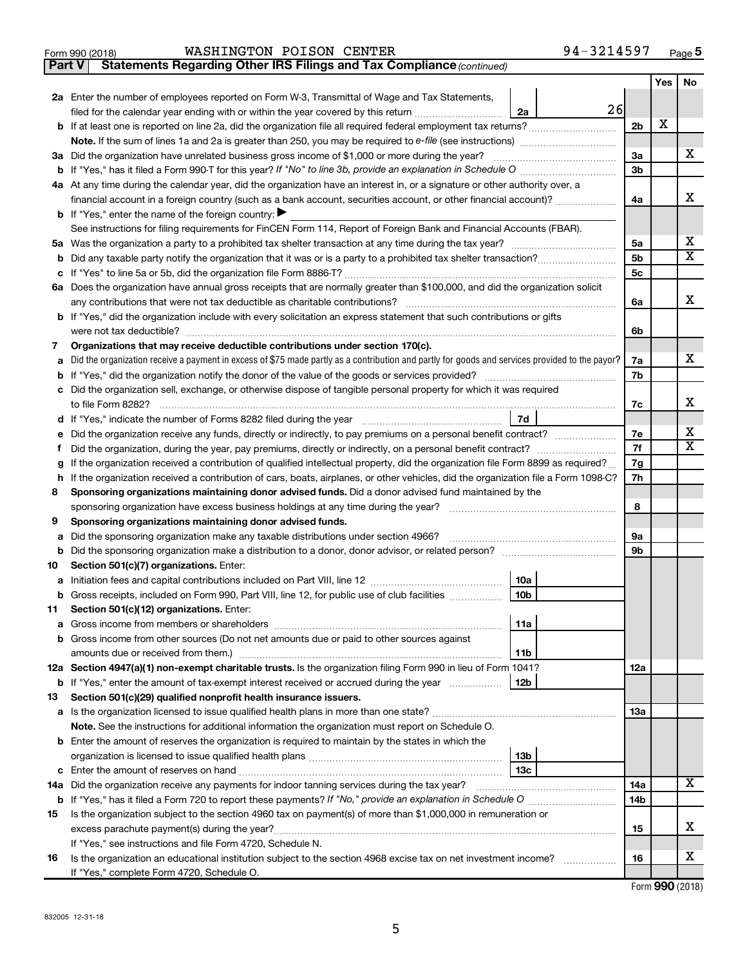| Form 990 (2018) | WASHINGTON POISON CENTER | 94-3214597<br>Page |
|-----------------|--------------------------|--------------------|
|                 |                          |                    |

**Part V Statements Regarding Other IRS Filings and Tax Compliance**

*(continued)*

|    |                                                                                                                                                            |                | <b>Yes</b> | No               |
|----|------------------------------------------------------------------------------------------------------------------------------------------------------------|----------------|------------|------------------|
|    | 2a Enter the number of employees reported on Form W-3, Transmittal of Wage and Tax Statements,                                                             |                |            |                  |
|    | 26<br>filed for the calendar year ending with or within the year covered by this return <i>manumumumum</i><br>2a                                           |                |            |                  |
|    |                                                                                                                                                            | 2 <sub>b</sub> | X          |                  |
|    |                                                                                                                                                            |                |            |                  |
|    | 3a Did the organization have unrelated business gross income of \$1,000 or more during the year?                                                           | За             |            | х                |
|    | <b>b</b> If "Yes," has it filed a Form 990-T for this year? If "No" to line 3b, provide an explanation in Schedule O manumum                               | 3b             |            |                  |
|    | 4a At any time during the calendar year, did the organization have an interest in, or a signature or other authority over, a                               |                |            |                  |
|    | financial account in a foreign country (such as a bank account, securities account, or other financial account)?                                           | 4a             |            | х                |
|    | <b>b</b> If "Yes," enter the name of the foreign country:                                                                                                  |                |            |                  |
|    | See instructions for filing requirements for FinCEN Form 114, Report of Foreign Bank and Financial Accounts (FBAR).                                        |                |            |                  |
|    |                                                                                                                                                            | 5a             |            | х<br>$\mathbf x$ |
| b  |                                                                                                                                                            | 5b             |            |                  |
|    |                                                                                                                                                            | 5 <sub>c</sub> |            |                  |
|    | 6a Does the organization have annual gross receipts that are normally greater than \$100,000, and did the organization solicit                             |                |            | х                |
|    | any contributions that were not tax deductible as charitable contributions?                                                                                | 6a             |            |                  |
|    | b If "Yes," did the organization include with every solicitation an express statement that such contributions or gifts<br>were not tax deductible?         |                |            |                  |
| 7  | Organizations that may receive deductible contributions under section 170(c).                                                                              | 6b             |            |                  |
| a  | Did the organization receive a payment in excess of \$75 made partly as a contribution and partly for goods and services provided to the payor?            | 7a             |            | x                |
|    |                                                                                                                                                            | 7b             |            |                  |
| c  | Did the organization sell, exchange, or otherwise dispose of tangible personal property for which it was required                                          |                |            |                  |
|    | to file Form 8282?                                                                                                                                         | 7c             |            | x                |
| d  | 7d                                                                                                                                                         |                |            |                  |
|    |                                                                                                                                                            | 7e             |            | х                |
|    |                                                                                                                                                            | 7f             |            | $\mathbf x$      |
| g  | If the organization received a contribution of qualified intellectual property, did the organization file Form 8899 as required?                           | 7g             |            |                  |
| h  | If the organization received a contribution of cars, boats, airplanes, or other vehicles, did the organization file a Form 1098-C?                         | 7h             |            |                  |
| 8  | Sponsoring organizations maintaining donor advised funds. Did a donor advised fund maintained by the                                                       |                |            |                  |
|    | sponsoring organization have excess business holdings at any time during the year?                                                                         | 8              |            |                  |
| 9  | Sponsoring organizations maintaining donor advised funds.                                                                                                  |                |            |                  |
| а  | Did the sponsoring organization make any taxable distributions under section 4966?                                                                         | 9а             |            |                  |
| b  |                                                                                                                                                            | 9b             |            |                  |
| 10 | Section 501(c)(7) organizations. Enter:                                                                                                                    |                |            |                  |
| а  | 10a                                                                                                                                                        |                |            |                  |
| b  | 10 <sub>b</sub><br>Gross receipts, included on Form 990, Part VIII, line 12, for public use of club facilities                                             |                |            |                  |
| 11 | Section 501(c)(12) organizations. Enter:                                                                                                                   |                |            |                  |
|    | 11a                                                                                                                                                        |                |            |                  |
|    | b Gross income from other sources (Do not net amounts due or paid to other sources against                                                                 |                |            |                  |
|    | amounts due or received from them.)<br>11b                                                                                                                 |                |            |                  |
|    | 12a Section 4947(a)(1) non-exempt charitable trusts. Is the organization filing Form 990 in lieu of Form 1041?                                             | 12a            |            |                  |
|    | b If "Yes," enter the amount of tax-exempt interest received or accrued during the year<br>12b                                                             |                |            |                  |
| 13 | Section 501(c)(29) qualified nonprofit health insurance issuers.<br>a Is the organization licensed to issue qualified health plans in more than one state? | 1За            |            |                  |
|    | Note. See the instructions for additional information the organization must report on Schedule O.                                                          |                |            |                  |
|    | <b>b</b> Enter the amount of reserves the organization is required to maintain by the states in which the                                                  |                |            |                  |
|    | 13 <sub>b</sub>                                                                                                                                            |                |            |                  |
|    | 13c                                                                                                                                                        |                |            |                  |
|    | 14a Did the organization receive any payments for indoor tanning services during the tax year?                                                             | 14a            |            | x                |
|    |                                                                                                                                                            | 14b            |            |                  |
| 15 | Is the organization subject to the section 4960 tax on payment(s) of more than \$1,000,000 in remuneration or                                              |                |            |                  |
|    |                                                                                                                                                            | 15             |            | x                |
|    | If "Yes," see instructions and file Form 4720, Schedule N.                                                                                                 |                |            |                  |
| 16 | Is the organization an educational institution subject to the section 4968 excise tax on net investment income?<br>.                                       | 16             |            | x                |
|    | If "Yes," complete Form 4720, Schedule O.                                                                                                                  |                |            |                  |

Form (2018) **990**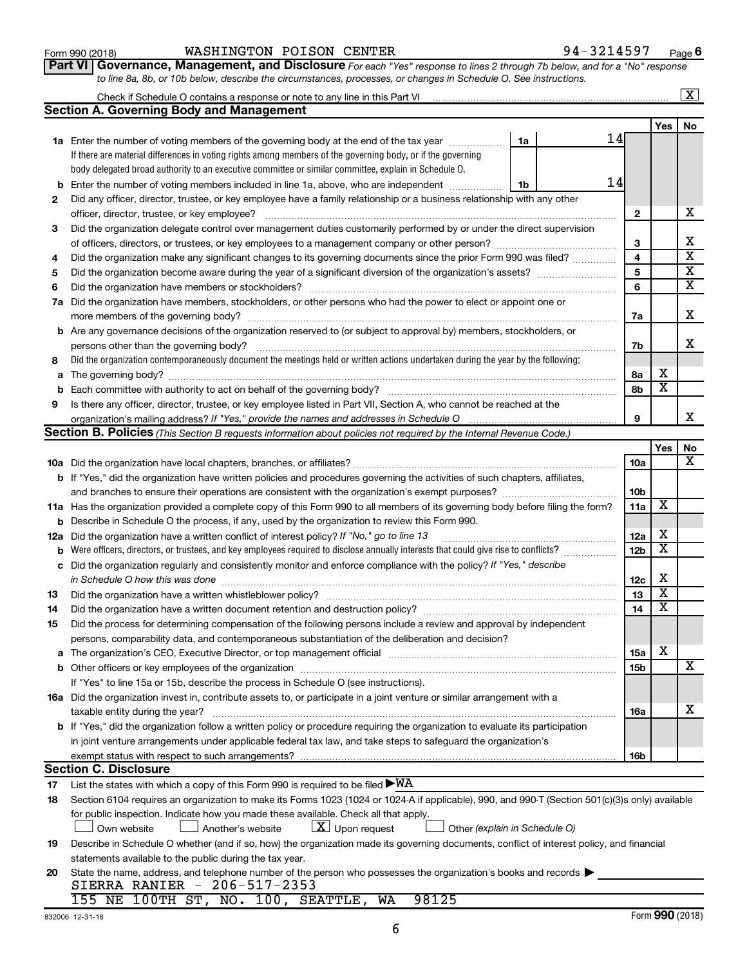| Form 990 (2018 |
|----------------|
|----------------|

#### Form 990 (2018) **Example 3 Reserve WASHINGTON POISON CENTER** Regular to the set of  $94-3214597$  Page

**Part VI** Governance, Management, and Disclosure For each "Yes" response to lines 2 through 7b below, and for a "No" response *to line 8a, 8b, or 10b below, describe the circumstances, processes, or changes in Schedule O. See instructions.*

|    |                                                                                                                                                                                                                               |                 |                         | $\mathbf{X}$            |
|----|-------------------------------------------------------------------------------------------------------------------------------------------------------------------------------------------------------------------------------|-----------------|-------------------------|-------------------------|
|    | <b>Section A. Governing Body and Management</b>                                                                                                                                                                               |                 |                         |                         |
|    |                                                                                                                                                                                                                               |                 | Yes                     | No                      |
|    | 14<br><b>1a</b> Enter the number of voting members of the governing body at the end of the tax year<br>1a                                                                                                                     |                 |                         |                         |
|    | If there are material differences in voting rights among members of the governing body, or if the governing                                                                                                                   |                 |                         |                         |
|    | body delegated broad authority to an executive committee or similar committee, explain in Schedule O.                                                                                                                         |                 |                         |                         |
|    | 14<br><b>b</b> Enter the number of voting members included in line 1a, above, who are independent<br>1b                                                                                                                       |                 |                         |                         |
| 2  | Did any officer, director, trustee, or key employee have a family relationship or a business relationship with any other                                                                                                      |                 |                         |                         |
|    | officer, director, trustee, or key employee?                                                                                                                                                                                  | 2               |                         | х                       |
| З  | Did the organization delegate control over management duties customarily performed by or under the direct supervision                                                                                                         |                 |                         |                         |
|    |                                                                                                                                                                                                                               | З               |                         | x                       |
| 4  | Did the organization make any significant changes to its governing documents since the prior Form 990 was filed?                                                                                                              | 4               |                         | $\overline{\mathbf{X}}$ |
| 5  |                                                                                                                                                                                                                               | 5               |                         | $\overline{\mathbf{X}}$ |
| 6  |                                                                                                                                                                                                                               | 6               |                         | $\overline{\mathbf{X}}$ |
|    | 7a Did the organization have members, stockholders, or other persons who had the power to elect or appoint one or                                                                                                             |                 |                         |                         |
|    |                                                                                                                                                                                                                               | 7a              |                         | Х                       |
|    | <b>b</b> Are any governance decisions of the organization reserved to (or subject to approval by) members, stockholders, or                                                                                                   |                 |                         |                         |
|    |                                                                                                                                                                                                                               | 7b              |                         | x                       |
| 8  | Did the organization contemporaneously document the meetings held or written actions undertaken during the year by the following:                                                                                             |                 |                         |                         |
|    |                                                                                                                                                                                                                               | 8а              | х                       |                         |
| b  |                                                                                                                                                                                                                               | 8b              | $\overline{\textbf{x}}$ |                         |
| 9  | Is there any officer, director, trustee, or key employee listed in Part VII, Section A, who cannot be reached at the                                                                                                          |                 |                         |                         |
|    |                                                                                                                                                                                                                               | 9               |                         | x                       |
|    | <b>Section B. Policies</b> (This Section B requests information about policies not required by the Internal Revenue Code.)                                                                                                    |                 |                         |                         |
|    |                                                                                                                                                                                                                               |                 | Yes                     | No                      |
|    |                                                                                                                                                                                                                               | 10a             |                         | x                       |
|    | b If "Yes," did the organization have written policies and procedures governing the activities of such chapters, affiliates,                                                                                                  |                 |                         |                         |
|    |                                                                                                                                                                                                                               | 10 <sub>b</sub> |                         |                         |
|    | 11a Has the organization provided a complete copy of this Form 990 to all members of its governing body before filing the form?                                                                                               | 11a             | X                       |                         |
|    | <b>b</b> Describe in Schedule O the process, if any, used by the organization to review this Form 990.                                                                                                                        |                 |                         |                         |
|    | 12a Did the organization have a written conflict of interest policy? If "No," go to line 13                                                                                                                                   | 12a             | х                       |                         |
|    | <b>b</b> Were officers, directors, or trustees, and key employees required to disclose annually interests that could give rise to conflicts?                                                                                  | 12 <sub>b</sub> | х                       |                         |
|    | c Did the organization regularly and consistently monitor and enforce compliance with the policy? If "Yes," describe                                                                                                          |                 |                         |                         |
|    | in Schedule O how this was done manufactured and the state of the state of the state of the state of the state of the state of the state of the state of the state of the state of the state of the state of the state of the | 12c             | X                       |                         |
| 13 |                                                                                                                                                                                                                               | 13              | X                       |                         |
| 14 |                                                                                                                                                                                                                               | 14              | $\overline{\textbf{x}}$ |                         |
| 15 | Did the process for determining compensation of the following persons include a review and approval by independent                                                                                                            |                 |                         |                         |
|    | persons, comparability data, and contemporaneous substantiation of the deliberation and decision?                                                                                                                             |                 |                         |                         |
|    |                                                                                                                                                                                                                               | 15a             | х                       |                         |
|    |                                                                                                                                                                                                                               | 15b             |                         | х                       |
|    | If "Yes" to line 15a or 15b, describe the process in Schedule O (see instructions).                                                                                                                                           |                 |                         |                         |
|    | 16a Did the organization invest in, contribute assets to, or participate in a joint venture or similar arrangement with a                                                                                                     |                 |                         |                         |
|    | taxable entity during the year?                                                                                                                                                                                               | 16a             |                         | x                       |
|    | b If "Yes," did the organization follow a written policy or procedure requiring the organization to evaluate its participation                                                                                                |                 |                         |                         |
|    | in joint venture arrangements under applicable federal tax law, and take steps to safeguard the organization's                                                                                                                |                 |                         |                         |
|    | exempt status with respect to such arrangements?                                                                                                                                                                              | 16b             |                         |                         |
|    | <b>Section C. Disclosure</b>                                                                                                                                                                                                  |                 |                         |                         |
| 17 | List the states with which a copy of this Form 990 is required to be filed $\blacktriangleright\text{WA}$                                                                                                                     |                 |                         |                         |
| 18 | Section 6104 requires an organization to make its Forms 1023 (1024 or 1024 A if applicable), 990, and 990 T (Section 501(c)(3)s only) available                                                                               |                 |                         |                         |
|    | for public inspection. Indicate how you made these available. Check all that apply.                                                                                                                                           |                 |                         |                         |
|    | $\lfloor \underline{X} \rfloor$ Upon request<br>Own website<br>Another's website<br>Other (explain in Schedule O)                                                                                                             |                 |                         |                         |
| 19 | Describe in Schedule O whether (and if so, how) the organization made its governing documents, conflict of interest policy, and financial                                                                                     |                 |                         |                         |
|    | statements available to the public during the tax year.                                                                                                                                                                       |                 |                         |                         |
| 20 | State the name, address, and telephone number of the person who possesses the organization's books and records                                                                                                                |                 |                         |                         |
|    | SIERRA RANIER - 206-517-2353                                                                                                                                                                                                  |                 |                         |                         |
|    | 155 NE 100TH ST, NO. 100, SEATTLE, WA<br>98125                                                                                                                                                                                |                 |                         |                         |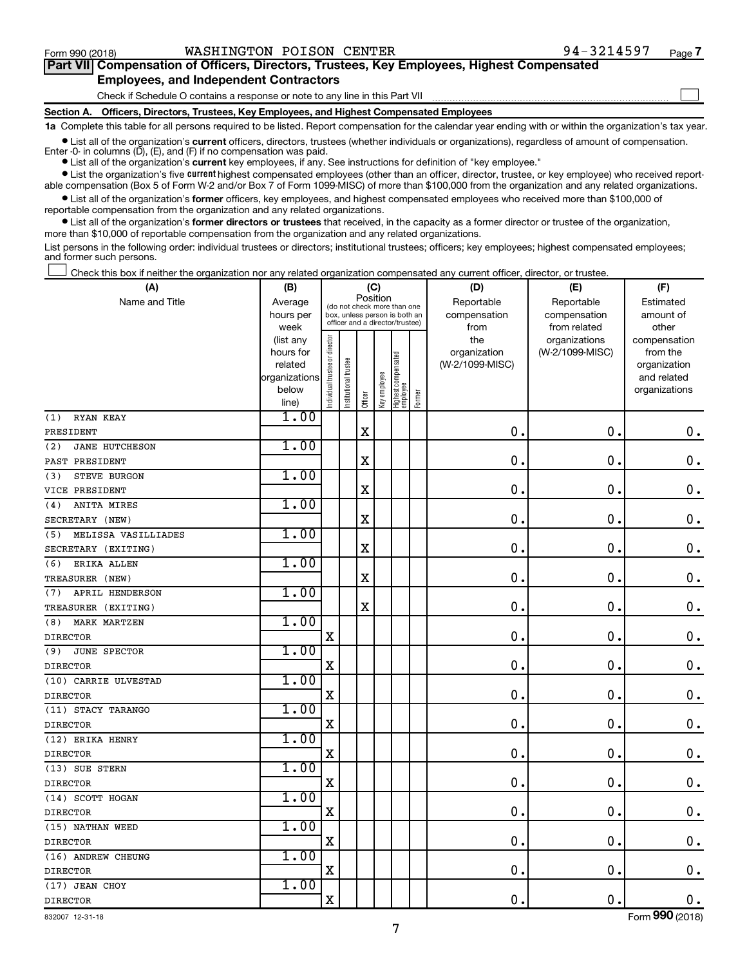$\Box$ 

| Part VII Compensation of Officers, Directors, Trustees, Key Employees, Highest Compensated |  |  |  |
|--------------------------------------------------------------------------------------------|--|--|--|
| <b>Employees, and Independent Contractors</b>                                              |  |  |  |

Check if Schedule O contains a response or note to any line in this Part VII

**Section A. Officers, Directors, Trustees, Key Employees, and Highest Compensated Employees**

**1a**  Complete this table for all persons required to be listed. Report compensation for the calendar year ending with or within the organization's tax year.

**•** List all of the organization's current officers, directors, trustees (whether individuals or organizations), regardless of amount of compensation.

**•** List all of the organization's **current** key employees, if any. See instructions for definition of "key employee." Enter -0- in columns  $(D)$ ,  $(E)$ , and  $(F)$  if no compensation was paid.

**•** List the organization's five current highest compensated employees (other than an officer, director, trustee, or key employee) who received reportable compensation (Box 5 of Form W-2 and/or Box 7 of Form 1099-MISC) of more than \$100,000 from the organization and any related organizations.

**•** List all of the organization's former officers, key employees, and highest compensated employees who received more than \$100,000 of reportable compensation from the organization and any related organizations.

**•** List all of the organization's former directors or trustees that received, in the capacity as a former director or trustee of the organization, more than \$10,000 of reportable compensation from the organization and any related organizations.

List persons in the following order: individual trustees or directors; institutional trustees; officers; key employees; highest compensated employees; and former such persons.

Check this box if neither the organization nor any related organization compensated any current officer, director, or trustee.  $\Box$ 

| (A)                          | (B)                    |                               |                                                                  | (C)      |              |                                 |        | (D)                 | (E)                              | (F)                      |
|------------------------------|------------------------|-------------------------------|------------------------------------------------------------------|----------|--------------|---------------------------------|--------|---------------------|----------------------------------|--------------------------|
| Name and Title               | Average                |                               | (do not check more than one                                      | Position |              |                                 |        | Reportable          | Reportable                       | Estimated                |
|                              | hours per              |                               | box, unless person is both an<br>officer and a director/trustee) |          |              |                                 |        | compensation        | compensation                     | amount of                |
|                              | week                   |                               |                                                                  |          |              |                                 |        | from                | from related                     | other                    |
|                              | (list any<br>hours for |                               |                                                                  |          |              |                                 |        | the<br>organization | organizations<br>(W-2/1099-MISC) | compensation<br>from the |
|                              | related                |                               |                                                                  |          |              |                                 |        | (W-2/1099-MISC)     |                                  | organization             |
|                              | organizations          |                               |                                                                  |          |              |                                 |        |                     |                                  | and related              |
|                              | below                  | ndividual trustee or director | Institutional trustee                                            |          | Key employee | Highest compensated<br>employee |        |                     |                                  | organizations            |
|                              | line)                  |                               |                                                                  | Officer  |              |                                 | Former |                     |                                  |                          |
| RYAN KEAY<br>(1)             | 1.00                   |                               |                                                                  |          |              |                                 |        |                     |                                  |                          |
| PRESIDENT                    |                        |                               |                                                                  | $\rm X$  |              |                                 |        | $\mathbf 0$         | $\mathbf 0$ .                    | $\mathbf 0$ .            |
| (2)<br><b>JANE HUTCHESON</b> | 1.00                   |                               |                                                                  |          |              |                                 |        |                     |                                  |                          |
| PAST PRESIDENT               |                        |                               |                                                                  | X        |              |                                 |        | $\mathbf 0$         | 0.                               | $\boldsymbol{0}$ .       |
| STEVE BURGON<br>(3)          | 1.00                   |                               |                                                                  |          |              |                                 |        |                     |                                  |                          |
| VICE PRESIDENT               |                        |                               |                                                                  | X        |              |                                 |        | $\mathbf 0$         | $\mathbf 0$                      | $\mathbf 0$ .            |
| ANITA MIRES<br>(4)           | 1.00                   |                               |                                                                  |          |              |                                 |        |                     |                                  |                          |
| SECRETARY (NEW)              |                        |                               |                                                                  | X        |              |                                 |        | $\mathbf 0$ .       | $\mathbf 0$ .                    | $\mathbf 0$ .            |
| MELISSA VASILLIADES<br>(5)   | 1.00                   |                               |                                                                  |          |              |                                 |        |                     |                                  |                          |
| SECRETARY (EXITING)          |                        |                               |                                                                  | X        |              |                                 |        | 0.                  | $\mathbf 0$ .                    | $\mathbf 0$ .            |
| ERIKA ALLEN<br>(6)           | 1.00                   |                               |                                                                  |          |              |                                 |        |                     |                                  |                          |
| TREASURER (NEW)              |                        |                               |                                                                  | X        |              |                                 |        | $\mathbf 0$ .       | $\mathbf 0$ .                    | $\boldsymbol{0}$ .       |
| APRIL HENDERSON<br>(7)       | 1.00                   |                               |                                                                  |          |              |                                 |        |                     |                                  |                          |
| TREASURER (EXITING)          |                        |                               |                                                                  | $\rm X$  |              |                                 |        | $\mathbf 0$ .       | $\mathbf 0$ .                    | $\mathbf 0$ .            |
| <b>MARK MARTZEN</b><br>(8)   | 1.00                   |                               |                                                                  |          |              |                                 |        |                     |                                  |                          |
| <b>DIRECTOR</b>              |                        | $\rm X$                       |                                                                  |          |              |                                 |        | 0.                  | $\mathbf 0$ .                    | $\mathbf 0$ .            |
| (9)<br><b>JUNE SPECTOR</b>   | 1.00                   |                               |                                                                  |          |              |                                 |        |                     |                                  |                          |
| <b>DIRECTOR</b>              |                        | $\rm X$                       |                                                                  |          |              |                                 |        | 0.                  | $\mathbf 0$ .                    | $\mathbf 0$ .            |
| (10) CARRIE ULVESTAD         | 1.00                   |                               |                                                                  |          |              |                                 |        |                     |                                  |                          |
| <b>DIRECTOR</b>              |                        | X                             |                                                                  |          |              |                                 |        | $\mathbf 0$ .       | $\mathbf 0$ .                    | $0$ .                    |
| (11) STACY TARANGO           | 1.00                   |                               |                                                                  |          |              |                                 |        |                     |                                  |                          |
| <b>DIRECTOR</b>              |                        | $\mathbf X$                   |                                                                  |          |              |                                 |        | 0.                  | $\mathbf 0$ .                    | $0$ .                    |
| (12) ERIKA HENRY             | 1.00                   |                               |                                                                  |          |              |                                 |        |                     |                                  |                          |
| <b>DIRECTOR</b>              |                        | X                             |                                                                  |          |              |                                 |        | 0.                  | $\mathbf 0$ .                    | $\mathbf 0$ .            |
| (13) SUE STERN               | 1.00                   |                               |                                                                  |          |              |                                 |        |                     |                                  |                          |
| <b>DIRECTOR</b>              |                        | $\mathbf X$                   |                                                                  |          |              |                                 |        | 0.                  | $\mathbf 0$ .                    | $\mathbf 0$ .            |
| (14) SCOTT HOGAN             | 1.00                   |                               |                                                                  |          |              |                                 |        |                     |                                  |                          |
| <b>DIRECTOR</b>              |                        | X                             |                                                                  |          |              |                                 |        | $\mathbf 0$ .       | $\mathbf 0$ .                    | $\mathbf 0$ .            |
| (15) NATHAN WEED             | 1.00                   |                               |                                                                  |          |              |                                 |        |                     |                                  |                          |
| <b>DIRECTOR</b>              |                        | X                             |                                                                  |          |              |                                 |        | 0.                  | $\mathbf 0$ .                    | $\mathbf 0$ .            |
| (16) ANDREW CHEUNG           | 1.00                   |                               |                                                                  |          |              |                                 |        |                     |                                  |                          |
| <b>DIRECTOR</b>              |                        | X                             |                                                                  |          |              |                                 |        | $\mathbf 0$ .       | $\mathbf 0$ .                    | 0.                       |
| (17) JEAN CHOY               | 1.00                   |                               |                                                                  |          |              |                                 |        |                     |                                  |                          |
| <b>DIRECTOR</b>              |                        | $\mathbf X$                   |                                                                  |          |              |                                 |        | 0.                  | $\mathbf 0$ .                    | $\mathbf 0$ .            |

832007 12-31-18

Form (2018) **990**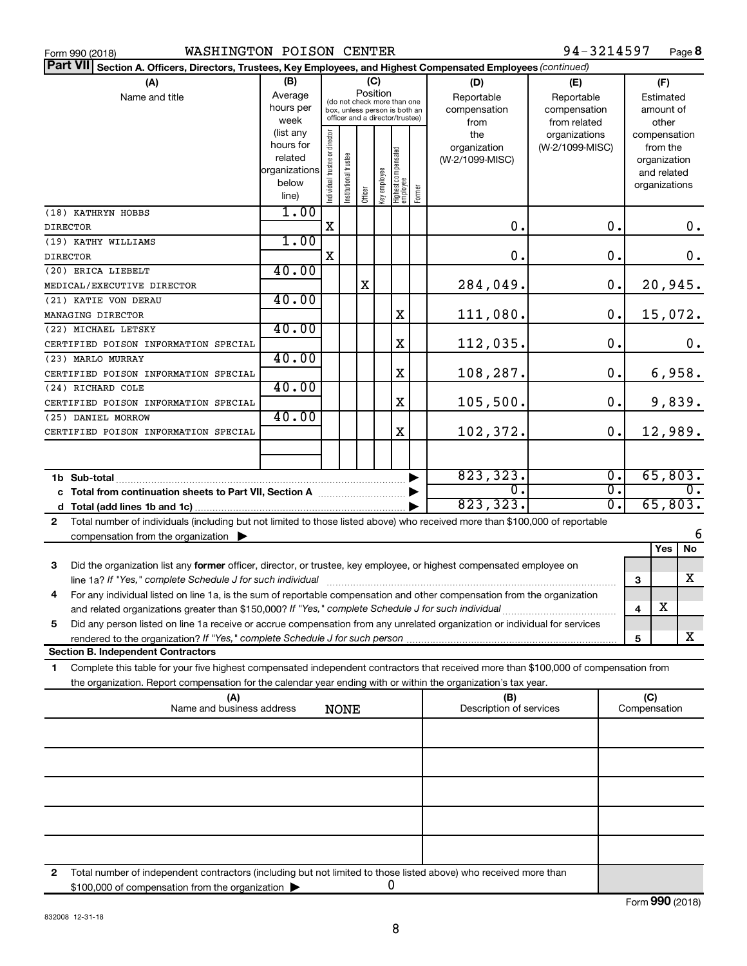| Form 990 (2018 |  |  |
|----------------|--|--|

| Part VII Section A. Officers, Directors, Trustees, Key Employees, and Highest Compensated Employees (continued)                                                                                                                                             |                        |                                |                                                              |         |              |                                 |        |                         |                  |   |               |        |
|-------------------------------------------------------------------------------------------------------------------------------------------------------------------------------------------------------------------------------------------------------------|------------------------|--------------------------------|--------------------------------------------------------------|---------|--------------|---------------------------------|--------|-------------------------|------------------|---|---------------|--------|
| (A)                                                                                                                                                                                                                                                         | (B)                    |                                |                                                              |         | (C)          |                                 |        | (D)                     | (E)              |   | (F)           |        |
| Name and title                                                                                                                                                                                                                                              | Average                |                                |                                                              |         | Position     |                                 |        | Reportable              | Reportable       |   | Estimated     |        |
|                                                                                                                                                                                                                                                             | hours per              |                                | (do not check more than one<br>box, unless person is both an |         |              |                                 |        | compensation            | compensation     |   | amount of     |        |
|                                                                                                                                                                                                                                                             | week                   |                                | officer and a director/trustee)                              |         |              |                                 |        | from                    | from related     |   | other         |        |
|                                                                                                                                                                                                                                                             | (list any              |                                |                                                              |         |              |                                 |        | the                     | organizations    |   | compensation  |        |
|                                                                                                                                                                                                                                                             | hours for              |                                |                                                              |         |              |                                 |        | organization            | (W-2/1099-MISC)  |   | from the      |        |
|                                                                                                                                                                                                                                                             | related                |                                |                                                              |         |              |                                 |        | (W-2/1099-MISC)         |                  |   | organization  |        |
|                                                                                                                                                                                                                                                             | organizations<br>below |                                |                                                              |         |              |                                 |        |                         |                  |   | and related   |        |
|                                                                                                                                                                                                                                                             | line)                  | Individual trustee or director | Institutional trustee                                        | Officer | Key employee | Highest compensated<br>employee | Former |                         |                  |   | organizations |        |
| (18) KATHRYN HOBBS                                                                                                                                                                                                                                          | 1.00                   |                                |                                                              |         |              |                                 |        |                         |                  |   |               |        |
| <b>DIRECTOR</b>                                                                                                                                                                                                                                             |                        | X                              |                                                              |         |              |                                 |        | О.                      | 0.               |   |               | 0.     |
| (19) KATHY WILLIAMS                                                                                                                                                                                                                                         | 1.00                   |                                |                                                              |         |              |                                 |        |                         |                  |   |               |        |
| <b>DIRECTOR</b>                                                                                                                                                                                                                                             |                        | X                              |                                                              |         |              |                                 |        | О.                      | $\mathbf 0$ .    |   |               | 0.     |
| (20) ERICA LIEBELT                                                                                                                                                                                                                                          | 40.00                  |                                |                                                              |         |              |                                 |        |                         |                  |   |               |        |
| MEDICAL/EXECUTIVE DIRECTOR                                                                                                                                                                                                                                  |                        |                                |                                                              | X       |              |                                 |        | 284,049.                | 0.               |   | 20,945.       |        |
| (21) KATIE VON DERAU                                                                                                                                                                                                                                        | 40.00                  |                                |                                                              |         |              |                                 |        |                         |                  |   |               |        |
| MANAGING DIRECTOR                                                                                                                                                                                                                                           |                        |                                |                                                              |         |              | X                               |        | 111,080.                | 0.               |   | 15,072.       |        |
| (22) MICHAEL LETSKY                                                                                                                                                                                                                                         | 40.00                  |                                |                                                              |         |              |                                 |        |                         |                  |   |               |        |
| CERTIFIED POISON INFORMATION SPECIAL                                                                                                                                                                                                                        |                        |                                |                                                              |         |              | X                               |        | 112,035.                | $\mathbf 0$ .    |   |               | 0.     |
| (23) MARLO MURRAY                                                                                                                                                                                                                                           | 40.00                  |                                |                                                              |         |              |                                 |        |                         |                  |   |               |        |
| CERTIFIED POISON INFORMATION SPECIAL                                                                                                                                                                                                                        |                        |                                |                                                              |         |              | X                               |        | 108,287.                | 0.               |   |               | 6,958. |
| (24) RICHARD COLE                                                                                                                                                                                                                                           | 40.00                  |                                |                                                              |         |              |                                 |        |                         |                  |   |               |        |
| CERTIFIED POISON INFORMATION SPECIAL                                                                                                                                                                                                                        | 40.00                  |                                |                                                              |         |              | X                               |        | 105, 500.               | 0.               |   |               | 9,839. |
| (25) DANIEL MORROW                                                                                                                                                                                                                                          |                        |                                |                                                              |         |              | X                               |        | 102,372.                | 0.               |   | 12,989.       |        |
| CERTIFIED POISON INFORMATION SPECIAL                                                                                                                                                                                                                        |                        |                                |                                                              |         |              |                                 |        |                         |                  |   |               |        |
|                                                                                                                                                                                                                                                             |                        |                                |                                                              |         |              |                                 |        |                         |                  |   |               |        |
|                                                                                                                                                                                                                                                             |                        |                                |                                                              |         |              |                                 |        | 823, 323.               | σ.               |   | 65,803.       |        |
| c Total from continuation sheets to Part VII, Section A [111] [12] [13] Continuum Continuum D                                                                                                                                                               |                        |                                |                                                              |         |              |                                 |        | О.                      | σ.               |   |               | 0.     |
|                                                                                                                                                                                                                                                             |                        |                                |                                                              |         |              |                                 |        | 823, 323.               | $\overline{0}$ . |   | 65,803.       |        |
| Total number of individuals (including but not limited to those listed above) who received more than \$100,000 of reportable<br>2                                                                                                                           |                        |                                |                                                              |         |              |                                 |        |                         |                  |   |               |        |
| compensation from the organization $\blacktriangleright$                                                                                                                                                                                                    |                        |                                |                                                              |         |              |                                 |        |                         |                  |   |               | 6      |
|                                                                                                                                                                                                                                                             |                        |                                |                                                              |         |              |                                 |        |                         |                  |   | Yes           | No     |
| Did the organization list any former officer, director, or trustee, key employee, or highest compensated employee on<br>3                                                                                                                                   |                        |                                |                                                              |         |              |                                 |        |                         |                  |   |               |        |
|                                                                                                                                                                                                                                                             |                        |                                |                                                              |         |              |                                 |        |                         |                  | 3 |               | х      |
| For any individual listed on line 1a, is the sum of reportable compensation and other compensation from the organization<br>4                                                                                                                               |                        |                                |                                                              |         |              |                                 |        |                         |                  |   |               |        |
| and related organizations greater than \$150,000? If "Yes," complete Schedule J for such individual                                                                                                                                                         |                        |                                |                                                              |         |              |                                 |        |                         |                  | 4 | X             |        |
| Did any person listed on line 1a receive or accrue compensation from any unrelated organization or individual for services<br>5                                                                                                                             |                        |                                |                                                              |         |              |                                 |        |                         |                  |   |               |        |
| rendered to the organization? If "Yes," complete Schedule J for such person.                                                                                                                                                                                |                        |                                |                                                              |         |              |                                 |        |                         |                  | 5 |               | x      |
| <b>Section B. Independent Contractors</b>                                                                                                                                                                                                                   |                        |                                |                                                              |         |              |                                 |        |                         |                  |   |               |        |
| Complete this table for your five highest compensated independent contractors that received more than \$100,000 of compensation from<br>1<br>the organization. Report compensation for the calendar year ending with or within the organization's tax year. |                        |                                |                                                              |         |              |                                 |        |                         |                  |   |               |        |
| (A)                                                                                                                                                                                                                                                         |                        |                                |                                                              |         |              |                                 |        | (B)                     |                  |   | (C)           |        |
| Name and business address                                                                                                                                                                                                                                   |                        |                                | <b>NONE</b>                                                  |         |              |                                 |        | Description of services |                  |   | Compensation  |        |
|                                                                                                                                                                                                                                                             |                        |                                |                                                              |         |              |                                 |        |                         |                  |   |               |        |
|                                                                                                                                                                                                                                                             |                        |                                |                                                              |         |              |                                 |        |                         |                  |   |               |        |
|                                                                                                                                                                                                                                                             |                        |                                |                                                              |         |              |                                 |        |                         |                  |   |               |        |
|                                                                                                                                                                                                                                                             |                        |                                |                                                              |         |              |                                 |        |                         |                  |   |               |        |
|                                                                                                                                                                                                                                                             |                        |                                |                                                              |         |              |                                 |        |                         |                  |   |               |        |
|                                                                                                                                                                                                                                                             |                        |                                |                                                              |         |              |                                 |        |                         |                  |   |               |        |
|                                                                                                                                                                                                                                                             |                        |                                |                                                              |         |              |                                 |        |                         |                  |   |               |        |
|                                                                                                                                                                                                                                                             |                        |                                |                                                              |         |              |                                 |        |                         |                  |   |               |        |

**2** Total number of independent contractors (including but not limited to those listed above) who received more than \$100,000 of compensation from the organization 0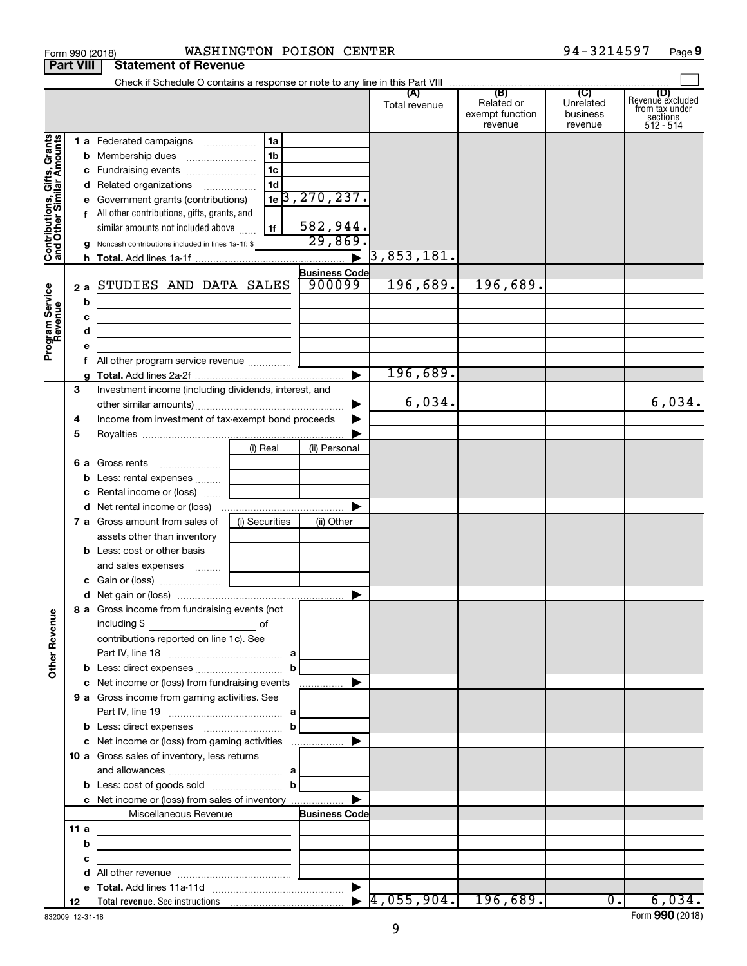|                                                           | Form 990 (2018)  |                                                                                                                                                                                                    |                | WASHINGTON POISON CENTER |                             |                                          | 94-3214597                       | Page 9                                                                      |
|-----------------------------------------------------------|------------------|----------------------------------------------------------------------------------------------------------------------------------------------------------------------------------------------------|----------------|--------------------------|-----------------------------|------------------------------------------|----------------------------------|-----------------------------------------------------------------------------|
|                                                           | <b>Part VIII</b> | <b>Statement of Revenue</b>                                                                                                                                                                        |                |                          |                             |                                          |                                  |                                                                             |
|                                                           |                  |                                                                                                                                                                                                    |                |                          | (A)                         | (B)                                      | $\overline{C}$                   |                                                                             |
|                                                           |                  |                                                                                                                                                                                                    |                |                          | Total revenue               | Related or<br>exempt function<br>revenue | Unrelated<br>business<br>revenue | (D)<br>Revenue excluded<br>from tax under<br>$sec$<br>sections<br>512 - 514 |
|                                                           |                  | 1 a Federated campaigns                                                                                                                                                                            | 1a             |                          |                             |                                          |                                  |                                                                             |
| Contributions, Gifts, Grants<br>and Other Similar Amounts |                  |                                                                                                                                                                                                    | 1 <sub>b</sub> |                          |                             |                                          |                                  |                                                                             |
|                                                           |                  | c Fundraising events                                                                                                                                                                               | 1 <sub>c</sub> |                          |                             |                                          |                                  |                                                                             |
|                                                           |                  | d Related organizations                                                                                                                                                                            | 1 <sub>d</sub> |                          |                             |                                          |                                  |                                                                             |
|                                                           |                  | e Government grants (contributions)                                                                                                                                                                |                | $1e$ 3, 270, 237.        |                             |                                          |                                  |                                                                             |
|                                                           |                  | f All other contributions, gifts, grants, and                                                                                                                                                      |                |                          |                             |                                          |                                  |                                                                             |
|                                                           |                  | similar amounts not included above                                                                                                                                                                 | 1f             | 582,944.<br>29,869.      |                             |                                          |                                  |                                                                             |
|                                                           |                  | <b>g</b> Noncash contributions included in lines 1a-1f: \$                                                                                                                                         |                |                          | $\triangleright$ 3,853,181. |                                          |                                  |                                                                             |
|                                                           |                  |                                                                                                                                                                                                    |                | <b>Business Code</b>     |                             |                                          |                                  |                                                                             |
|                                                           |                  | 2 a STUDIES AND DATA SALES                                                                                                                                                                         |                | 900099                   | 196,689.                    | 196,689.                                 |                                  |                                                                             |
| Program Service<br>Revenue                                | b                |                                                                                                                                                                                                    |                |                          |                             |                                          |                                  |                                                                             |
|                                                           | с                | the control of the control of the control of the control of the control of                                                                                                                         |                |                          |                             |                                          |                                  |                                                                             |
|                                                           | d                | <u> 1989 - Johann Stein, marwolaethau a bhann an t-Amhain an t-Amhain an t-Amhain an t-Amhain an t-Amhain an t-A</u>                                                                               |                |                          |                             |                                          |                                  |                                                                             |
|                                                           | е                | <u> 1989 - Johann Stein, marwolaethau a bhann an t-Albann an t-Albann an t-Albann an t-Albann an t-Albann an t-Alb</u>                                                                             |                |                          |                             |                                          |                                  |                                                                             |
|                                                           | f                | All other program service revenue                                                                                                                                                                  |                |                          |                             |                                          |                                  |                                                                             |
|                                                           |                  |                                                                                                                                                                                                    |                |                          | 196,689.                    |                                          |                                  |                                                                             |
|                                                           | 3                | Investment income (including dividends, interest, and                                                                                                                                              |                |                          |                             |                                          |                                  |                                                                             |
|                                                           |                  |                                                                                                                                                                                                    |                | ▶                        | 6,034.                      |                                          |                                  | 6,034.                                                                      |
|                                                           | 4                | Income from investment of tax-exempt bond proceeds                                                                                                                                                 |                | ▶                        |                             |                                          |                                  |                                                                             |
|                                                           | 5                |                                                                                                                                                                                                    |                |                          |                             |                                          |                                  |                                                                             |
|                                                           |                  |                                                                                                                                                                                                    | (i) Real       | (ii) Personal            |                             |                                          |                                  |                                                                             |
|                                                           |                  | 6 a Gross rents                                                                                                                                                                                    |                |                          |                             |                                          |                                  |                                                                             |
|                                                           | b                | Less: rental expenses                                                                                                                                                                              |                |                          |                             |                                          |                                  |                                                                             |
|                                                           | с                | Rental income or (loss)                                                                                                                                                                            |                |                          |                             |                                          |                                  |                                                                             |
|                                                           |                  | d Net rental income or (loss)                                                                                                                                                                      |                |                          |                             |                                          |                                  |                                                                             |
|                                                           |                  | 7 a Gross amount from sales of                                                                                                                                                                     | (i) Securities | (ii) Other               |                             |                                          |                                  |                                                                             |
|                                                           |                  | assets other than inventory                                                                                                                                                                        |                |                          |                             |                                          |                                  |                                                                             |
|                                                           |                  | <b>b</b> Less: cost or other basis<br>and sales expenses                                                                                                                                           |                |                          |                             |                                          |                                  |                                                                             |
|                                                           |                  | c Gain or (loss)                                                                                                                                                                                   |                |                          |                             |                                          |                                  |                                                                             |
|                                                           |                  |                                                                                                                                                                                                    |                |                          |                             |                                          |                                  |                                                                             |
|                                                           |                  | 8 a Gross income from fundraising events (not                                                                                                                                                      |                |                          |                             |                                          |                                  |                                                                             |
|                                                           |                  | including \$<br>$\overline{\phantom{a}}$ of                                                                                                                                                        |                |                          |                             |                                          |                                  |                                                                             |
|                                                           |                  | contributions reported on line 1c). See                                                                                                                                                            |                |                          |                             |                                          |                                  |                                                                             |
|                                                           |                  |                                                                                                                                                                                                    |                |                          |                             |                                          |                                  |                                                                             |
| <b>Other Revenue</b>                                      |                  |                                                                                                                                                                                                    |                |                          |                             |                                          |                                  |                                                                             |
|                                                           |                  | c Net income or (loss) from fundraising events                                                                                                                                                     |                |                          |                             |                                          |                                  |                                                                             |
|                                                           |                  | 9 a Gross income from gaming activities. See                                                                                                                                                       |                |                          |                             |                                          |                                  |                                                                             |
|                                                           |                  |                                                                                                                                                                                                    |                |                          |                             |                                          |                                  |                                                                             |
|                                                           |                  |                                                                                                                                                                                                    | b              |                          |                             |                                          |                                  |                                                                             |
|                                                           |                  | c Net income or (loss) from gaming activities                                                                                                                                                      |                |                          |                             |                                          |                                  |                                                                             |
|                                                           |                  | <b>10 a</b> Gross sales of inventory, less returns                                                                                                                                                 |                |                          |                             |                                          |                                  |                                                                             |
|                                                           |                  |                                                                                                                                                                                                    | $\mathbf{b}$   |                          |                             |                                          |                                  |                                                                             |
|                                                           |                  | c Net income or (loss) from sales of inventory                                                                                                                                                     |                |                          |                             |                                          |                                  |                                                                             |
|                                                           |                  | Miscellaneous Revenue                                                                                                                                                                              |                | <b>Business Code</b>     |                             |                                          |                                  |                                                                             |
|                                                           | 11a              |                                                                                                                                                                                                    |                |                          |                             |                                          |                                  |                                                                             |
|                                                           | b                | the control of the control of the control of the control of the control of<br><u> 1989 - Johann John Stein, markin fan it ferstjer fan de ferstjer fan it ferstjer fan it ferstjer fan it fers</u> |                |                          |                             |                                          |                                  |                                                                             |
|                                                           | c                |                                                                                                                                                                                                    |                |                          |                             |                                          |                                  |                                                                             |
|                                                           | d                |                                                                                                                                                                                                    |                |                          |                             |                                          |                                  |                                                                             |
|                                                           | е                |                                                                                                                                                                                                    |                |                          |                             |                                          |                                  |                                                                             |
|                                                           | 12               |                                                                                                                                                                                                    |                |                          |                             |                                          | $0$ .                            | 6,034.                                                                      |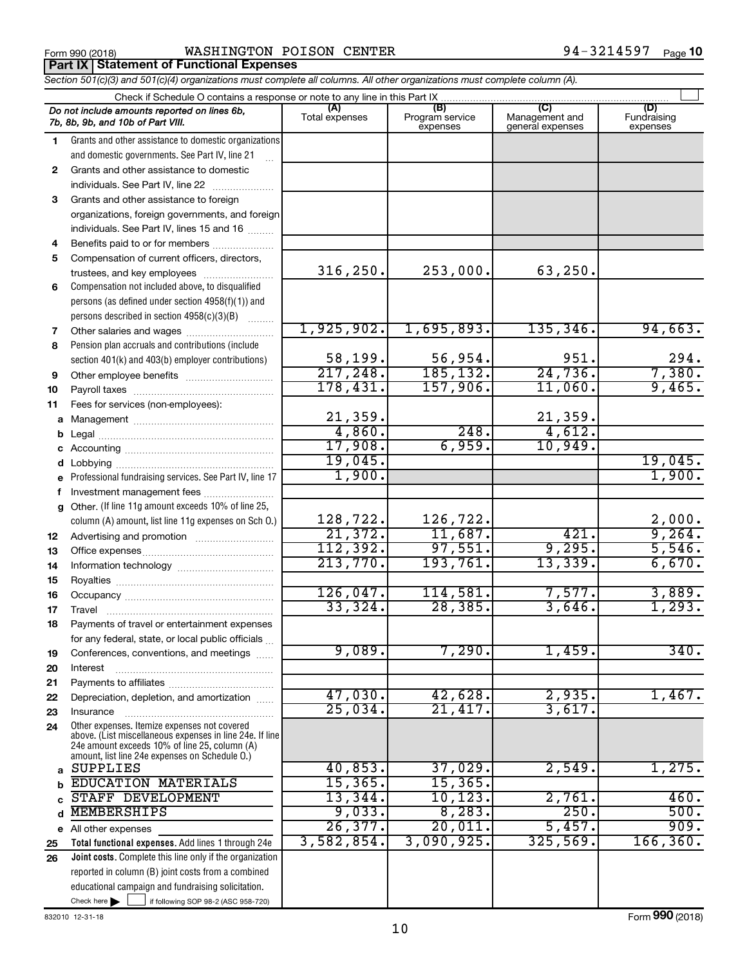Form 990 (2018) Page WASHINGTON POISON CENTER 94-3214597 **Part IX Statement of Functional Expenses**

*Section 501(c)(3) and 501(c)(4) organizations must complete all columns. All other organizations must complete column (A).*

|          | Check if Schedule O contains a response or note to any line in this Part IX                     |                       |                                    |                                    |                                |
|----------|-------------------------------------------------------------------------------------------------|-----------------------|------------------------------------|------------------------------------|--------------------------------|
|          | Do not include amounts reported on lines 6b,<br>7b, 8b, 9b, and 10b of Part VIII.               | (A)<br>Total expenses | (B)<br>Program service<br>expenses | Management and<br>general expenses | (D)<br>Fundraising<br>expenses |
| 1.       | Grants and other assistance to domestic organizations                                           |                       |                                    |                                    |                                |
|          | and domestic governments. See Part IV, line 21                                                  |                       |                                    |                                    |                                |
| 2        | Grants and other assistance to domestic                                                         |                       |                                    |                                    |                                |
|          | individuals. See Part IV, line 22                                                               |                       |                                    |                                    |                                |
| 3        | Grants and other assistance to foreign                                                          |                       |                                    |                                    |                                |
|          | organizations, foreign governments, and foreign                                                 |                       |                                    |                                    |                                |
|          | individuals. See Part IV, lines 15 and 16                                                       |                       |                                    |                                    |                                |
| 4        | Benefits paid to or for members                                                                 |                       |                                    |                                    |                                |
| 5        | Compensation of current officers, directors,                                                    |                       |                                    |                                    |                                |
|          | trustees, and key employees                                                                     | 316, 250.             | 253,000.                           | 63, 250.                           |                                |
| 6        | Compensation not included above, to disqualified                                                |                       |                                    |                                    |                                |
|          | persons (as defined under section 4958(f)(1)) and                                               |                       |                                    |                                    |                                |
|          | persons described in section 4958(c)(3)(B)                                                      |                       |                                    |                                    |                                |
| 7        | Other salaries and wages                                                                        | 1,925,902.            | 1,695,893.                         | 135, 346.                          | 94,663.                        |
| 8        | Pension plan accruals and contributions (include                                                |                       |                                    |                                    |                                |
|          | section 401(k) and 403(b) employer contributions)                                               | 58,199.               | $\frac{56,954}{185,132}$           | 951.                               | $\frac{294}{7,380}$ .          |
| 9        | Other employee benefits                                                                         | 217,248.              |                                    | 24,736.                            |                                |
| 10       |                                                                                                 | 178,431.              | 157,906.                           | 11,060.                            | 9,465.                         |
| 11       | Fees for services (non-employees):                                                              |                       |                                    |                                    |                                |
| a        |                                                                                                 | 21,359.               |                                    | 21,359.                            |                                |
| b        |                                                                                                 | 4,860.                | 248.                               | 4,612.                             |                                |
|          |                                                                                                 | 17,908.               | 6,959.                             | 10,949.                            |                                |
| d        |                                                                                                 | 19,045.               |                                    |                                    | 19,045.                        |
|          | Professional fundraising services. See Part IV, line 17                                         | 1,900.                |                                    |                                    | 1,900.                         |
| f        | Investment management fees                                                                      |                       |                                    |                                    |                                |
|          | g Other. (If line 11g amount exceeds 10% of line 25,                                            |                       |                                    |                                    |                                |
|          | column (A) amount, list line 11g expenses on Sch O.)                                            | 128,722.              | 126,722.                           |                                    | $\frac{2,000}{9,264}$          |
| 12       |                                                                                                 | 21,372.               | 11,687.                            | 421.                               |                                |
| 13       |                                                                                                 | 112,392.              | 97,551.                            | 9,295.                             | 5,546.                         |
| 14       |                                                                                                 | 213,770.              | 193,761.                           | 13,339.                            | 6,670.                         |
| 15       |                                                                                                 |                       |                                    |                                    |                                |
| 16       |                                                                                                 | 126,047.<br>33,324.   | 114,581.                           | 7,577.                             | 3,889.<br>1,293.               |
| 17       | Travel                                                                                          |                       | 28, 385.                           | 3,646.                             |                                |
| 18       | Payments of travel or entertainment expenses                                                    |                       |                                    |                                    |                                |
|          | for any federal, state, or local public officials                                               | 9,089.                | 7,290.                             | 1,459.                             | 340.                           |
| 19       | Conferences, conventions, and meetings                                                          |                       |                                    |                                    |                                |
| 20       | Interest                                                                                        |                       |                                    |                                    |                                |
| 21       | Depreciation, depletion, and amortization                                                       | 47,030.               | 42,628.                            | 2,935.                             | 1,467.                         |
| 22<br>23 | Insurance                                                                                       | 25,034.               | 21,417.                            | 3,617.                             |                                |
| 24       | Other expenses. Itemize expenses not covered                                                    |                       |                                    |                                    |                                |
|          | above. (List miscellaneous expenses in line 24e. If line                                        |                       |                                    |                                    |                                |
|          | 24e amount exceeds 10% of line 25, column (A)<br>amount, list line 24e expenses on Schedule O.) |                       |                                    |                                    |                                |
| a        | <b>SUPPLIES</b>                                                                                 | 40,853.               | 37,029.                            | 2,549.                             | 1,275.                         |
| b        | <b>EDUCATION MATERIALS</b>                                                                      | 15, 365.              | 15, 365.                           |                                    |                                |
| c        | STAFF DEVELOPMENT                                                                               | 13,344.               | 10, 123.                           | 2,761.                             | 460.                           |
| d        | <b>MEMBERSHIPS</b>                                                                              | 9,033.                | 8,283.                             | 250.                               | 500.                           |
|          | e All other expenses                                                                            | 26, 377.              | 20,011.                            | 5,457.                             | 909.                           |
| 25       | Total functional expenses. Add lines 1 through 24e                                              | 3,582,854.            | 3,090,925.                         | 325,569.                           | 166, 360.                      |
| 26       | Joint costs. Complete this line only if the organization                                        |                       |                                    |                                    |                                |
|          | reported in column (B) joint costs from a combined                                              |                       |                                    |                                    |                                |
|          | educational campaign and fundraising solicitation.                                              |                       |                                    |                                    |                                |
|          | Check here $\blacktriangleright$<br>if following SOP 98-2 (ASC 958-720)                         |                       |                                    |                                    |                                |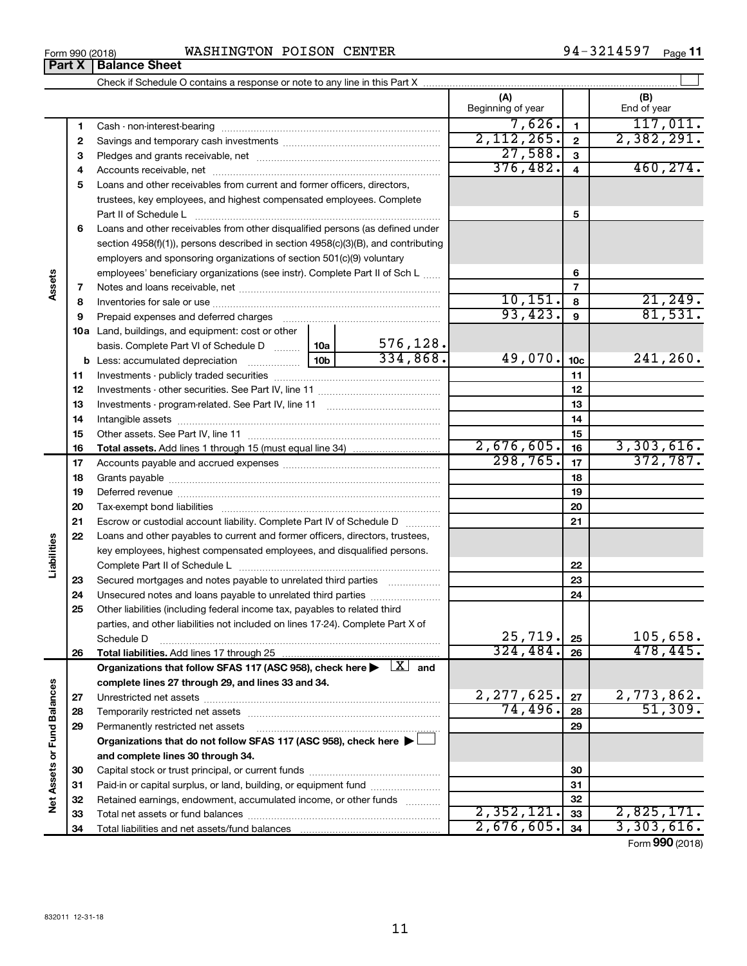**34**

Total liabilities and net assets/fund balances

|                             |          |                                                                                                                                |                                                                      |           | (A)<br>Beginning of year |                 | (B)<br>End of year     |
|-----------------------------|----------|--------------------------------------------------------------------------------------------------------------------------------|----------------------------------------------------------------------|-----------|--------------------------|-----------------|------------------------|
|                             | 1        |                                                                                                                                |                                                                      |           | 7,626.                   | $\blacksquare$  | 117,011.               |
|                             | 2        |                                                                                                                                |                                                                      |           | 2,112,265.               | $\mathbf{2}$    | 2,382,291.             |
|                             | З        |                                                                                                                                | 27,588.                                                              | 3         |                          |                 |                        |
|                             | 4        |                                                                                                                                |                                                                      | 376,482.  | 4                        | 460, 274.       |                        |
|                             | 5        | Loans and other receivables from current and former officers, directors,                                                       |                                                                      |           |                          |                 |                        |
|                             |          |                                                                                                                                | trustees, key employees, and highest compensated employees. Complete |           |                          |                 |                        |
|                             |          |                                                                                                                                |                                                                      |           |                          | 5               |                        |
|                             | 6        | Loans and other receivables from other disqualified persons (as defined under                                                  |                                                                      |           |                          |                 |                        |
|                             |          | section 4958(f)(1)), persons described in section 4958(c)(3)(B), and contributing                                              |                                                                      |           |                          |                 |                        |
|                             |          | employers and sponsoring organizations of section 501(c)(9) voluntary                                                          |                                                                      |           |                          |                 |                        |
|                             |          | employees' beneficiary organizations (see instr). Complete Part II of Sch L                                                    |                                                                      |           |                          | 6               |                        |
| Assets                      | 7        |                                                                                                                                |                                                                      |           |                          | $\overline{7}$  |                        |
|                             | 8        |                                                                                                                                |                                                                      |           | 10, 151.                 | 8               | 21, 249.               |
|                             | 9        | Prepaid expenses and deferred charges                                                                                          |                                                                      |           | 93,423.                  | 9               | 81,531.                |
|                             |          | 10a Land, buildings, and equipment: cost or other                                                                              |                                                                      |           |                          |                 |                        |
|                             |          | basis. Complete Part VI of Schedule D                                                                                          | 10a                                                                  | 576, 128. |                          |                 |                        |
|                             |          | <b>b</b> Less: accumulated depreciation <i></i>                                                                                | 10 <sub>b</sub>                                                      | 334,868.  | 49,070.                  | 10 <sub>c</sub> | 241, 260.              |
|                             | 11       |                                                                                                                                |                                                                      |           |                          | 11              |                        |
|                             | 12       |                                                                                                                                |                                                                      |           |                          | 12              |                        |
|                             | 13       |                                                                                                                                |                                                                      |           |                          | 13              |                        |
|                             | 14       |                                                                                                                                |                                                                      |           |                          | 14              |                        |
|                             | 15       |                                                                                                                                |                                                                      |           |                          | 15              |                        |
|                             | 16       |                                                                                                                                |                                                                      |           | 2,676,605.<br>298,765.   | 16              | 3,303,616.<br>372,787. |
|                             | 17       |                                                                                                                                |                                                                      |           |                          | 17              |                        |
|                             | 18       |                                                                                                                                |                                                                      |           |                          | 18              |                        |
|                             | 19       |                                                                                                                                |                                                                      |           |                          | 19              |                        |
|                             | 20       |                                                                                                                                |                                                                      |           |                          | 20              |                        |
|                             | 21       | Escrow or custodial account liability. Complete Part IV of Schedule D                                                          |                                                                      |           |                          | 21              |                        |
| Liabilities                 | 22       | Loans and other payables to current and former officers, directors, trustees,                                                  |                                                                      |           |                          |                 |                        |
|                             |          | key employees, highest compensated employees, and disqualified persons.                                                        |                                                                      |           |                          |                 |                        |
|                             |          |                                                                                                                                |                                                                      |           |                          | 22<br>23        |                        |
|                             | 23<br>24 | Secured mortgages and notes payable to unrelated third parties<br>Unsecured notes and loans payable to unrelated third parties |                                                                      |           |                          | 24              |                        |
|                             | 25       | Other liabilities (including federal income tax, payables to related third                                                     |                                                                      |           |                          |                 |                        |
|                             |          | parties, and other liabilities not included on lines 17-24). Complete Part X of                                                |                                                                      |           |                          |                 |                        |
|                             |          | Schedule D                                                                                                                     |                                                                      |           | 25,719.                  | 25              | 105,658.               |
|                             | 26       |                                                                                                                                |                                                                      |           | 324, 484.                | 26              | 478,445.               |
|                             |          | Organizations that follow SFAS 117 (ASC 958), check here $\blacktriangleright \begin{array}{c} \boxed{X} \end{array}$ and      |                                                                      |           |                          |                 |                        |
|                             |          | complete lines 27 through 29, and lines 33 and 34.                                                                             |                                                                      |           |                          |                 |                        |
|                             | 27       |                                                                                                                                |                                                                      |           | 2,277,625.               | 27              | 2,773,862.             |
|                             | 28       |                                                                                                                                |                                                                      |           | 74,496.                  | 28              | 51,309.                |
|                             | 29       | Permanently restricted net assets                                                                                              |                                                                      |           |                          | 29              |                        |
|                             |          | Organizations that do not follow SFAS 117 (ASC 958), check here ▶                                                              |                                                                      |           |                          |                 |                        |
|                             |          | and complete lines 30 through 34.                                                                                              |                                                                      |           |                          |                 |                        |
|                             | 30       |                                                                                                                                |                                                                      |           |                          | 30              |                        |
|                             | 31       | Paid-in or capital surplus, or land, building, or equipment fund                                                               |                                                                      |           |                          | 31              |                        |
| Net Assets or Fund Balances | 32       | Retained earnings, endowment, accumulated income, or other funds                                                               |                                                                      |           |                          | 32              |                        |
|                             | 33       |                                                                                                                                |                                                                      |           | 2,352,121.               | 33              | 2,825,171.             |

Form (2018) **990**

**34**

 $2,676,605.$  3, 303, 616.

**Part X Balance Sheet**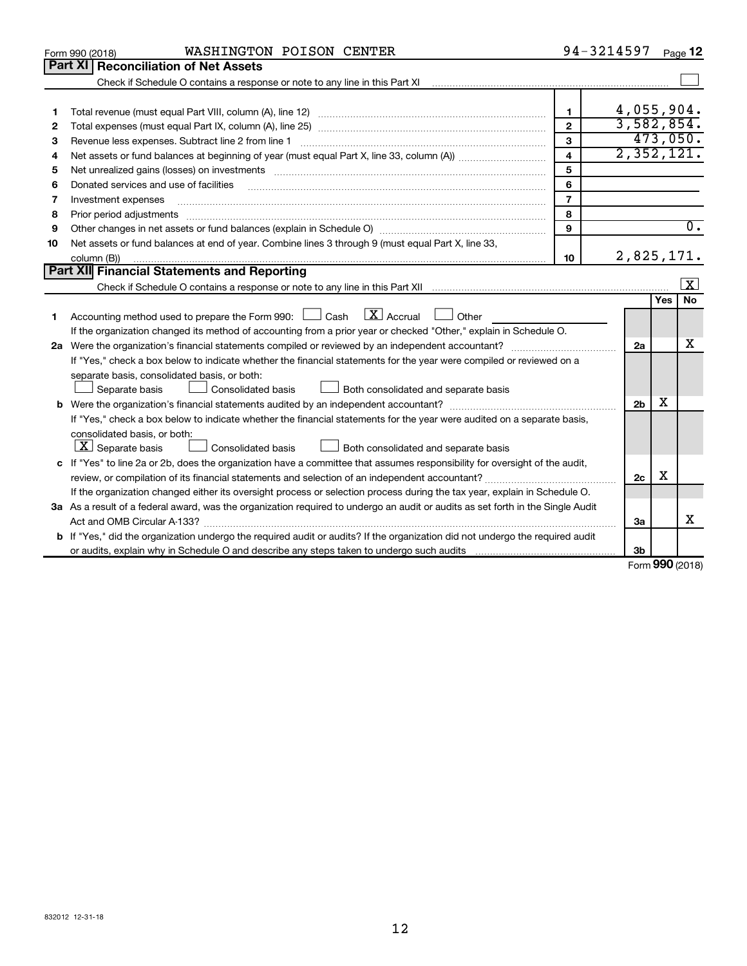|    | WASHINGTON POISON CENTER<br>Form 990 (2018)                                                                                                                              |                         | 94-3214597     |     | Page 12                 |
|----|--------------------------------------------------------------------------------------------------------------------------------------------------------------------------|-------------------------|----------------|-----|-------------------------|
|    | Part XI<br><b>Reconciliation of Net Assets</b>                                                                                                                           |                         |                |     |                         |
|    |                                                                                                                                                                          |                         |                |     |                         |
|    |                                                                                                                                                                          |                         |                |     |                         |
| 1  |                                                                                                                                                                          | 1                       |                |     | 4,055,904.              |
| 2  |                                                                                                                                                                          | $\mathbf{2}$            |                |     | 3,582,854.              |
| з  | Revenue less expenses. Subtract line 2 from line 1                                                                                                                       | 3                       |                |     | 473,050.                |
| 4  |                                                                                                                                                                          | $\overline{\mathbf{4}}$ |                |     | 2,352,121.              |
| 5  |                                                                                                                                                                          | 5                       |                |     |                         |
| 6  | Donated services and use of facilities                                                                                                                                   | 6                       |                |     |                         |
| 7  | Investment expenses                                                                                                                                                      | $\overline{7}$          |                |     |                         |
| 8  | Prior period adjustments manufactured and content and content and all the manufactured adjustments manufacture                                                           | 8                       |                |     |                         |
| 9  |                                                                                                                                                                          | 9                       |                |     | $\overline{0}$ .        |
| 10 | Net assets or fund balances at end of year. Combine lines 3 through 9 (must equal Part X, line 33,                                                                       |                         |                |     |                         |
|    | column (B))                                                                                                                                                              | 10                      |                |     | 2,825,171.              |
|    | Part XII Financial Statements and Reporting                                                                                                                              |                         |                |     |                         |
|    | Check if Schedule O contains a response or note to any line in this Part XII [11] [11] [11] Check if Schedule O contains a response or note to any line in this Part XII |                         |                |     | $\overline{\mathbf{x}}$ |
|    |                                                                                                                                                                          |                         |                | Yes | No                      |
| 1. | $\lfloor x \rfloor$ Accrual<br>Accounting method used to prepare the Form 990: $\Box$ Cash<br>$\Box$ Other                                                               |                         |                |     |                         |
|    | If the organization changed its method of accounting from a prior year or checked "Other," explain in Schedule O.                                                        |                         |                |     |                         |
|    |                                                                                                                                                                          |                         | 2a             |     | x                       |
|    | If "Yes," check a box below to indicate whether the financial statements for the year were compiled or reviewed on a                                                     |                         |                |     |                         |
|    | separate basis, consolidated basis, or both:                                                                                                                             |                         |                |     |                         |
|    | Both consolidated and separate basis<br>Separate basis<br>Consolidated basis                                                                                             |                         |                |     |                         |
|    |                                                                                                                                                                          |                         | 2 <sub>b</sub> | х   |                         |
|    | If "Yes," check a box below to indicate whether the financial statements for the year were audited on a separate basis,                                                  |                         |                |     |                         |
|    | consolidated basis, or both:                                                                                                                                             |                         |                |     |                         |
|    | $ \mathbf{X} $ Separate basis<br>Consolidated basis<br>Both consolidated and separate basis                                                                              |                         |                |     |                         |
|    | c If "Yes" to line 2a or 2b, does the organization have a committee that assumes responsibility for oversight of the audit,                                              |                         |                |     |                         |
|    | review, or compilation of its financial statements and selection of an independent accountant?                                                                           |                         | 2c             | X   |                         |
|    | If the organization changed either its oversight process or selection process during the tax year, explain in Schedule O.                                                |                         |                |     |                         |
|    | 3a As a result of a federal award, was the organization required to undergo an audit or audits as set forth in the Single Audit                                          |                         |                |     |                         |
|    |                                                                                                                                                                          |                         | 3a             |     | x                       |
|    | b If "Yes," did the organization undergo the required audit or audits? If the organization did not undergo the required audit                                            |                         |                |     |                         |
|    |                                                                                                                                                                          |                         | 3b             |     |                         |

Form (2018) **990**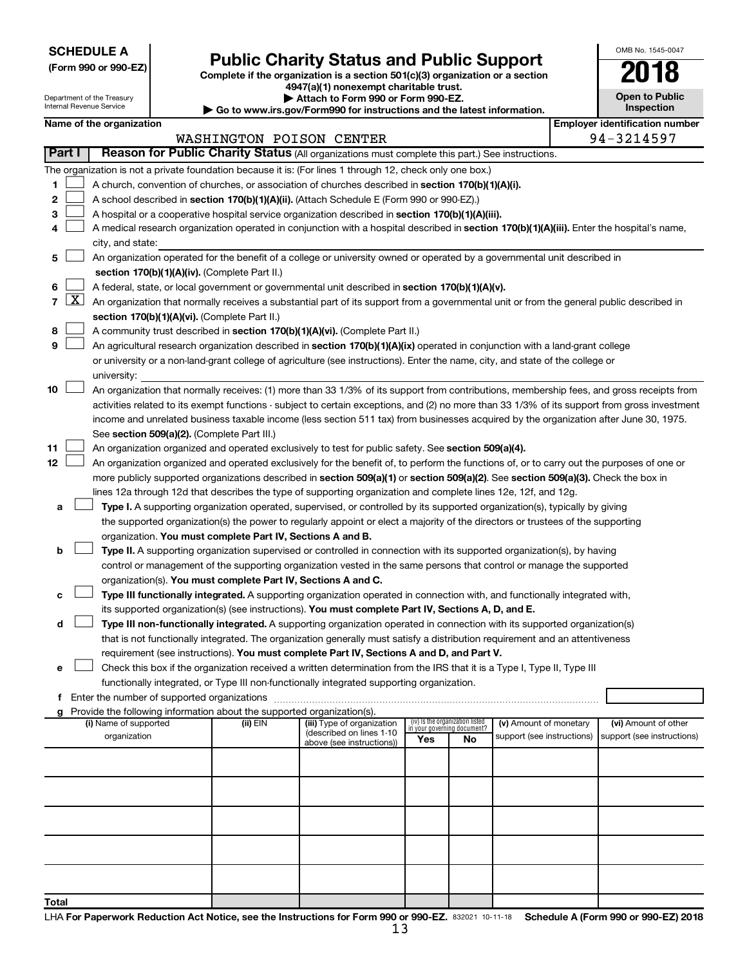**SCHEDULE A**

Department of the Treasury Internal Revenue Service

| (Form 990 or 990-EZ) |  |  |  |  |
|----------------------|--|--|--|--|
|----------------------|--|--|--|--|

## Form 990 or 990-EZ)<br>
Complete if the organization is a section 501(c)(3) organization or a section<br> **Public Charity Status and Public Support**

**4947(a)(1) nonexempt charitable trust. | Attach to Form 990 or Form 990-EZ.** 

**| Go to www.irs.gov/Form990 for instructions and the latest information.**

| 2018                                  |
|---------------------------------------|
| <b>Open to Public</b><br>Inspection   |
| <b>Employer identification number</b> |

OMB No. 1545-0047

|  | Name of the organization |
|--|--------------------------|
|--|--------------------------|

| Part I<br>Reason for Public Charity Status (All organizations must complete this part.) See instructions.                                                                          | 94-3214597                                                                                                           |  |  |  |  |  |  |  |
|------------------------------------------------------------------------------------------------------------------------------------------------------------------------------------|----------------------------------------------------------------------------------------------------------------------|--|--|--|--|--|--|--|
|                                                                                                                                                                                    |                                                                                                                      |  |  |  |  |  |  |  |
| The organization is not a private foundation because it is: (For lines 1 through 12, check only one box.)                                                                          |                                                                                                                      |  |  |  |  |  |  |  |
| A church, convention of churches, or association of churches described in section 170(b)(1)(A)(i).<br>1.                                                                           |                                                                                                                      |  |  |  |  |  |  |  |
| 2<br>A school described in section 170(b)(1)(A)(ii). (Attach Schedule E (Form 990 or 990-EZ).)                                                                                     |                                                                                                                      |  |  |  |  |  |  |  |
| 3<br>A hospital or a cooperative hospital service organization described in section 170(b)(1)(A)(iii).                                                                             |                                                                                                                      |  |  |  |  |  |  |  |
| A medical research organization operated in conjunction with a hospital described in section 170(b)(1)(A)(iii). Enter the hospital's name,<br>4                                    |                                                                                                                      |  |  |  |  |  |  |  |
| city, and state:                                                                                                                                                                   |                                                                                                                      |  |  |  |  |  |  |  |
| An organization operated for the benefit of a college or university owned or operated by a governmental unit described in<br>5                                                     |                                                                                                                      |  |  |  |  |  |  |  |
| section 170(b)(1)(A)(iv). (Complete Part II.)                                                                                                                                      |                                                                                                                      |  |  |  |  |  |  |  |
| A federal, state, or local government or governmental unit described in section 170(b)(1)(A)(v).<br>6                                                                              |                                                                                                                      |  |  |  |  |  |  |  |
| $\lfloor x \rfloor$<br>$\overline{7}$<br>An organization that normally receives a substantial part of its support from a governmental unit or from the general public described in |                                                                                                                      |  |  |  |  |  |  |  |
| section 170(b)(1)(A)(vi). (Complete Part II.)                                                                                                                                      |                                                                                                                      |  |  |  |  |  |  |  |
| A community trust described in section 170(b)(1)(A)(vi). (Complete Part II.)<br>8                                                                                                  |                                                                                                                      |  |  |  |  |  |  |  |
| 9<br>An agricultural research organization described in section 170(b)(1)(A)(ix) operated in conjunction with a land-grant college                                                 |                                                                                                                      |  |  |  |  |  |  |  |
| or university or a non-land-grant college of agriculture (see instructions). Enter the name, city, and state of the college or                                                     |                                                                                                                      |  |  |  |  |  |  |  |
| university:                                                                                                                                                                        |                                                                                                                      |  |  |  |  |  |  |  |
| 10<br>An organization that normally receives: (1) more than 33 1/3% of its support from contributions, membership fees, and gross receipts from                                    |                                                                                                                      |  |  |  |  |  |  |  |
| activities related to its exempt functions - subject to certain exceptions, and (2) no more than 33 1/3% of its support from gross investment                                      |                                                                                                                      |  |  |  |  |  |  |  |
| income and unrelated business taxable income (less section 511 tax) from businesses acquired by the organization after June 30, 1975.                                              |                                                                                                                      |  |  |  |  |  |  |  |
| See section 509(a)(2). (Complete Part III.)                                                                                                                                        |                                                                                                                      |  |  |  |  |  |  |  |
| 11<br>An organization organized and operated exclusively to test for public safety. See section 509(a)(4).                                                                         |                                                                                                                      |  |  |  |  |  |  |  |
| 12<br>An organization organized and operated exclusively for the benefit of, to perform the functions of, or to carry out the purposes of one or                                   |                                                                                                                      |  |  |  |  |  |  |  |
| more publicly supported organizations described in section 509(a)(1) or section 509(a)(2). See section 509(a)(3). Check the box in                                                 |                                                                                                                      |  |  |  |  |  |  |  |
| lines 12a through 12d that describes the type of supporting organization and complete lines 12e, 12f, and 12g.                                                                     |                                                                                                                      |  |  |  |  |  |  |  |
| Type I. A supporting organization operated, supervised, or controlled by its supported organization(s), typically by giving<br>а                                                   |                                                                                                                      |  |  |  |  |  |  |  |
| the supported organization(s) the power to regularly appoint or elect a majority of the directors or trustees of the supporting                                                    |                                                                                                                      |  |  |  |  |  |  |  |
| organization. You must complete Part IV, Sections A and B.                                                                                                                         |                                                                                                                      |  |  |  |  |  |  |  |
| Type II. A supporting organization supervised or controlled in connection with its supported organization(s), by having                                                            |                                                                                                                      |  |  |  |  |  |  |  |
|                                                                                                                                                                                    | control or management of the supporting organization vested in the same persons that control or manage the supported |  |  |  |  |  |  |  |
| organization(s). You must complete Part IV, Sections A and C.                                                                                                                      |                                                                                                                      |  |  |  |  |  |  |  |
| Type III functionally integrated. A supporting organization operated in connection with, and functionally integrated with,<br>с                                                    |                                                                                                                      |  |  |  |  |  |  |  |
| its supported organization(s) (see instructions). You must complete Part IV, Sections A, D, and E.                                                                                 |                                                                                                                      |  |  |  |  |  |  |  |
| Type III non-functionally integrated. A supporting organization operated in connection with its supported organization(s)<br>d                                                     |                                                                                                                      |  |  |  |  |  |  |  |
| that is not functionally integrated. The organization generally must satisfy a distribution requirement and an attentiveness                                                       |                                                                                                                      |  |  |  |  |  |  |  |
| requirement (see instructions). You must complete Part IV, Sections A and D, and Part V.                                                                                           |                                                                                                                      |  |  |  |  |  |  |  |
| Check this box if the organization received a written determination from the IRS that it is a Type I, Type II, Type III<br>е                                                       |                                                                                                                      |  |  |  |  |  |  |  |
| functionally integrated, or Type III non-functionally integrated supporting organization.                                                                                          |                                                                                                                      |  |  |  |  |  |  |  |
| Enter the number of supported organizations<br>f.                                                                                                                                  |                                                                                                                      |  |  |  |  |  |  |  |
| Provide the following information about the supported organization(s).<br>a                                                                                                        |                                                                                                                      |  |  |  |  |  |  |  |
| (iv) Is the organization listed<br>(i) Name of supported<br>(ii) EIN<br>(iii) Type of organization<br>(v) Amount of monetary<br>in your governing document?                        | (vi) Amount of other                                                                                                 |  |  |  |  |  |  |  |
| (described on lines 1-10<br>organization<br>support (see instructions)<br>Yes<br>No<br>above (see instructions))                                                                   | support (see instructions)                                                                                           |  |  |  |  |  |  |  |
|                                                                                                                                                                                    |                                                                                                                      |  |  |  |  |  |  |  |
|                                                                                                                                                                                    |                                                                                                                      |  |  |  |  |  |  |  |
|                                                                                                                                                                                    |                                                                                                                      |  |  |  |  |  |  |  |
|                                                                                                                                                                                    |                                                                                                                      |  |  |  |  |  |  |  |
|                                                                                                                                                                                    |                                                                                                                      |  |  |  |  |  |  |  |
|                                                                                                                                                                                    |                                                                                                                      |  |  |  |  |  |  |  |
|                                                                                                                                                                                    |                                                                                                                      |  |  |  |  |  |  |  |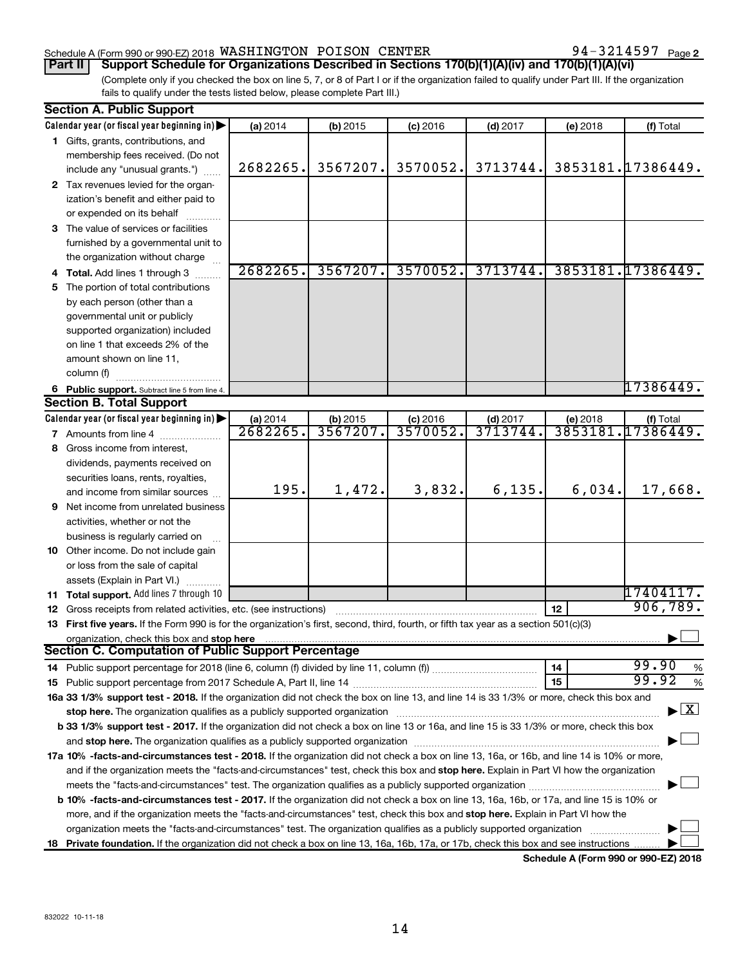#### Schedule A (Form 990 or 990-EZ) 2018  $\,$  WASHINGTON POISON CENTER  $\,$  94  $-$  3214597  $\,$  Page

94-3214597 Page 2

(Complete only if you checked the box on line 5, 7, or 8 of Part I or if the organization failed to qualify under Part III. If the organization fails to qualify under the tests listed below, please complete Part III.) **Part II Support Schedule for Organizations Described in Sections 170(b)(1)(A)(iv) and 170(b)(1)(A)(vi)**

|    | <b>Section A. Public Support</b>                                                                                                               |          |          |            |                     |          |                                          |
|----|------------------------------------------------------------------------------------------------------------------------------------------------|----------|----------|------------|---------------------|----------|------------------------------------------|
|    | Calendar year (or fiscal year beginning in)                                                                                                    | (a) 2014 | (b) 2015 | $(c)$ 2016 | $(d)$ 2017          | (e) 2018 | (f) Total                                |
|    | 1 Gifts, grants, contributions, and                                                                                                            |          |          |            |                     |          |                                          |
|    | membership fees received. (Do not                                                                                                              |          |          |            |                     |          |                                          |
|    | include any "unusual grants.")                                                                                                                 | 2682265. | 3567207. | 3570052.   | 3713744.            |          | 3853181.17386449.                        |
|    | 2 Tax revenues levied for the organ-                                                                                                           |          |          |            |                     |          |                                          |
|    | ization's benefit and either paid to                                                                                                           |          |          |            |                     |          |                                          |
|    | or expended on its behalf                                                                                                                      |          |          |            |                     |          |                                          |
|    | 3 The value of services or facilities                                                                                                          |          |          |            |                     |          |                                          |
|    | furnished by a governmental unit to                                                                                                            |          |          |            |                     |          |                                          |
|    | the organization without charge                                                                                                                |          |          |            |                     |          |                                          |
|    | 4 Total. Add lines 1 through 3                                                                                                                 | 2682265. | 3567207. | 3570052.   | 3713744.            |          | 3853181.17386449.                        |
| 5  | The portion of total contributions                                                                                                             |          |          |            |                     |          |                                          |
|    | by each person (other than a                                                                                                                   |          |          |            |                     |          |                                          |
|    | governmental unit or publicly                                                                                                                  |          |          |            |                     |          |                                          |
|    | supported organization) included                                                                                                               |          |          |            |                     |          |                                          |
|    | on line 1 that exceeds 2% of the                                                                                                               |          |          |            |                     |          |                                          |
|    | amount shown on line 11,                                                                                                                       |          |          |            |                     |          |                                          |
|    | column (f)                                                                                                                                     |          |          |            |                     |          |                                          |
|    | 6 Public support. Subtract line 5 from line 4.                                                                                                 |          |          |            |                     |          | 17386449.                                |
|    | <b>Section B. Total Support</b>                                                                                                                |          |          |            |                     |          |                                          |
|    | Calendar year (or fiscal year beginning in)                                                                                                    | (a) 2014 | (b) 2015 | $(c)$ 2016 |                     | (e) 2018 | (f) Total                                |
|    | 7 Amounts from line 4 [11, 11, 11, 11]                                                                                                         | 2682265  | 3567207  | 3570052.   | (d) 2017<br>3713744 |          | 3853181.17386449.                        |
| 8  | Gross income from interest,                                                                                                                    |          |          |            |                     |          |                                          |
|    | dividends, payments received on                                                                                                                |          |          |            |                     |          |                                          |
|    | securities loans, rents, royalties,                                                                                                            |          |          |            |                     |          |                                          |
|    | and income from similar sources                                                                                                                | 195.     | 1,472.   | 3,832.     | 6, 135.             | 6,034.   | 17,668.                                  |
| 9  | Net income from unrelated business                                                                                                             |          |          |            |                     |          |                                          |
|    | activities, whether or not the                                                                                                                 |          |          |            |                     |          |                                          |
|    | business is regularly carried on                                                                                                               |          |          |            |                     |          |                                          |
|    | 10 Other income. Do not include gain                                                                                                           |          |          |            |                     |          |                                          |
|    | or loss from the sale of capital                                                                                                               |          |          |            |                     |          |                                          |
|    | assets (Explain in Part VI.)                                                                                                                   |          |          |            |                     |          |                                          |
|    | 11 Total support. Add lines 7 through 10                                                                                                       |          |          |            |                     |          | 17404117.                                |
|    | <b>12</b> Gross receipts from related activities, etc. (see instructions)                                                                      |          |          |            |                     | 12       | 906, 789.                                |
|    | 13 First five years. If the Form 990 is for the organization's first, second, third, fourth, or fifth tax year as a section 501(c)(3)          |          |          |            |                     |          |                                          |
|    | organization, check this box and stop here                                                                                                     |          |          |            |                     |          |                                          |
|    | Section C. Computation of Public Support Percentage                                                                                            |          |          |            |                     |          |                                          |
|    |                                                                                                                                                |          |          |            |                     | 14       | 99.90<br>%                               |
|    |                                                                                                                                                |          |          |            |                     | 15       | 99.92<br>%                               |
|    | 16a 33 1/3% support test - 2018. If the organization did not check the box on line 13, and line 14 is 33 1/3% or more, check this box and      |          |          |            |                     |          |                                          |
|    | stop here. The organization qualifies as a publicly supported organization                                                                     |          |          |            |                     |          | $\blacktriangleright$ $\boxed{\text{X}}$ |
|    | b 33 1/3% support test - 2017. If the organization did not check a box on line 13 or 16a, and line 15 is 33 1/3% or more, check this box       |          |          |            |                     |          |                                          |
|    |                                                                                                                                                |          |          |            |                     |          |                                          |
|    | 17a 10% -facts-and-circumstances test - 2018. If the organization did not check a box on line 13, 16a, or 16b, and line 14 is 10% or more,     |          |          |            |                     |          |                                          |
|    | and if the organization meets the "facts-and-circumstances" test, check this box and stop here. Explain in Part VI how the organization        |          |          |            |                     |          |                                          |
|    |                                                                                                                                                |          |          |            |                     |          |                                          |
|    | <b>b 10%</b> -facts-and-circumstances test - 2017. If the organization did not check a box on line 13, 16a, 16b, or 17a, and line 15 is 10% or |          |          |            |                     |          |                                          |
|    | more, and if the organization meets the "facts-and-circumstances" test, check this box and stop here. Explain in Part VI how the               |          |          |            |                     |          |                                          |
|    | organization meets the "facts-and-circumstances" test. The organization qualifies as a publicly supported organization                         |          |          |            |                     |          |                                          |
| 18 | Private foundation. If the organization did not check a box on line 13, 16a, 16b, 17a, or 17b, check this box and see instructions             |          |          |            |                     |          |                                          |
|    |                                                                                                                                                |          |          |            |                     |          |                                          |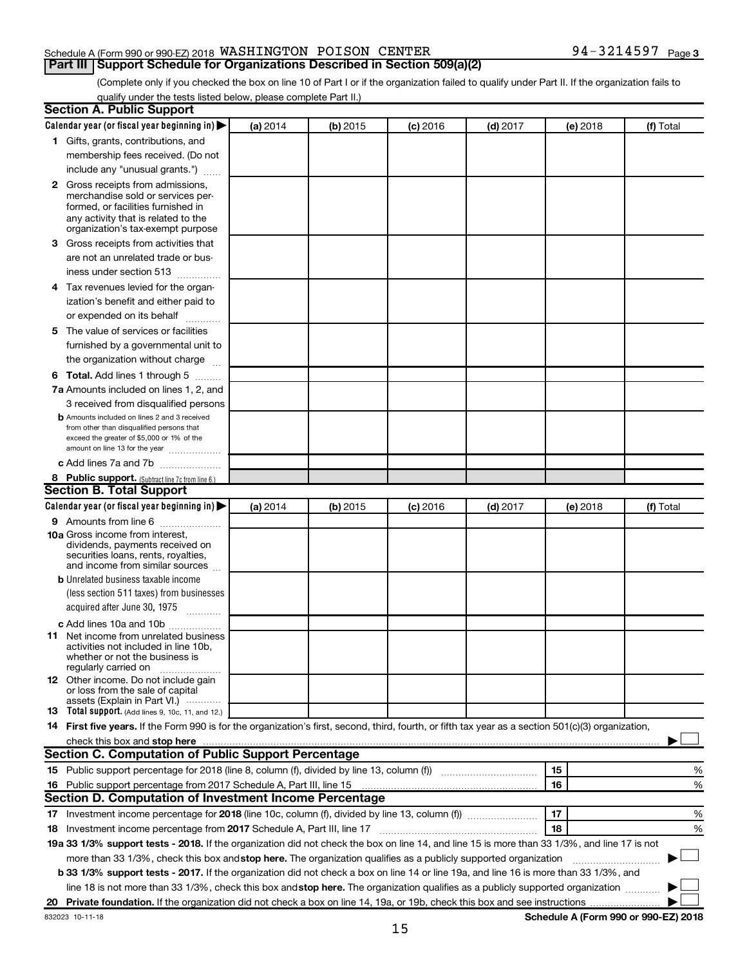#### Schedule A (Form 990 or 990-EZ) 2018  $\,$  WASHINGTON POISON CENTER  $\,$  94  $-$  3214597  $\,$  Page

(Complete only if you checked the box on line 10 of Part I or if the organization failed to qualify under Part II. If the organization fails to **Part III Support Schedule for Organizations Described in Section 509(a)(2)** 

qualify under the tests listed below, please complete Part II.)

|    | <b>Section A. Public Support</b>                                                                                                                                                                                               |          |          |            |            |          |                                      |
|----|--------------------------------------------------------------------------------------------------------------------------------------------------------------------------------------------------------------------------------|----------|----------|------------|------------|----------|--------------------------------------|
|    | Calendar year (or fiscal year beginning in)                                                                                                                                                                                    | (a) 2014 | (b) 2015 | $(c)$ 2016 | $(d)$ 2017 | (e) 2018 | (f) Total                            |
|    | 1 Gifts, grants, contributions, and                                                                                                                                                                                            |          |          |            |            |          |                                      |
|    | membership fees received. (Do not                                                                                                                                                                                              |          |          |            |            |          |                                      |
|    | include any "unusual grants.")                                                                                                                                                                                                 |          |          |            |            |          |                                      |
|    | 2 Gross receipts from admissions,<br>merchandise sold or services per-<br>formed, or facilities furnished in<br>any activity that is related to the<br>organization's tax-exempt purpose                                       |          |          |            |            |          |                                      |
|    | 3 Gross receipts from activities that                                                                                                                                                                                          |          |          |            |            |          |                                      |
|    | are not an unrelated trade or bus-<br>iness under section 513                                                                                                                                                                  |          |          |            |            |          |                                      |
|    | 4 Tax revenues levied for the organ-                                                                                                                                                                                           |          |          |            |            |          |                                      |
|    | ization's benefit and either paid to                                                                                                                                                                                           |          |          |            |            |          |                                      |
|    | or expended on its behalf                                                                                                                                                                                                      |          |          |            |            |          |                                      |
|    | 5 The value of services or facilities                                                                                                                                                                                          |          |          |            |            |          |                                      |
|    | furnished by a governmental unit to                                                                                                                                                                                            |          |          |            |            |          |                                      |
|    | the organization without charge                                                                                                                                                                                                |          |          |            |            |          |                                      |
|    | <b>6 Total.</b> Add lines 1 through 5                                                                                                                                                                                          |          |          |            |            |          |                                      |
|    | 7a Amounts included on lines 1, 2, and                                                                                                                                                                                         |          |          |            |            |          |                                      |
|    | 3 received from disqualified persons                                                                                                                                                                                           |          |          |            |            |          |                                      |
|    | <b>b</b> Amounts included on lines 2 and 3 received<br>from other than disqualified persons that<br>exceed the greater of \$5,000 or 1% of the<br>amount on line 13 for the year                                               |          |          |            |            |          |                                      |
|    | c Add lines 7a and 7b                                                                                                                                                                                                          |          |          |            |            |          |                                      |
|    | 8 Public support. (Subtract line 7c from line 6.)                                                                                                                                                                              |          |          |            |            |          |                                      |
|    | <b>Section B. Total Support</b>                                                                                                                                                                                                |          |          |            |            |          |                                      |
|    | Calendar year (or fiscal year beginning in)                                                                                                                                                                                    | (a) 2014 | (b) 2015 | $(c)$ 2016 | $(d)$ 2017 | (e) 2018 | (f) Total                            |
|    | <b>9</b> Amounts from line 6                                                                                                                                                                                                   |          |          |            |            |          |                                      |
|    | <b>10a</b> Gross income from interest,<br>dividends, payments received on<br>securities loans, rents, royalties,<br>and income from similar sources                                                                            |          |          |            |            |          |                                      |
|    | <b>b</b> Unrelated business taxable income                                                                                                                                                                                     |          |          |            |            |          |                                      |
|    | (less section 511 taxes) from businesses                                                                                                                                                                                       |          |          |            |            |          |                                      |
|    | acquired after June 30, 1975<br>$\mathcal{L}$ . The contract of $\mathcal{L}$                                                                                                                                                  |          |          |            |            |          |                                      |
|    | c Add lines 10a and 10b<br><b>11</b> Net income from unrelated business<br>activities not included in line 10b.<br>whether or not the business is<br>regularly carried on                                                      |          |          |            |            |          |                                      |
|    | <b>12</b> Other income. Do not include gain<br>or loss from the sale of capital<br>assets (Explain in Part VI.)                                                                                                                |          |          |            |            |          |                                      |
|    | <b>13</b> Total support. (Add lines 9, 10c, 11, and 12.)                                                                                                                                                                       |          |          |            |            |          |                                      |
|    | 14 First five years. If the Form 990 is for the organization's first, second, third, fourth, or fifth tax year as a section 501(c)(3) organization,                                                                            |          |          |            |            |          |                                      |
|    | check this box and stop here Mathematical Communication and stop here Mathematical Communication and stop here Mathematical Communication and Stop here Mathematical Communication and Stop here Mathematical Communication an |          |          |            |            |          |                                      |
|    | <b>Section C. Computation of Public Support Percentage</b>                                                                                                                                                                     |          |          |            |            |          |                                      |
|    |                                                                                                                                                                                                                                |          |          |            |            | 15       | %                                    |
|    | 16 Public support percentage from 2017 Schedule A, Part III, line 15                                                                                                                                                           |          |          |            |            | 16       | %                                    |
|    | Section D. Computation of Investment Income Percentage                                                                                                                                                                         |          |          |            |            |          |                                      |
|    |                                                                                                                                                                                                                                |          |          |            |            | 17       | %                                    |
|    | 18 Investment income percentage from 2017 Schedule A, Part III, line 17                                                                                                                                                        |          |          |            |            | 18       | %                                    |
|    | 19a 33 1/3% support tests - 2018. If the organization did not check the box on line 14, and line 15 is more than 33 1/3%, and line 17 is not                                                                                   |          |          |            |            |          |                                      |
|    | more than 33 1/3%, check this box and stop here. The organization qualifies as a publicly supported organization                                                                                                               |          |          |            |            |          |                                      |
|    | <b>b 33 1/3% support tests - 2017.</b> If the organization did not check a box on line 14 or line 19a, and line 16 is more than 33 1/3%, and                                                                                   |          |          |            |            |          |                                      |
|    | line 18 is not more than 33 1/3%, check this box and stop here. The organization qualifies as a publicly supported organization                                                                                                |          |          |            |            |          |                                      |
| 20 |                                                                                                                                                                                                                                |          |          |            |            |          |                                      |
|    | 832023 10-11-18                                                                                                                                                                                                                |          |          |            |            |          | Schedule A (Form 990 or 990-EZ) 2018 |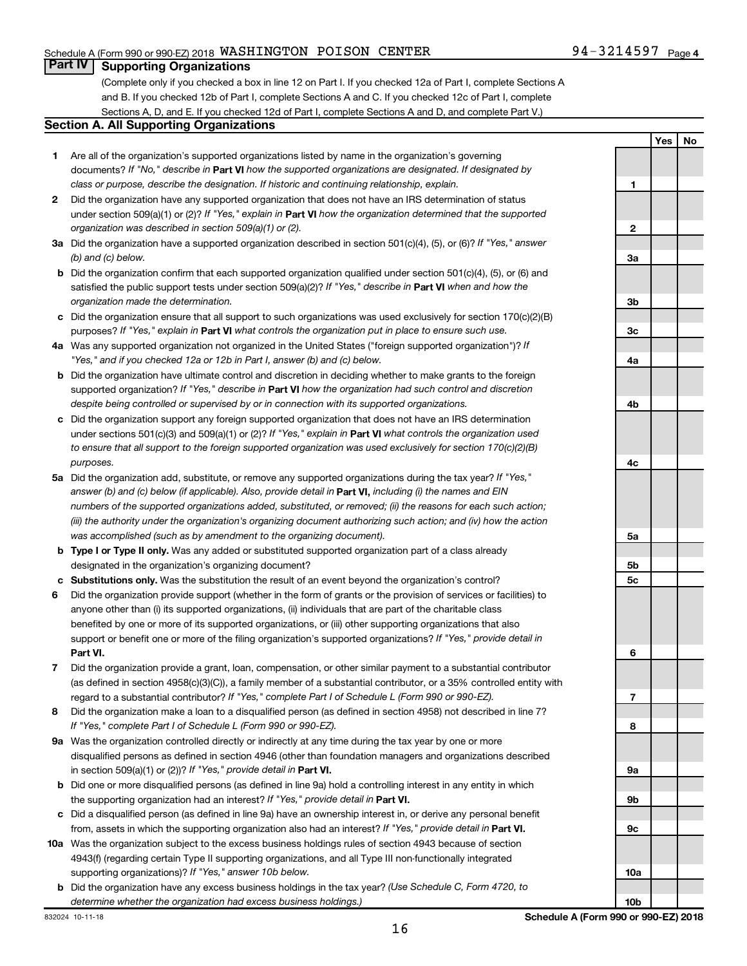**Yes No**

### **Part IV Supporting Organizations**

(Complete only if you checked a box in line 12 on Part I. If you checked 12a of Part I, complete Sections A and B. If you checked 12b of Part I, complete Sections A and C. If you checked 12c of Part I, complete Sections A, D, and E. If you checked 12d of Part I, complete Sections A and D, and complete Part V.)

#### **Section A. All Supporting Organizations**

- **1** Are all of the organization's supported organizations listed by name in the organization's governing documents? If "No," describe in Part VI how the supported organizations are designated. If designated by *class or purpose, describe the designation. If historic and continuing relationship, explain.*
- **2** Did the organization have any supported organization that does not have an IRS determination of status under section 509(a)(1) or (2)? If "Yes," explain in Part **VI** how the organization determined that the supported *organization was described in section 509(a)(1) or (2).*
- **3a** Did the organization have a supported organization described in section 501(c)(4), (5), or (6)? If "Yes," answer *(b) and (c) below.*
- **b** Did the organization confirm that each supported organization qualified under section 501(c)(4), (5), or (6) and satisfied the public support tests under section 509(a)(2)? If "Yes," describe in Part VI when and how the *organization made the determination.*
- **c** Did the organization ensure that all support to such organizations was used exclusively for section 170(c)(2)(B) purposes? If "Yes," explain in Part VI what controls the organization put in place to ensure such use.
- **4 a** *If* Was any supported organization not organized in the United States ("foreign supported organization")? *"Yes," and if you checked 12a or 12b in Part I, answer (b) and (c) below.*
- **b** Did the organization have ultimate control and discretion in deciding whether to make grants to the foreign supported organization? If "Yes," describe in Part VI how the organization had such control and discretion *despite being controlled or supervised by or in connection with its supported organizations.*
- **c** Did the organization support any foreign supported organization that does not have an IRS determination under sections 501(c)(3) and 509(a)(1) or (2)? If "Yes," explain in Part VI what controls the organization used *to ensure that all support to the foreign supported organization was used exclusively for section 170(c)(2)(B) purposes.*
- **5a** Did the organization add, substitute, or remove any supported organizations during the tax year? If "Yes," answer (b) and (c) below (if applicable). Also, provide detail in **Part VI,** including (i) the names and EIN *numbers of the supported organizations added, substituted, or removed; (ii) the reasons for each such action; (iii) the authority under the organization's organizing document authorizing such action; and (iv) how the action was accomplished (such as by amendment to the organizing document).*
- **b Type I or Type II only.** Was any added or substituted supported organization part of a class already designated in the organization's organizing document?
- **c Substitutions only.**  Was the substitution the result of an event beyond the organization's control?
- **6** Did the organization provide support (whether in the form of grants or the provision of services or facilities) to **Part VI.** support or benefit one or more of the filing organization's supported organizations? If "Yes," provide detail in anyone other than (i) its supported organizations, (ii) individuals that are part of the charitable class benefited by one or more of its supported organizations, or (iii) other supporting organizations that also
- **7** Did the organization provide a grant, loan, compensation, or other similar payment to a substantial contributor regard to a substantial contributor? If "Yes," complete Part I of Schedule L (Form 990 or 990-EZ). (as defined in section 4958(c)(3)(C)), a family member of a substantial contributor, or a 35% controlled entity with
- **8** Did the organization make a loan to a disqualified person (as defined in section 4958) not described in line 7? *If "Yes," complete Part I of Schedule L (Form 990 or 990-EZ).*
- **9 a** Was the organization controlled directly or indirectly at any time during the tax year by one or more in section 509(a)(1) or (2))? If "Yes," provide detail in **Part VI.** disqualified persons as defined in section 4946 (other than foundation managers and organizations described
- **b** Did one or more disqualified persons (as defined in line 9a) hold a controlling interest in any entity in which the supporting organization had an interest? If "Yes," provide detail in Part VI.
- **c** Did a disqualified person (as defined in line 9a) have an ownership interest in, or derive any personal benefit from, assets in which the supporting organization also had an interest? If "Yes," provide detail in Part VI.
- **10 a** Was the organization subject to the excess business holdings rules of section 4943 because of section supporting organizations)? If "Yes," answer 10b below. 4943(f) (regarding certain Type II supporting organizations, and all Type III non-functionally integrated
	- **b** Did the organization have any excess business holdings in the tax year? (Use Schedule C, Form 4720, to *determine whether the organization had excess business holdings.)*

**1 2 3a 3b 3c 4a 4b 4c 5a 5b 5c 6 7 8 9a 9b 9c 10a**

**10b**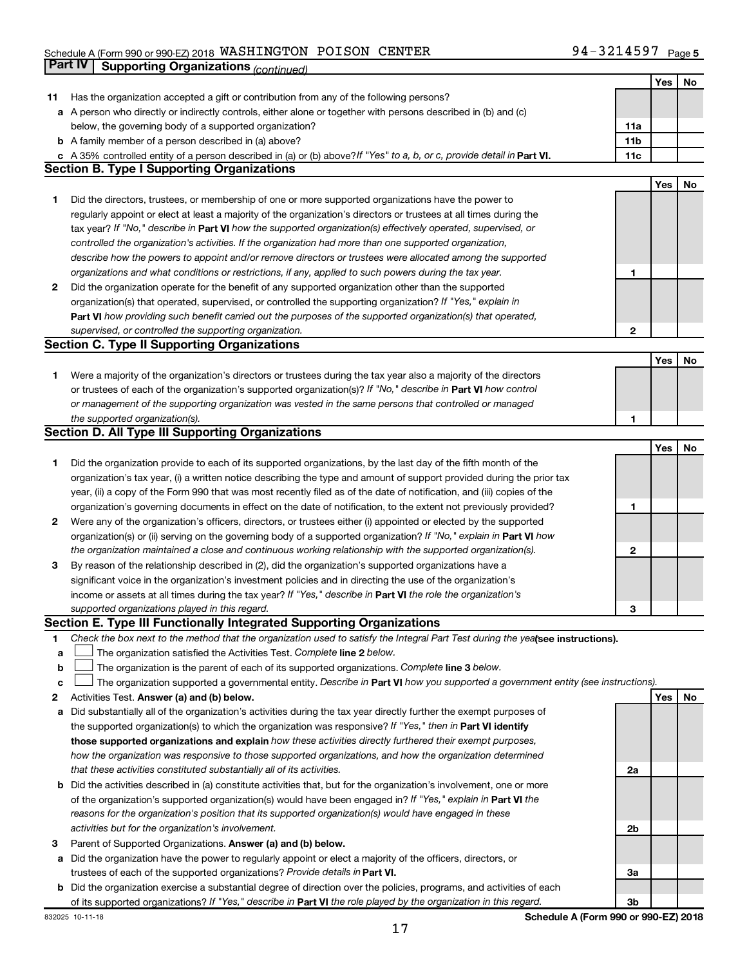### Schedule A (Form 990 or 990-EZ) 2018  $\,$  WASHINGTON POISON CENTER  $\,$  94  $-$  3214597  $\,$  Page **Part IV Supporting Organizations** *(continued)*

|    |                                                                                                                                                                         |              | Yes | No |
|----|-------------------------------------------------------------------------------------------------------------------------------------------------------------------------|--------------|-----|----|
| 11 | Has the organization accepted a gift or contribution from any of the following persons?                                                                                 |              |     |    |
|    | a A person who directly or indirectly controls, either alone or together with persons described in (b) and (c)                                                          |              |     |    |
|    | below, the governing body of a supported organization?                                                                                                                  | 11a          |     |    |
|    | <b>b</b> A family member of a person described in (a) above?                                                                                                            | 11b          |     |    |
|    | c A 35% controlled entity of a person described in (a) or (b) above? If "Yes" to a, b, or c, provide detail in Part VI.                                                 | 11c          |     |    |
|    | <b>Section B. Type I Supporting Organizations</b>                                                                                                                       |              |     |    |
|    |                                                                                                                                                                         |              | Yes | No |
| 1  | Did the directors, trustees, or membership of one or more supported organizations have the power to                                                                     |              |     |    |
|    | regularly appoint or elect at least a majority of the organization's directors or trustees at all times during the                                                      |              |     |    |
|    | tax year? If "No," describe in Part VI how the supported organization(s) effectively operated, supervised, or                                                           |              |     |    |
|    |                                                                                                                                                                         |              |     |    |
|    | controlled the organization's activities. If the organization had more than one supported organization,                                                                 |              |     |    |
|    | describe how the powers to appoint and/or remove directors or trustees were allocated among the supported                                                               |              |     |    |
|    | organizations and what conditions or restrictions, if any, applied to such powers during the tax year.                                                                  | 1            |     |    |
| 2  | Did the organization operate for the benefit of any supported organization other than the supported                                                                     |              |     |    |
|    | organization(s) that operated, supervised, or controlled the supporting organization? If "Yes," explain in                                                              |              |     |    |
|    | Part VI how providing such benefit carried out the purposes of the supported organization(s) that operated,                                                             |              |     |    |
|    | supervised, or controlled the supporting organization.                                                                                                                  | $\mathbf{2}$ |     |    |
|    | <b>Section C. Type II Supporting Organizations</b>                                                                                                                      |              |     |    |
|    |                                                                                                                                                                         |              | Yes | No |
| 1  | Were a majority of the organization's directors or trustees during the tax year also a majority of the directors                                                        |              |     |    |
|    | or trustees of each of the organization's supported organization(s)? If "No," describe in Part VI how control                                                           |              |     |    |
|    | or management of the supporting organization was vested in the same persons that controlled or managed                                                                  |              |     |    |
|    | the supported organization(s).                                                                                                                                          | 1            |     |    |
|    | <b>Section D. All Type III Supporting Organizations</b>                                                                                                                 |              |     |    |
|    |                                                                                                                                                                         |              | Yes | No |
| 1  | Did the organization provide to each of its supported organizations, by the last day of the fifth month of the                                                          |              |     |    |
|    | organization's tax year, (i) a written notice describing the type and amount of support provided during the prior tax                                                   |              |     |    |
|    | year, (ii) a copy of the Form 990 that was most recently filed as of the date of notification, and (iii) copies of the                                                  |              |     |    |
|    | organization's governing documents in effect on the date of notification, to the extent not previously provided?                                                        | 1            |     |    |
| 2  | Were any of the organization's officers, directors, or trustees either (i) appointed or elected by the supported                                                        |              |     |    |
|    | organization(s) or (ii) serving on the governing body of a supported organization? If "No," explain in Part VI how                                                      |              |     |    |
|    | the organization maintained a close and continuous working relationship with the supported organization(s).                                                             | 2            |     |    |
| 3  | By reason of the relationship described in (2), did the organization's supported organizations have a                                                                   |              |     |    |
|    | significant voice in the organization's investment policies and in directing the use of the organization's                                                              |              |     |    |
|    | income or assets at all times during the tax year? If "Yes," describe in Part VI the role the organization's                                                            |              |     |    |
|    | supported organizations played in this regard.                                                                                                                          | З            |     |    |
|    | Section E. Type III Functionally Integrated Supporting Organizations                                                                                                    |              |     |    |
| 1. | Check the box next to the method that the organization used to satisfy the Integral Part Test during the yealsee instructions).                                         |              |     |    |
|    |                                                                                                                                                                         |              |     |    |
| а  | The organization satisfied the Activities Test. Complete line 2 below.<br>The organization is the parent of each of its supported organizations. Complete line 3 below. |              |     |    |
| b  |                                                                                                                                                                         |              |     |    |
| с  | The organization supported a governmental entity. Describe in Part VI how you supported a government entity (see instructions).                                         |              |     |    |
| 2  | Activities Test. Answer (a) and (b) below.                                                                                                                              |              | Yes | No |
| а  | Did substantially all of the organization's activities during the tax year directly further the exempt purposes of                                                      |              |     |    |
|    | the supported organization(s) to which the organization was responsive? If "Yes," then in Part VI identify                                                              |              |     |    |
|    | those supported organizations and explain how these activities directly furthered their exempt purposes,                                                                |              |     |    |
|    | how the organization was responsive to those supported organizations, and how the organization determined                                                               |              |     |    |
|    | that these activities constituted substantially all of its activities.                                                                                                  | 2a           |     |    |
|    | <b>b</b> Did the activities described in (a) constitute activities that, but for the organization's involvement, one or more                                            |              |     |    |
|    | of the organization's supported organization(s) would have been engaged in? If "Yes," explain in Part VI the                                                            |              |     |    |
|    | reasons for the organization's position that its supported organization(s) would have engaged in these                                                                  |              |     |    |
|    | activities but for the organization's involvement.                                                                                                                      | 2b           |     |    |
| з  | Parent of Supported Organizations. Answer (a) and (b) below.                                                                                                            |              |     |    |
| а  | Did the organization have the power to regularly appoint or elect a majority of the officers, directors, or                                                             |              |     |    |
|    | trustees of each of the supported organizations? Provide details in Part VI.                                                                                            | За           |     |    |
|    | <b>b</b> Did the organization exercise a substantial degree of direction over the policies, programs, and activities of each                                            |              |     |    |
|    | of its supported organizations? If "Yes," describe in Part VI the role played by the organization in this regard.                                                       | 3b           |     |    |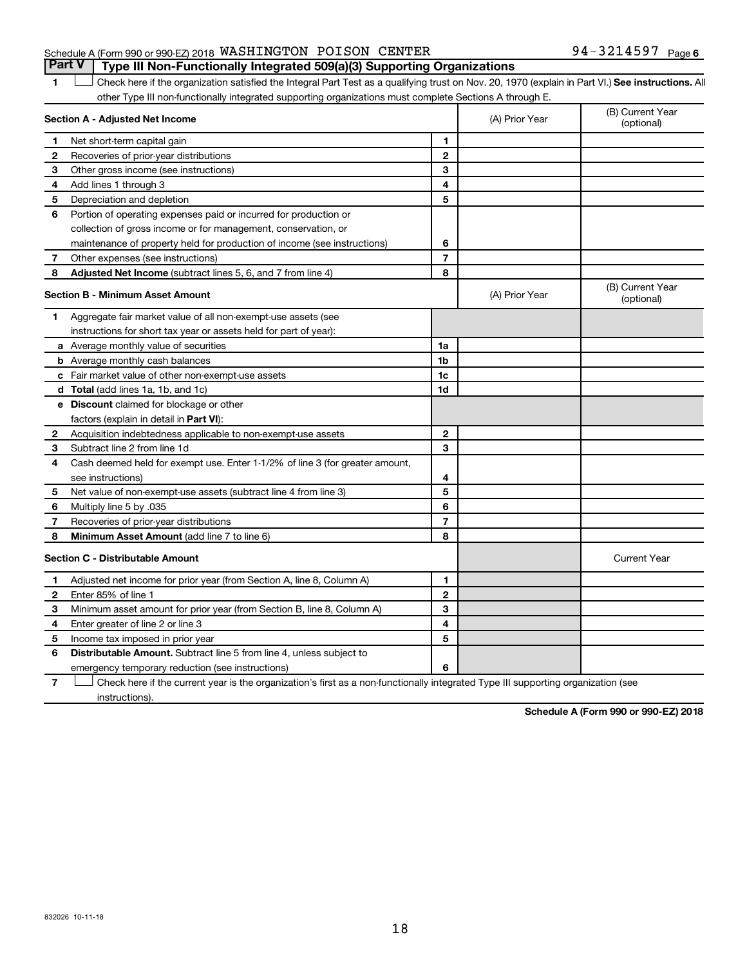#### Schedule A (Form 990 or 990-EZ) 2018  $\,$  WASHINGTON POISON CENTER  $\,$  94  $-$  3214597  $\,$  Page **Part V Type III Non-Functionally Integrated 509(a)(3) Supporting Organizations**

1 **Letter See instructions.** All Check here if the organization satisfied the Integral Part Test as a qualifying trust on Nov. 20, 1970 (explain in Part VI.) See instructions. All other Type III non-functionally integrated supporting organizations must complete Sections A through E.

|                | Section A - Adjusted Net Income                                              |                | (A) Prior Year | (B) Current Year<br>(optional) |
|----------------|------------------------------------------------------------------------------|----------------|----------------|--------------------------------|
| 1              | Net short-term capital gain                                                  | 1              |                |                                |
| 2              | Recoveries of prior-year distributions                                       | $\mathbf{2}$   |                |                                |
| 3              | Other gross income (see instructions)                                        | 3              |                |                                |
| 4              | Add lines 1 through 3                                                        | 4              |                |                                |
| 5              | Depreciation and depletion                                                   | 5              |                |                                |
| 6              | Portion of operating expenses paid or incurred for production or             |                |                |                                |
|                | collection of gross income or for management, conservation, or               |                |                |                                |
|                | maintenance of property held for production of income (see instructions)     | 6              |                |                                |
| $\overline{7}$ | Other expenses (see instructions)                                            | $\overline{7}$ |                |                                |
| 8              | Adjusted Net Income (subtract lines 5, 6, and 7 from line 4)                 | 8              |                |                                |
|                | <b>Section B - Minimum Asset Amount</b>                                      |                | (A) Prior Year | (B) Current Year<br>(optional) |
| 1              | Aggregate fair market value of all non-exempt-use assets (see                |                |                |                                |
|                | instructions for short tax year or assets held for part of year):            |                |                |                                |
|                | a Average monthly value of securities                                        | 1a             |                |                                |
|                | <b>b</b> Average monthly cash balances                                       | 1 <sub>b</sub> |                |                                |
|                | <b>c</b> Fair market value of other non-exempt-use assets                    | 1c             |                |                                |
|                | <b>d</b> Total (add lines 1a, 1b, and 1c)                                    | 1d             |                |                                |
|                | e Discount claimed for blockage or other                                     |                |                |                                |
|                | factors (explain in detail in Part VI):                                      |                |                |                                |
| $\mathbf{2}$   | Acquisition indebtedness applicable to non-exempt-use assets                 | $\mathbf{2}$   |                |                                |
| 3              | Subtract line 2 from line 1d                                                 | 3              |                |                                |
| 4              | Cash deemed held for exempt use. Enter 1-1/2% of line 3 (for greater amount, |                |                |                                |
|                | see instructions)                                                            | 4              |                |                                |
| 5              | Net value of non-exempt-use assets (subtract line 4 from line 3)             | 5              |                |                                |
| 6              | Multiply line 5 by .035                                                      | 6              |                |                                |
| 7              | Recoveries of prior-year distributions                                       | $\overline{7}$ |                |                                |
| 8              | Minimum Asset Amount (add line 7 to line 6)                                  | 8              |                |                                |
|                | <b>Section C - Distributable Amount</b>                                      |                |                | <b>Current Year</b>            |
| 1              | Adjusted net income for prior year (from Section A, line 8, Column A)        | 1              |                |                                |
| $\mathbf{2}$   | Enter 85% of line 1                                                          | $\overline{2}$ |                |                                |
| з              | Minimum asset amount for prior year (from Section B, line 8, Column A)       | 3              |                |                                |
| 4              | Enter greater of line 2 or line 3                                            | 4              |                |                                |
| 5              | Income tax imposed in prior year                                             | 5              |                |                                |
| 6              | Distributable Amount. Subtract line 5 from line 4, unless subject to         |                |                |                                |
|                | emergency temporary reduction (see instructions)                             | 6              |                |                                |
|                |                                                                              |                |                |                                |

**7** Let Check here if the current year is the organization's first as a non-functionally integrated Type III supporting organization (see instructions).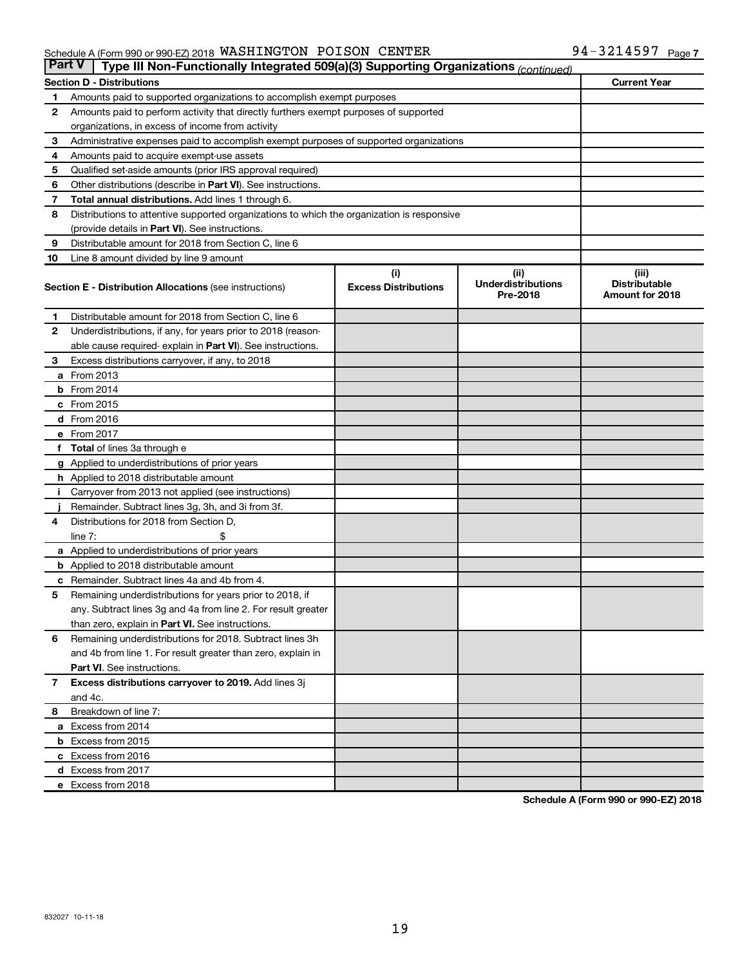#### Schedule A (Form 990 or 990-EZ) 2018 Page WASHINGTON POISON CENTER  $94-3214597$

| <b>Part V</b><br>Type III Non-Functionally Integrated 509(a)(3) Supporting Organizations (continued) |                                                                                            |                             |                                       |                                         |  |  |  |  |
|------------------------------------------------------------------------------------------------------|--------------------------------------------------------------------------------------------|-----------------------------|---------------------------------------|-----------------------------------------|--|--|--|--|
|                                                                                                      | <b>Current Year</b><br><b>Section D - Distributions</b>                                    |                             |                                       |                                         |  |  |  |  |
| 1                                                                                                    | Amounts paid to supported organizations to accomplish exempt purposes                      |                             |                                       |                                         |  |  |  |  |
| 2                                                                                                    | Amounts paid to perform activity that directly furthers exempt purposes of supported       |                             |                                       |                                         |  |  |  |  |
|                                                                                                      | organizations, in excess of income from activity                                           |                             |                                       |                                         |  |  |  |  |
| 3                                                                                                    | Administrative expenses paid to accomplish exempt purposes of supported organizations      |                             |                                       |                                         |  |  |  |  |
| 4                                                                                                    | Amounts paid to acquire exempt-use assets                                                  |                             |                                       |                                         |  |  |  |  |
| 5                                                                                                    | Qualified set-aside amounts (prior IRS approval required)                                  |                             |                                       |                                         |  |  |  |  |
| 6                                                                                                    | Other distributions (describe in Part VI). See instructions.                               |                             |                                       |                                         |  |  |  |  |
| 7                                                                                                    | Total annual distributions. Add lines 1 through 6.                                         |                             |                                       |                                         |  |  |  |  |
| 8                                                                                                    | Distributions to attentive supported organizations to which the organization is responsive |                             |                                       |                                         |  |  |  |  |
|                                                                                                      | (provide details in Part VI). See instructions.                                            |                             |                                       |                                         |  |  |  |  |
| 9                                                                                                    | Distributable amount for 2018 from Section C, line 6                                       |                             |                                       |                                         |  |  |  |  |
| 10                                                                                                   | Line 8 amount divided by line 9 amount                                                     |                             |                                       |                                         |  |  |  |  |
|                                                                                                      |                                                                                            | (i)                         | (ii)                                  | (iii)                                   |  |  |  |  |
|                                                                                                      | <b>Section E - Distribution Allocations (see instructions)</b>                             | <b>Excess Distributions</b> | <b>Underdistributions</b><br>Pre-2018 | <b>Distributable</b><br>Amount for 2018 |  |  |  |  |
| 1.                                                                                                   | Distributable amount for 2018 from Section C, line 6                                       |                             |                                       |                                         |  |  |  |  |
| $\mathbf{2}$                                                                                         | Underdistributions, if any, for years prior to 2018 (reason-                               |                             |                                       |                                         |  |  |  |  |
|                                                                                                      | able cause required- explain in Part VI). See instructions.                                |                             |                                       |                                         |  |  |  |  |
| 3                                                                                                    | Excess distributions carryover, if any, to 2018                                            |                             |                                       |                                         |  |  |  |  |
|                                                                                                      | a From 2013                                                                                |                             |                                       |                                         |  |  |  |  |
|                                                                                                      | <b>b</b> From 2014                                                                         |                             |                                       |                                         |  |  |  |  |
|                                                                                                      | c From 2015                                                                                |                             |                                       |                                         |  |  |  |  |
|                                                                                                      | d From 2016                                                                                |                             |                                       |                                         |  |  |  |  |
|                                                                                                      | e From 2017                                                                                |                             |                                       |                                         |  |  |  |  |
|                                                                                                      | f Total of lines 3a through e                                                              |                             |                                       |                                         |  |  |  |  |
|                                                                                                      | <b>g</b> Applied to underdistributions of prior years                                      |                             |                                       |                                         |  |  |  |  |
|                                                                                                      | <b>h</b> Applied to 2018 distributable amount                                              |                             |                                       |                                         |  |  |  |  |
|                                                                                                      | Carryover from 2013 not applied (see instructions)                                         |                             |                                       |                                         |  |  |  |  |
|                                                                                                      | Remainder. Subtract lines 3g, 3h, and 3i from 3f.                                          |                             |                                       |                                         |  |  |  |  |
| 4                                                                                                    | Distributions for 2018 from Section D,                                                     |                             |                                       |                                         |  |  |  |  |
|                                                                                                      | $line 7$ :                                                                                 |                             |                                       |                                         |  |  |  |  |
|                                                                                                      | a Applied to underdistributions of prior years                                             |                             |                                       |                                         |  |  |  |  |
|                                                                                                      | <b>b</b> Applied to 2018 distributable amount                                              |                             |                                       |                                         |  |  |  |  |
| с                                                                                                    | Remainder. Subtract lines 4a and 4b from 4.                                                |                             |                                       |                                         |  |  |  |  |
| 5                                                                                                    | Remaining underdistributions for years prior to 2018, if                                   |                             |                                       |                                         |  |  |  |  |
|                                                                                                      | any. Subtract lines 3g and 4a from line 2. For result greater                              |                             |                                       |                                         |  |  |  |  |
|                                                                                                      | than zero, explain in Part VI. See instructions.                                           |                             |                                       |                                         |  |  |  |  |
| 6                                                                                                    | Remaining underdistributions for 2018. Subtract lines 3h                                   |                             |                                       |                                         |  |  |  |  |
|                                                                                                      | and 4b from line 1. For result greater than zero, explain in                               |                             |                                       |                                         |  |  |  |  |
|                                                                                                      | <b>Part VI.</b> See instructions.                                                          |                             |                                       |                                         |  |  |  |  |
| $\mathbf{7}$                                                                                         | Excess distributions carryover to 2019. Add lines 3j                                       |                             |                                       |                                         |  |  |  |  |
|                                                                                                      | and 4c.                                                                                    |                             |                                       |                                         |  |  |  |  |
| 8                                                                                                    | Breakdown of line 7:                                                                       |                             |                                       |                                         |  |  |  |  |
|                                                                                                      | a Excess from 2014                                                                         |                             |                                       |                                         |  |  |  |  |
|                                                                                                      | <b>b</b> Excess from 2015                                                                  |                             |                                       |                                         |  |  |  |  |
|                                                                                                      | c Excess from 2016                                                                         |                             |                                       |                                         |  |  |  |  |
|                                                                                                      | d Excess from 2017                                                                         |                             |                                       |                                         |  |  |  |  |
|                                                                                                      | e Excess from 2018                                                                         |                             |                                       |                                         |  |  |  |  |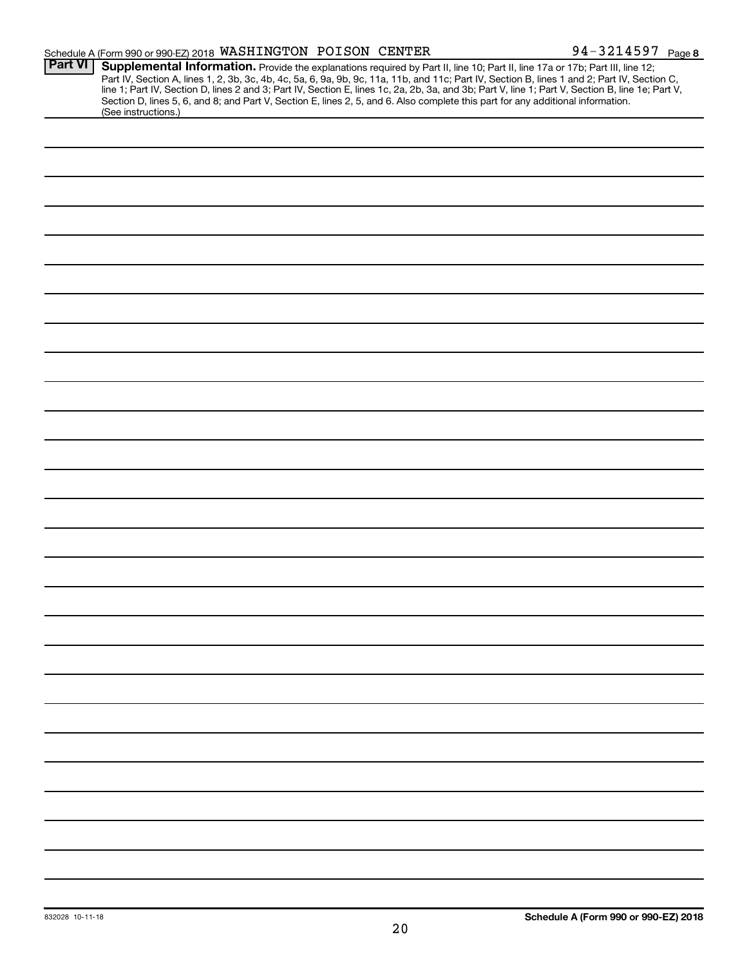|                | Schedule A (Form 990 or 990-EZ) 2018 WASHINGTON POISON CENTER                                                                                                                                                                                                                                                                                                                                                                     | 94-3214597 Page 8 |
|----------------|-----------------------------------------------------------------------------------------------------------------------------------------------------------------------------------------------------------------------------------------------------------------------------------------------------------------------------------------------------------------------------------------------------------------------------------|-------------------|
| <b>Part VI</b> | Supplemental Information. Provide the explanations required by Part II, line 10; Part II, line 17a or 17b; Part III, line 12;<br>Part IV, Section A, lines 1, 2, 3b, 3c, 4b, 4c, 5a, 6, 9a, 9b, 9c, 11a, 11b, and 11c; Part IV, Section B, lines 1 and 2; Part IV, Section C,<br>line 1; Part IV, Section D, lines 2 and 3; Part IV, Section E, lines 1c, 2a, 2b, 3a, and 3b; Part V, line 1; Part V, Section B, line 1e; Part V, |                   |
|                | Section D, lines 5, 6, and 8; and Part V, Section E, lines 2, 5, and 6. Also complete this part for any additional information.<br>(See instructions.)                                                                                                                                                                                                                                                                            |                   |
|                |                                                                                                                                                                                                                                                                                                                                                                                                                                   |                   |
|                |                                                                                                                                                                                                                                                                                                                                                                                                                                   |                   |
|                |                                                                                                                                                                                                                                                                                                                                                                                                                                   |                   |
|                |                                                                                                                                                                                                                                                                                                                                                                                                                                   |                   |
|                |                                                                                                                                                                                                                                                                                                                                                                                                                                   |                   |
|                |                                                                                                                                                                                                                                                                                                                                                                                                                                   |                   |
|                |                                                                                                                                                                                                                                                                                                                                                                                                                                   |                   |
|                |                                                                                                                                                                                                                                                                                                                                                                                                                                   |                   |
|                |                                                                                                                                                                                                                                                                                                                                                                                                                                   |                   |
|                |                                                                                                                                                                                                                                                                                                                                                                                                                                   |                   |
|                |                                                                                                                                                                                                                                                                                                                                                                                                                                   |                   |
|                |                                                                                                                                                                                                                                                                                                                                                                                                                                   |                   |
|                |                                                                                                                                                                                                                                                                                                                                                                                                                                   |                   |
|                |                                                                                                                                                                                                                                                                                                                                                                                                                                   |                   |
|                |                                                                                                                                                                                                                                                                                                                                                                                                                                   |                   |
|                |                                                                                                                                                                                                                                                                                                                                                                                                                                   |                   |
|                |                                                                                                                                                                                                                                                                                                                                                                                                                                   |                   |
|                |                                                                                                                                                                                                                                                                                                                                                                                                                                   |                   |
|                |                                                                                                                                                                                                                                                                                                                                                                                                                                   |                   |
|                |                                                                                                                                                                                                                                                                                                                                                                                                                                   |                   |
|                |                                                                                                                                                                                                                                                                                                                                                                                                                                   |                   |
|                |                                                                                                                                                                                                                                                                                                                                                                                                                                   |                   |
|                |                                                                                                                                                                                                                                                                                                                                                                                                                                   |                   |
|                |                                                                                                                                                                                                                                                                                                                                                                                                                                   |                   |
|                |                                                                                                                                                                                                                                                                                                                                                                                                                                   |                   |
|                |                                                                                                                                                                                                                                                                                                                                                                                                                                   |                   |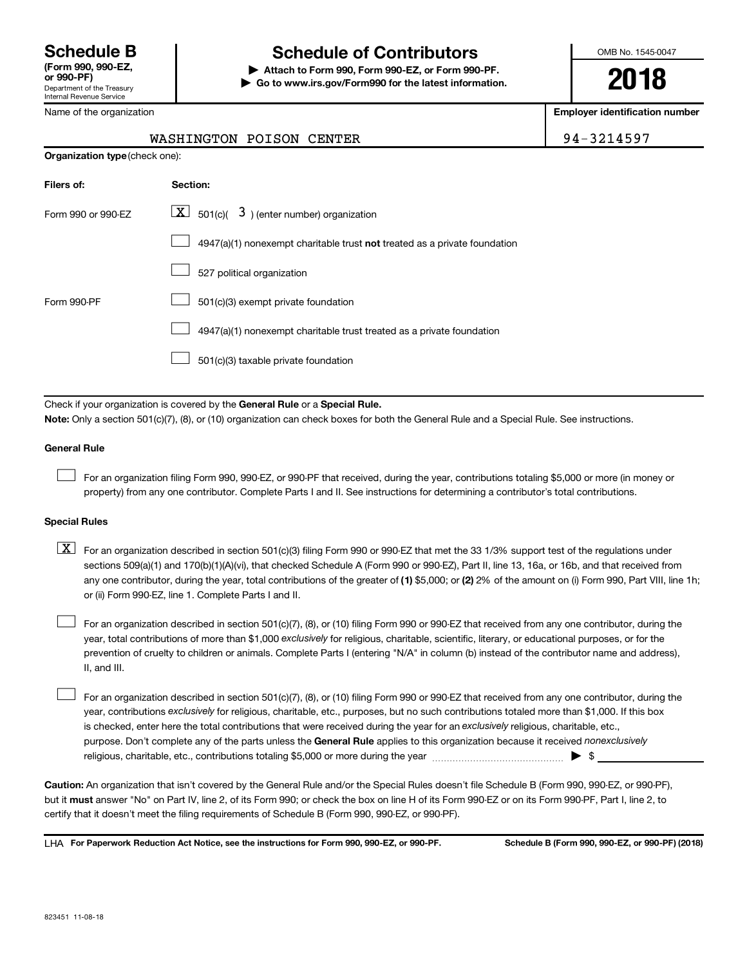Internal Revenue Service

## **Schedule B Schedule of Contributors**

**or 990-PF) | Attach to Form 990, Form 990-EZ, or Form 990-PF. | Go to www.irs.gov/Form990 for the latest information.** OMB No. 1545-0047

**2018**

**Employer identification number**

| WASHINGTON POISON CENTER | 94-3214597 |
|--------------------------|------------|
|--------------------------|------------|

| <b>Organization type</b> (check one): |                                                                                    |  |  |  |  |  |
|---------------------------------------|------------------------------------------------------------------------------------|--|--|--|--|--|
| Filers of:                            | Section:                                                                           |  |  |  |  |  |
| Form 990 or 990-EZ                    | $\underline{\mathbf{X}}$ 501(c)( 3) (enter number) organization                    |  |  |  |  |  |
|                                       | $4947(a)(1)$ nonexempt charitable trust <b>not</b> treated as a private foundation |  |  |  |  |  |
|                                       | 527 political organization                                                         |  |  |  |  |  |
| Form 990-PF                           | 501(c)(3) exempt private foundation                                                |  |  |  |  |  |
|                                       | 4947(a)(1) nonexempt charitable trust treated as a private foundation              |  |  |  |  |  |
|                                       | 501(c)(3) taxable private foundation                                               |  |  |  |  |  |
|                                       |                                                                                    |  |  |  |  |  |

Check if your organization is covered by the General Rule or a Special Rule. **Note:**  Only a section 501(c)(7), (8), or (10) organization can check boxes for both the General Rule and a Special Rule. See instructions.

#### **General Rule**

 $\Box$ 

For an organization filing Form 990, 990-EZ, or 990-PF that received, during the year, contributions totaling \$5,000 or more (in money or property) from any one contributor. Complete Parts I and II. See instructions for determining a contributor's total contributions.

#### **Special Rules**

any one contributor, during the year, total contributions of the greater of (1) \$5,000; or (2) 2% of the amount on (i) Form 990, Part VIII, line 1h;  $\boxed{\text{X}}$  For an organization described in section 501(c)(3) filing Form 990 or 990-EZ that met the 33 1/3% support test of the regulations under sections 509(a)(1) and 170(b)(1)(A)(vi), that checked Schedule A (Form 990 or 990-EZ), Part II, line 13, 16a, or 16b, and that received from or (ii) Form 990-EZ, line 1. Complete Parts I and II.

year, total contributions of more than \$1,000 *exclusively* for religious, charitable, scientific, literary, or educational purposes, or for the For an organization described in section 501(c)(7), (8), or (10) filing Form 990 or 990-EZ that received from any one contributor, during the prevention of cruelty to children or animals. Complete Parts I (entering "N/A" in column (b) instead of the contributor name and address), II, and III.  $\Box$ 

purpose. Don't complete any of the parts unless the General Rule applies to this organization because it received nonexclusively year, contributions exclusively for religious, charitable, etc., purposes, but no such contributions totaled more than \$1,000. If this box is checked, enter here the total contributions that were received during the year for an exclusively religious, charitable, etc., For an organization described in section 501(c)(7), (8), or (10) filing Form 990 or 990-EZ that received from any one contributor, during the religious, charitable, etc., contributions totaling \$5,000 or more during the year  $~\ldots\ldots\ldots\ldots\ldots\ldots\ldots\ldots\blacktriangleright~$ \$  $\Box$ 

**Caution:**  An organization that isn't covered by the General Rule and/or the Special Rules doesn't file Schedule B (Form 990, 990-EZ, or 990-PF),  **must** but it answer "No" on Part IV, line 2, of its Form 990; or check the box on line H of its Form 990-EZ or on its Form 990-PF, Part I, line 2, to certify that it doesn't meet the filing requirements of Schedule B (Form 990, 990-EZ, or 990-PF).

**For Paperwork Reduction Act Notice, see the instructions for Form 990, 990-EZ, or 990-PF. Schedule B (Form 990, 990-EZ, or 990-PF) (2018)** LHA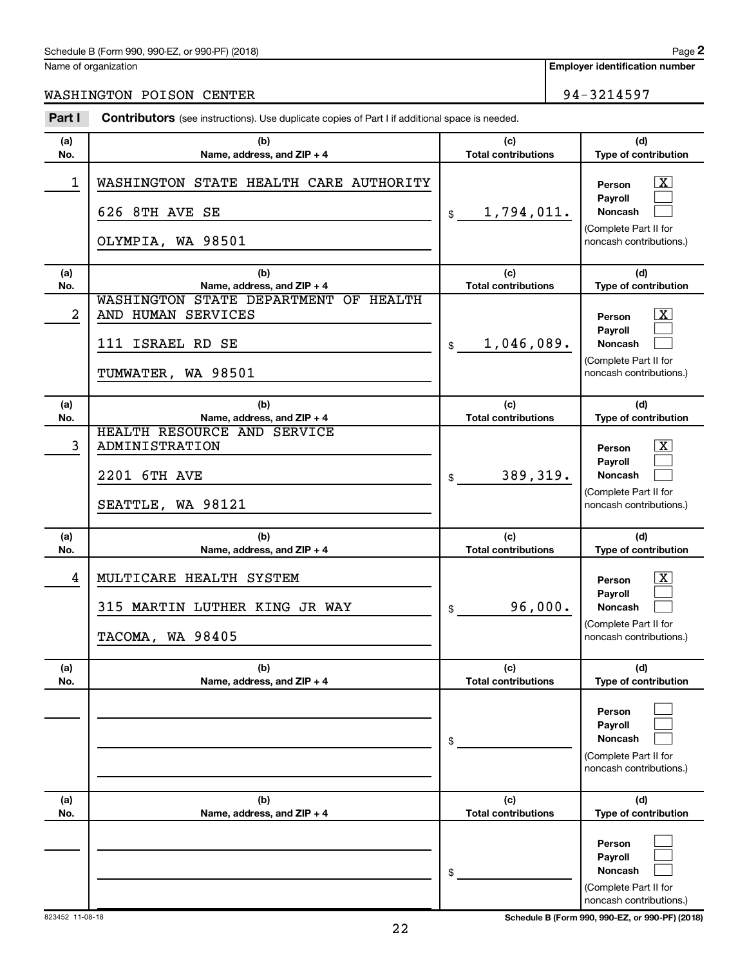#### Schedule B (Form 990, 990-EZ, or 990-PF) (2018)

Name of organization

**Employer identification number**

WASHINGTON POISON CENTER 24-3214597

| Part I                  | <b>Contributors</b> (see instructions). Use duplicate copies of Part I if additional space is needed. |                                   |                                                                                                             |
|-------------------------|-------------------------------------------------------------------------------------------------------|-----------------------------------|-------------------------------------------------------------------------------------------------------------|
| (a)<br>No.              | (b)<br>Name, address, and ZIP + 4                                                                     | (c)<br><b>Total contributions</b> | (d)<br>Type of contribution                                                                                 |
| $\mathbf 1$             | WASHINGTON STATE HEALTH CARE AUTHORITY<br>626 8TH AVE SE<br>OLYMPIA, WA 98501                         | 1,794,011.<br>$\frac{1}{2}$       | $\mathbf{X}$<br>Person<br>Payroll<br><b>Noncash</b><br>(Complete Part II for<br>noncash contributions.)     |
| (a)<br>No.              | (b)<br>Name, address, and ZIP + 4                                                                     | (c)<br><b>Total contributions</b> | (d)<br>Type of contribution                                                                                 |
| $\overline{\mathbf{c}}$ | WASHINGTON STATE DEPARTMENT OF HEALTH<br>AND HUMAN SERVICES<br>111 ISRAEL RD SE<br>TUMWATER, WA 98501 | 1,046,089.<br>$\frac{1}{2}$       | $\mathbf{X}$<br>Person<br>Payroll<br><b>Noncash</b><br>(Complete Part II for<br>noncash contributions.)     |
| (a)<br>No.              | (b)<br>Name, address, and ZIP + 4                                                                     | (c)<br><b>Total contributions</b> | (d)<br>Type of contribution                                                                                 |
| 3                       | HEALTH RESOURCE AND SERVICE<br><b>ADMINISTRATION</b><br>2201 6TH AVE<br>SEATTLE, WA 98121             | 389,319.<br>$\frac{1}{2}$         | $\overline{\mathbf{X}}$<br>Person<br>Payroll<br>Noncash<br>(Complete Part II for<br>noncash contributions.) |
| (a)<br>No.              | (b)<br>Name, address, and ZIP + 4                                                                     | (c)<br><b>Total contributions</b> | (d)<br>Type of contribution                                                                                 |
| 4                       | MULTICARE HEALTH SYSTEM<br>315 MARTIN LUTHER KING JR WAY<br>TACOMA, WA 98405                          | 96,000.<br>\$                     | $\overline{\mathbf{X}}$<br>Person<br>Payroll<br>Noncash<br>(Complete Part II for<br>noncash contributions.) |
| (a)<br>No.              | (b)<br>Name, address, and ZIP + 4                                                                     | (c)<br><b>Total contributions</b> | (d)<br>Type of contribution                                                                                 |
|                         |                                                                                                       | \$                                | Person<br>Payroll<br>Noncash<br>(Complete Part II for<br>noncash contributions.)                            |
| (a)<br>No.              | (b)<br>Name, address, and ZIP + 4                                                                     | (c)<br><b>Total contributions</b> | (d)<br>Type of contribution                                                                                 |
|                         |                                                                                                       | \$                                | Person<br>Payroll<br>Noncash<br>(Complete Part II for<br>noncash contributions.)                            |

823452 11-08-18 **Schedule B (Form 990, 990-EZ, or 990-PF) (2018)**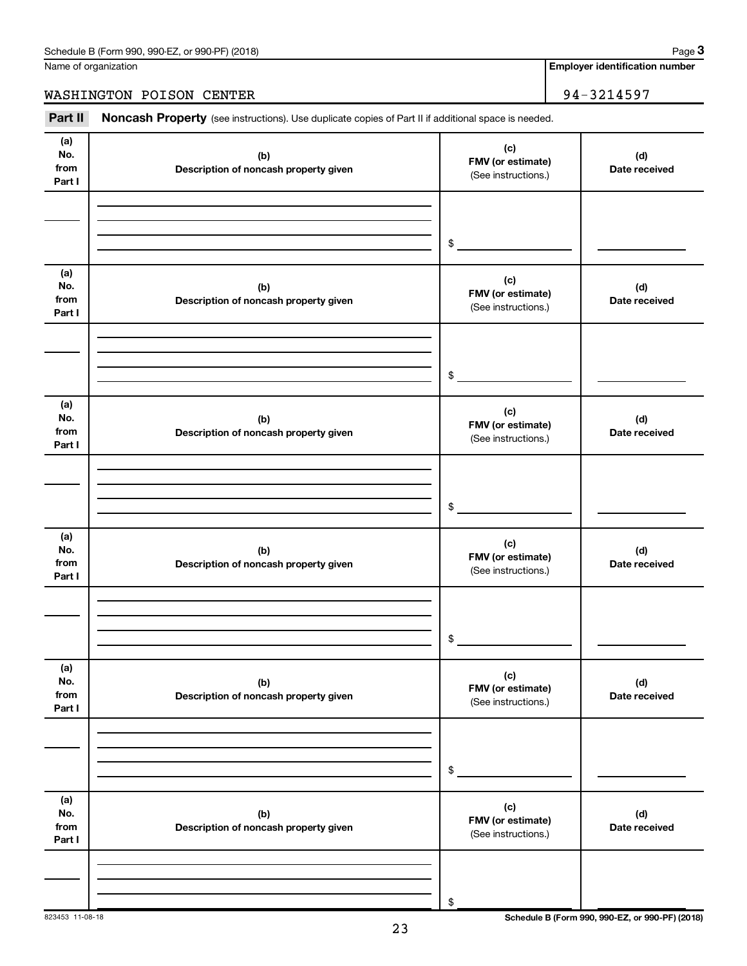Name of organization

**Employer identification number**

WASHINGTON POISON CENTER 2014597

Part II Noncash Property (see instructions). Use duplicate copies of Part II if additional space is needed.

| (a)<br>No.<br>from<br>Part I | (b)<br>Description of noncash property given | (c)<br>FMV (or estimate)<br>(See instructions.) | (d)<br>Date received                            |
|------------------------------|----------------------------------------------|-------------------------------------------------|-------------------------------------------------|
|                              |                                              | $\,$                                            |                                                 |
|                              |                                              |                                                 |                                                 |
| (a)<br>No.<br>from<br>Part I | (b)<br>Description of noncash property given | (c)<br>FMV (or estimate)<br>(See instructions.) | (d)<br>Date received                            |
|                              |                                              | $\,$                                            |                                                 |
| (a)<br>No.<br>from<br>Part I | (b)<br>Description of noncash property given | (c)<br>FMV (or estimate)<br>(See instructions.) | (d)<br>Date received                            |
|                              |                                              | $\$$                                            |                                                 |
|                              |                                              |                                                 |                                                 |
| (a)<br>No.<br>from<br>Part I | (b)<br>Description of noncash property given | (c)<br>FMV (or estimate)<br>(See instructions.) | (d)<br>Date received                            |
|                              |                                              |                                                 |                                                 |
|                              |                                              | $\$$                                            |                                                 |
| (a)<br>No.<br>from<br>Part I | (b)<br>Description of noncash property given | (c)<br>FMV (or estimate)<br>(See instructions.) | (d)<br>Date received                            |
|                              |                                              |                                                 |                                                 |
|                              |                                              |                                                 |                                                 |
|                              |                                              | $\$$                                            |                                                 |
|                              |                                              |                                                 |                                                 |
| (a)<br>No.                   | (b)                                          | (c)                                             | (d)                                             |
| from<br>Part I               | Description of noncash property given        | FMV (or estimate)<br>(See instructions.)        | Date received                                   |
|                              |                                              |                                                 |                                                 |
|                              |                                              |                                                 |                                                 |
|                              |                                              | \$                                              |                                                 |
| 823453 11-08-18              |                                              |                                                 | Schedule B (Form 990, 990-EZ, or 990-PF) (2018) |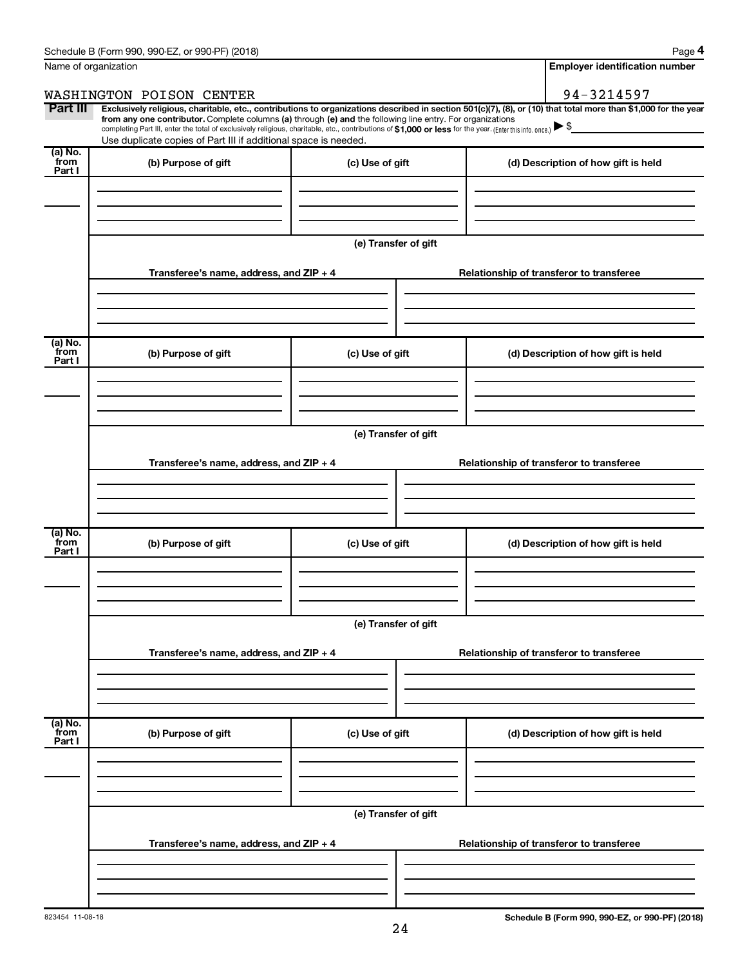| Name of organization      |                                                                                                                                                                                                                                                                                                                                                                                                                                                                                                             | <b>Employer identification number</b> |                                                                  |                                          |
|---------------------------|-------------------------------------------------------------------------------------------------------------------------------------------------------------------------------------------------------------------------------------------------------------------------------------------------------------------------------------------------------------------------------------------------------------------------------------------------------------------------------------------------------------|---------------------------------------|------------------------------------------------------------------|------------------------------------------|
|                           | WASHINGTON POISON CENTER                                                                                                                                                                                                                                                                                                                                                                                                                                                                                    |                                       |                                                                  | 94-3214597                               |
| Part III                  | Exclusively religious, charitable, etc., contributions to organizations described in section 501(c)(7), (8), or (10) that total more than \$1,000 for the year<br>from any one contributor. Complete columns (a) through (e) and the following line entry. For organizations<br>completing Part III, enter the total of exclusively religious, charitable, etc., contributions of \$1,000 or less for the year. (Enter this info. once.)<br>Use duplicate copies of Part III if additional space is needed. |                                       |                                                                  |                                          |
| (a) No.<br>from<br>Part I | (b) Purpose of gift                                                                                                                                                                                                                                                                                                                                                                                                                                                                                         | (c) Use of gift                       |                                                                  | (d) Description of how gift is held      |
|                           |                                                                                                                                                                                                                                                                                                                                                                                                                                                                                                             | (e) Transfer of gift                  |                                                                  |                                          |
|                           | Transferee's name, address, and ZIP + 4                                                                                                                                                                                                                                                                                                                                                                                                                                                                     |                                       |                                                                  | Relationship of transferor to transferee |
| (a) No.<br>from<br>Part I | (b) Purpose of gift                                                                                                                                                                                                                                                                                                                                                                                                                                                                                         | (c) Use of gift                       |                                                                  | (d) Description of how gift is held      |
|                           | Transferee's name, address, and ZIP + 4                                                                                                                                                                                                                                                                                                                                                                                                                                                                     |                                       | (e) Transfer of gift<br>Relationship of transferor to transferee |                                          |
| (a) No.<br>from           |                                                                                                                                                                                                                                                                                                                                                                                                                                                                                                             |                                       |                                                                  |                                          |
| Part I                    | (b) Purpose of gift                                                                                                                                                                                                                                                                                                                                                                                                                                                                                         | (c) Use of gift                       |                                                                  | (d) Description of how gift is held      |
|                           | Transferee's name, address, and ZIP + 4                                                                                                                                                                                                                                                                                                                                                                                                                                                                     | (e) Transfer of gift                  | Relationship of transferor to transferee                         |                                          |
|                           |                                                                                                                                                                                                                                                                                                                                                                                                                                                                                                             |                                       |                                                                  |                                          |
| (a) No.<br>from<br>Part I | (b) Purpose of gift                                                                                                                                                                                                                                                                                                                                                                                                                                                                                         | (c) Use of gift                       |                                                                  | (d) Description of how gift is held      |
|                           |                                                                                                                                                                                                                                                                                                                                                                                                                                                                                                             |                                       |                                                                  |                                          |
|                           | Transferee's name, address, and ZIP + 4                                                                                                                                                                                                                                                                                                                                                                                                                                                                     | (e) Transfer of gift                  |                                                                  | Relationship of transferor to transferee |
|                           |                                                                                                                                                                                                                                                                                                                                                                                                                                                                                                             |                                       |                                                                  |                                          |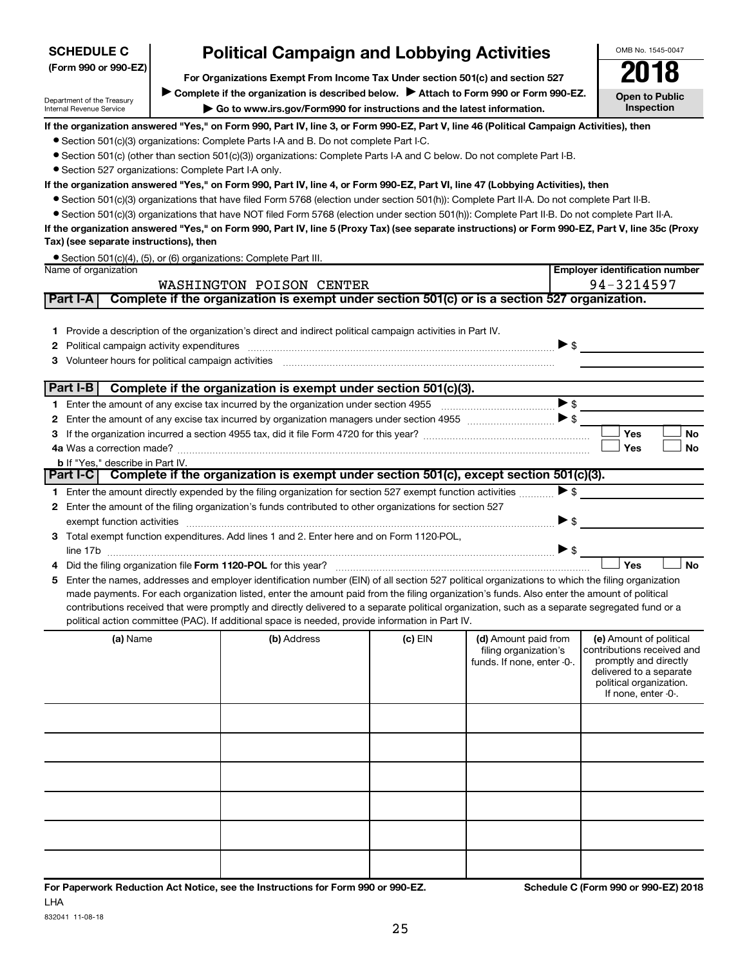| Department of the Treasury                             | Complete if the organization is described below.<br>Attach to Form 990 or Form 990-EZ.<br>$\triangleright$ Go to www.irs.gov/Form990 for instructions and the latest information.                                              |         |                                                                             | <b>Open to Public</b>                                                                                                                                       |
|--------------------------------------------------------|--------------------------------------------------------------------------------------------------------------------------------------------------------------------------------------------------------------------------------|---------|-----------------------------------------------------------------------------|-------------------------------------------------------------------------------------------------------------------------------------------------------------|
| Internal Revenue Service                               | Inspection                                                                                                                                                                                                                     |         |                                                                             |                                                                                                                                                             |
|                                                        | If the organization answered "Yes," on Form 990, Part IV, line 3, or Form 990-EZ, Part V, line 46 (Political Campaign Activities), then                                                                                        |         |                                                                             |                                                                                                                                                             |
|                                                        | • Section 501(c)(3) organizations: Complete Parts I-A and B. Do not complete Part I-C.                                                                                                                                         |         |                                                                             |                                                                                                                                                             |
|                                                        | • Section 501(c) (other than section 501(c)(3)) organizations: Complete Parts I-A and C below. Do not complete Part I-B.                                                                                                       |         |                                                                             |                                                                                                                                                             |
| • Section 527 organizations: Complete Part I-A only.   |                                                                                                                                                                                                                                |         |                                                                             |                                                                                                                                                             |
|                                                        | If the organization answered "Yes," on Form 990, Part IV, line 4, or Form 990-EZ, Part VI, line 47 (Lobbying Activities), then                                                                                                 |         |                                                                             |                                                                                                                                                             |
|                                                        | • Section 501(c)(3) organizations that have filed Form 5768 (election under section 501(h)): Complete Part II-A. Do not complete Part II-B.                                                                                    |         |                                                                             |                                                                                                                                                             |
|                                                        | • Section 501(c)(3) organizations that have NOT filed Form 5768 (election under section 501(h)): Complete Part II-B. Do not complete Part II-A.                                                                                |         |                                                                             |                                                                                                                                                             |
| Tax) (see separate instructions), then                 | If the organization answered "Yes," on Form 990, Part IV, line 5 (Proxy Tax) (see separate instructions) or Form 990-EZ, Part V, line 35c (Proxy                                                                               |         |                                                                             |                                                                                                                                                             |
|                                                        | • Section 501(c)(4), (5), or (6) organizations: Complete Part III.                                                                                                                                                             |         |                                                                             |                                                                                                                                                             |
| Name of organization                                   |                                                                                                                                                                                                                                |         |                                                                             | <b>Employer identification number</b>                                                                                                                       |
|                                                        | WASHINGTON POISON CENTER                                                                                                                                                                                                       |         |                                                                             | 94-3214597                                                                                                                                                  |
| Part I-A                                               | Complete if the organization is exempt under section 501(c) or is a section 527 organization.                                                                                                                                  |         |                                                                             |                                                                                                                                                             |
|                                                        |                                                                                                                                                                                                                                |         |                                                                             |                                                                                                                                                             |
|                                                        | 1 Provide a description of the organization's direct and indirect political campaign activities in Part IV.                                                                                                                    |         |                                                                             |                                                                                                                                                             |
| 2                                                      |                                                                                                                                                                                                                                |         | $\triangleright$ s                                                          |                                                                                                                                                             |
| Volunteer hours for political campaign activities<br>3 |                                                                                                                                                                                                                                |         |                                                                             |                                                                                                                                                             |
|                                                        | Part I-B   Complete if the organization is exempt under section 501(c)(3).                                                                                                                                                     |         |                                                                             |                                                                                                                                                             |
|                                                        |                                                                                                                                                                                                                                |         | $\blacktriangleright$ \$                                                    |                                                                                                                                                             |
|                                                        |                                                                                                                                                                                                                                |         |                                                                             |                                                                                                                                                             |
| 2                                                      |                                                                                                                                                                                                                                |         |                                                                             | Yes<br><b>No</b>                                                                                                                                            |
| 3                                                      |                                                                                                                                                                                                                                |         |                                                                             | Yes<br>No                                                                                                                                                   |
| <b>b</b> If "Yes," describe in Part IV.                |                                                                                                                                                                                                                                |         |                                                                             |                                                                                                                                                             |
|                                                        | Part I-C   Complete if the organization is exempt under section 501(c), except section 501(c)(3).                                                                                                                              |         |                                                                             |                                                                                                                                                             |
|                                                        | 1 Enter the amount directly expended by the filing organization for section 527 exempt function activities                                                                                                                     |         | $\blacktriangleright$ \$                                                    |                                                                                                                                                             |
| 2                                                      | Enter the amount of the filing organization's funds contributed to other organizations for section 527                                                                                                                         |         |                                                                             |                                                                                                                                                             |
|                                                        | exempt function activities with an activities and activities are accommodal and activities are activities and activities and activities and activities and activities and activities are activities and activities and activit |         | $\blacktriangleright$ \$                                                    |                                                                                                                                                             |
| З.                                                     | Total exempt function expenditures. Add lines 1 and 2. Enter here and on Form 1120-POL,                                                                                                                                        |         |                                                                             |                                                                                                                                                             |
|                                                        |                                                                                                                                                                                                                                |         | $\blacktriangleright$ \$                                                    |                                                                                                                                                             |
| 4                                                      |                                                                                                                                                                                                                                |         |                                                                             | Yes<br><b>No</b>                                                                                                                                            |
| 5                                                      | Enter the names, addresses and employer identification number (EIN) of all section 527 political organizations to which the filing organization                                                                                |         |                                                                             |                                                                                                                                                             |
|                                                        | made payments. For each organization listed, enter the amount paid from the filing organization's funds. Also enter the amount of political                                                                                    |         |                                                                             |                                                                                                                                                             |
|                                                        | contributions received that were promptly and directly delivered to a separate political organization, such as a separate segregated fund or a                                                                                 |         |                                                                             |                                                                                                                                                             |
|                                                        | political action committee (PAC). If additional space is needed, provide information in Part IV.                                                                                                                               |         |                                                                             |                                                                                                                                                             |
| (a) Name                                               | (b) Address                                                                                                                                                                                                                    | (c) EIN | (d) Amount paid from<br>filing organization's<br>funds. If none, enter -0-. | (e) Amount of political<br>contributions received and<br>promptly and directly<br>delivered to a separate<br>political organization.<br>If none, enter -0-. |
|                                                        |                                                                                                                                                                                                                                |         |                                                                             |                                                                                                                                                             |
|                                                        |                                                                                                                                                                                                                                |         |                                                                             |                                                                                                                                                             |
|                                                        |                                                                                                                                                                                                                                |         |                                                                             |                                                                                                                                                             |
|                                                        |                                                                                                                                                                                                                                |         |                                                                             |                                                                                                                                                             |
|                                                        |                                                                                                                                                                                                                                |         |                                                                             |                                                                                                                                                             |
|                                                        |                                                                                                                                                                                                                                |         |                                                                             |                                                                                                                                                             |

**For Organizations Exempt From Income Tax Under section 501(c) and section 527**

**Political Campaign and Lobbying Activities**<br> **Creanizations Exempt From Income Tax Under section 501(c) and section 527** 

832041 11-08-18

**(Form 990 or 990-EZ)**

**SCHEDULE C**

OMB No. 1545-0047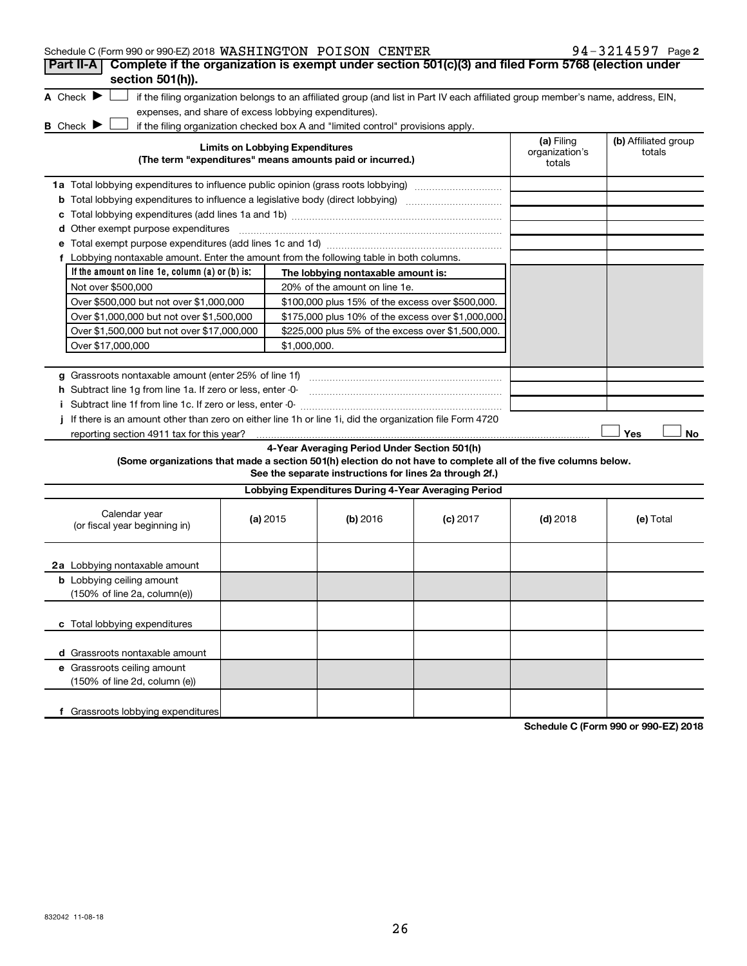| Schedule C (Form 990 or 990-EZ) 2018 WASHINGTON POISON CENTER<br>Complete if the organization is exempt under section 501(c)(3) and filed Form 5768 (election under<br>Part II-A |          |                                        |                                                                                                         |                                                                                                                                   |                                        | 94-3214597 Page 2              |
|----------------------------------------------------------------------------------------------------------------------------------------------------------------------------------|----------|----------------------------------------|---------------------------------------------------------------------------------------------------------|-----------------------------------------------------------------------------------------------------------------------------------|----------------------------------------|--------------------------------|
| section 501(h)).                                                                                                                                                                 |          |                                        |                                                                                                         |                                                                                                                                   |                                        |                                |
| A Check $\blacktriangleright$                                                                                                                                                    |          |                                        |                                                                                                         | if the filing organization belongs to an affiliated group (and list in Part IV each affiliated group member's name, address, EIN, |                                        |                                |
| expenses, and share of excess lobbying expenditures).                                                                                                                            |          |                                        |                                                                                                         |                                                                                                                                   |                                        |                                |
| <b>B</b> Check $\blacktriangleright$                                                                                                                                             |          |                                        | if the filing organization checked box A and "limited control" provisions apply.                        |                                                                                                                                   |                                        |                                |
|                                                                                                                                                                                  |          | <b>Limits on Lobbying Expenditures</b> | (The term "expenditures" means amounts paid or incurred.)                                               |                                                                                                                                   | (a) Filing<br>organization's<br>totals | (b) Affiliated group<br>totals |
| 1a Total lobbying expenditures to influence public opinion (grass roots lobbying)                                                                                                |          |                                        |                                                                                                         |                                                                                                                                   |                                        |                                |
| <b>b</b> Total lobbying expenditures to influence a legislative body (direct lobbying) <i>manumumumum</i>                                                                        |          |                                        |                                                                                                         |                                                                                                                                   |                                        |                                |
|                                                                                                                                                                                  |          |                                        |                                                                                                         |                                                                                                                                   |                                        |                                |
| <b>d</b> Other exempt purpose expenditures                                                                                                                                       |          |                                        |                                                                                                         |                                                                                                                                   |                                        |                                |
|                                                                                                                                                                                  |          |                                        |                                                                                                         |                                                                                                                                   |                                        |                                |
| f Lobbying nontaxable amount. Enter the amount from the following table in both columns.                                                                                         |          |                                        |                                                                                                         |                                                                                                                                   |                                        |                                |
| If the amount on line 1e, column $(a)$ or $(b)$ is:                                                                                                                              |          |                                        | The lobbying nontaxable amount is:                                                                      |                                                                                                                                   |                                        |                                |
| Not over \$500,000                                                                                                                                                               |          |                                        | 20% of the amount on line 1e.                                                                           |                                                                                                                                   |                                        |                                |
| Over \$500,000 but not over \$1,000,000                                                                                                                                          |          |                                        | \$100,000 plus 15% of the excess over \$500,000.                                                        |                                                                                                                                   |                                        |                                |
| Over \$1,000,000 but not over \$1,500,000                                                                                                                                        |          |                                        | \$175,000 plus 10% of the excess over \$1,000,000                                                       |                                                                                                                                   |                                        |                                |
| Over \$1,500,000 but not over \$17,000,000                                                                                                                                       |          |                                        | \$225,000 plus 5% of the excess over \$1,500,000.                                                       |                                                                                                                                   |                                        |                                |
| Over \$17,000,000                                                                                                                                                                |          | \$1,000,000.                           |                                                                                                         |                                                                                                                                   |                                        |                                |
|                                                                                                                                                                                  |          |                                        |                                                                                                         |                                                                                                                                   |                                        |                                |
| g Grassroots nontaxable amount (enter 25% of line 1f)                                                                                                                            |          |                                        |                                                                                                         |                                                                                                                                   |                                        |                                |
| h Subtract line 1g from line 1a. If zero or less, enter -0-                                                                                                                      |          |                                        |                                                                                                         |                                                                                                                                   |                                        |                                |
|                                                                                                                                                                                  |          |                                        |                                                                                                         |                                                                                                                                   |                                        |                                |
| If there is an amount other than zero on either line 1h or line 1i, did the organization file Form 4720                                                                          |          |                                        |                                                                                                         |                                                                                                                                   |                                        |                                |
| reporting section 4911 tax for this year?                                                                                                                                        |          |                                        |                                                                                                         |                                                                                                                                   |                                        | Yes<br>No                      |
| (Some organizations that made a section 501(h) election do not have to complete all of the five columns below.                                                                   |          |                                        | 4-Year Averaging Period Under Section 501(h)<br>See the separate instructions for lines 2a through 2f.) |                                                                                                                                   |                                        |                                |
|                                                                                                                                                                                  |          |                                        | Lobbying Expenditures During 4-Year Averaging Period                                                    |                                                                                                                                   |                                        |                                |
| Calendar year<br>(or fiscal year beginning in)                                                                                                                                   | (a) 2015 |                                        | (b) 2016                                                                                                | $(c)$ 2017                                                                                                                        | $(d)$ 2018                             | (e) Total                      |
| 2a Lobbying nontaxable amount                                                                                                                                                    |          |                                        |                                                                                                         |                                                                                                                                   |                                        |                                |
| <b>b</b> Lobbying ceiling amount                                                                                                                                                 |          |                                        |                                                                                                         |                                                                                                                                   |                                        |                                |
| $(150\% \text{ of line } 2a, \text{column}(e))$                                                                                                                                  |          |                                        |                                                                                                         |                                                                                                                                   |                                        |                                |
| c Total lobbying expenditures                                                                                                                                                    |          |                                        |                                                                                                         |                                                                                                                                   |                                        |                                |
| d Grassroots nontaxable amount                                                                                                                                                   |          |                                        |                                                                                                         |                                                                                                                                   |                                        |                                |
| e Grassroots ceiling amount                                                                                                                                                      |          |                                        |                                                                                                         |                                                                                                                                   |                                        |                                |
| (150% of line 2d, column (e))                                                                                                                                                    |          |                                        |                                                                                                         |                                                                                                                                   |                                        |                                |
|                                                                                                                                                                                  |          |                                        |                                                                                                         |                                                                                                                                   |                                        |                                |
| f Grassroots lobbying expenditures                                                                                                                                               |          |                                        |                                                                                                         |                                                                                                                                   |                                        |                                |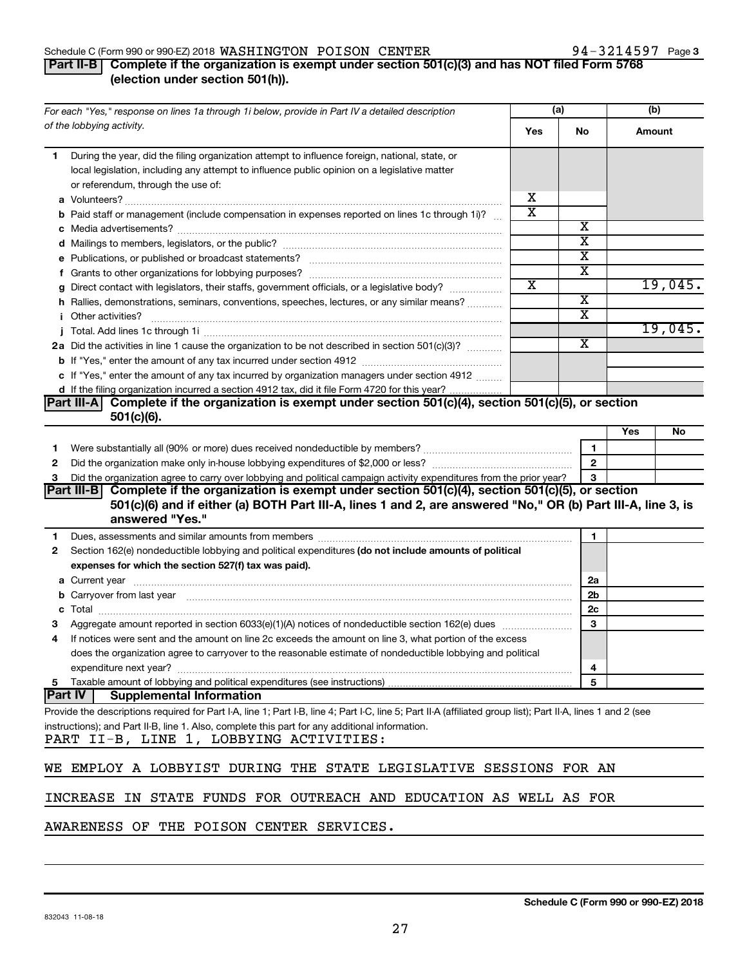#### Schedule C (Form 990 or 990-EZ) 2018  $\sqrt{MSTINGTON}$  POISON CENTER  $94-3214597$  Page

### **Part II-B Complete if the organization is exempt under section 501(c)(3) and has NOT filed Form 5768 (election under section 501(h)).**

|              | For each "Yes," response on lines 1a through 1i below, provide in Part IV a detailed description                                                                                                                               | (a)                   |                         | (b) |         |
|--------------|--------------------------------------------------------------------------------------------------------------------------------------------------------------------------------------------------------------------------------|-----------------------|-------------------------|-----|---------|
|              | of the lobbying activity.                                                                                                                                                                                                      | Yes                   | No                      |     | Amount  |
| 1            | During the year, did the filing organization attempt to influence foreign, national, state, or                                                                                                                                 |                       |                         |     |         |
|              | local legislation, including any attempt to influence public opinion on a legislative matter                                                                                                                                   |                       |                         |     |         |
|              | or referendum, through the use of:                                                                                                                                                                                             |                       |                         |     |         |
|              |                                                                                                                                                                                                                                | х                     |                         |     |         |
|              | <b>b</b> Paid staff or management (include compensation in expenses reported on lines 1c through 1i)?                                                                                                                          | $\overline{\text{x}}$ |                         |     |         |
|              |                                                                                                                                                                                                                                |                       | х                       |     |         |
|              |                                                                                                                                                                                                                                |                       | X                       |     |         |
|              |                                                                                                                                                                                                                                |                       | $\overline{\textbf{x}}$ |     |         |
|              |                                                                                                                                                                                                                                |                       | $\overline{\textbf{x}}$ |     |         |
|              | g Direct contact with legislators, their staffs, government officials, or a legislative body?                                                                                                                                  | X                     |                         |     | 19,045. |
|              | h Rallies, demonstrations, seminars, conventions, speeches, lectures, or any similar means?                                                                                                                                    |                       | $\overline{\textbf{x}}$ |     |         |
|              | <b>i</b> Other activities?                                                                                                                                                                                                     |                       | $\overline{\textbf{x}}$ |     |         |
|              |                                                                                                                                                                                                                                |                       |                         |     | 19,045. |
|              | 2a Did the activities in line 1 cause the organization to be not described in section 501(c)(3)?                                                                                                                               |                       | $\overline{\mathbf{X}}$ |     |         |
|              |                                                                                                                                                                                                                                |                       |                         |     |         |
|              | c If "Yes," enter the amount of any tax incurred by organization managers under section 4912                                                                                                                                   |                       |                         |     |         |
|              | d If the filing organization incurred a section 4912 tax, did it file Form 4720 for this year?                                                                                                                                 |                       |                         |     |         |
|              | Complete if the organization is exempt under section 501(c)(4), section 501(c)(5), or section<br>Part III-A                                                                                                                    |                       |                         |     |         |
|              | $501(c)(6)$ .                                                                                                                                                                                                                  |                       |                         |     |         |
|              |                                                                                                                                                                                                                                |                       |                         | Yes | No      |
| 1.           |                                                                                                                                                                                                                                |                       | 1                       |     |         |
| 2            |                                                                                                                                                                                                                                |                       | $\mathbf{2}$            |     |         |
| 3            | Did the organization agree to carry over lobbying and political campaign activity expenditures from the prior year?                                                                                                            |                       | 3                       |     |         |
|              | Part III-B Complete if the organization is exempt under section 501(c)(4), section 501(c)(5), or section                                                                                                                       |                       |                         |     |         |
|              | 501(c)(6) and if either (a) BOTH Part III-A, lines 1 and 2, are answered "No," OR (b) Part III-A, line 3, is<br>answered "Yes."                                                                                                |                       |                         |     |         |
| 1            | Dues, assessments and similar amounts from members [111] Dues, assessments and similar amounts and similar amounts from members [111] Dues, assessments and similar amounts from members [11] Dues and Supply and Supply and S |                       | 1                       |     |         |
| $\mathbf{2}$ | Section 162(e) nondeductible lobbying and political expenditures (do not include amounts of political                                                                                                                          |                       |                         |     |         |
|              | expenses for which the section 527(f) tax was paid).                                                                                                                                                                           |                       |                         |     |         |
|              |                                                                                                                                                                                                                                |                       | 2a                      |     |         |
|              | b Carryover from last year manufactured and continuum contracts and contracts and contracts and contracts and contracts and contracts and contracts and contracts and contracts and contracts and contracts and contracts and  |                       | 2 <sub>b</sub>          |     |         |
|              |                                                                                                                                                                                                                                |                       | 2 <sub>c</sub>          |     |         |
|              |                                                                                                                                                                                                                                |                       | 3                       |     |         |
| 4            | If notices were sent and the amount on line 2c exceeds the amount on line 3, what portion of the excess                                                                                                                        |                       |                         |     |         |
|              | does the organization agree to carryover to the reasonable estimate of nondeductible lobbying and political                                                                                                                    |                       |                         |     |         |
|              | expenditure next year?                                                                                                                                                                                                         |                       | 4                       |     |         |
| 5            | Taxable amount of lobbying and political expenditures (see instructions)                                                                                                                                                       |                       | 5                       |     |         |
|              | <b>Part IV</b><br><b>Supplemental Information</b>                                                                                                                                                                              |                       |                         |     |         |
|              | Provide the descriptions required for Part I-A, line 1; Part I-B, line 4; Part I-C, line 5; Part II-A (affiliated group list); Part II-A, lines 1 and 2 (see                                                                   |                       |                         |     |         |
|              | instructions); and Part II-B, line 1. Also, complete this part for any additional information.<br>PART II-B, LINE 1, LOBBYING ACTIVITIES:                                                                                      |                       |                         |     |         |
|              | WE EMPLOY A LOBBYIST DURING THE STATE LEGISLATIVE SESSIONS FOR AN                                                                                                                                                              |                       |                         |     |         |
|              | INCREASE IN STATE FUNDS FOR OUTREACH AND EDUCATION AS WELL AS FOR                                                                                                                                                              |                       |                         |     |         |

AWARENESS OF THE POISON CENTER SERVICES.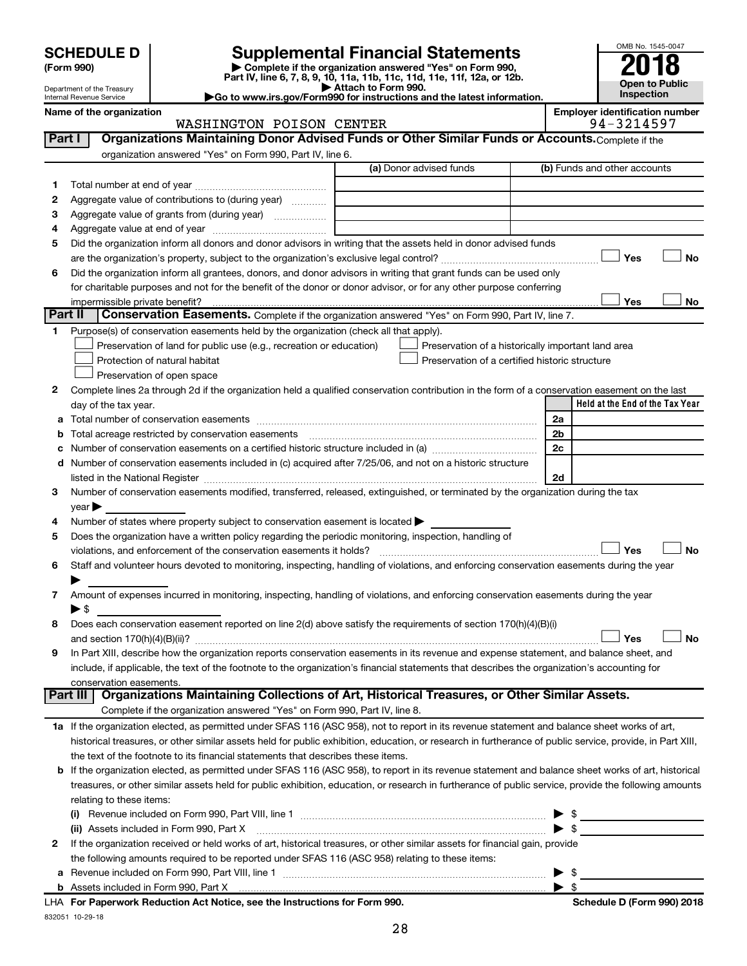| <b>SCHEDULE D</b> |
|-------------------|
|-------------------|

# **SCHEDULE D Supplemental Financial Statements**<br> **Form 990 2018**<br> **Part IV** line 6.7.8.9.10, 11a, 11b, 11d, 11d, 11d, 11d, 11d, 12a, 0r, 12b

**(Form 990) | Complete if the organization answered "Yes" on Form 990, Part IV, line 6, 7, 8, 9, 10, 11a, 11b, 11c, 11d, 11e, 11f, 12a, or 12b.**

**| Attach to Form 990. |Go to www.irs.gov/Form990 for instructions and the latest information.**



Department of the Treasury Internal Revenue Service

#### Name of the organization<br> **Employer identification number**<br> **Employer identification number**<br> **Employer identification number**<br> **Employer identification number**<br> **P4** - 3214597 WASHINGTON POISON CENTER

| organization answered "Yes" on Form 990, Part IV, line 6.<br>(a) Donor advised funds<br>(b) Funds and other accounts<br>1.<br>Aggregate value of contributions to (during year)<br>2<br>Aggregate value of grants from (during year)<br>З<br>4<br>Did the organization inform all donors and donor advisors in writing that the assets held in donor advised funds<br>5<br>Yes<br>Did the organization inform all grantees, donors, and donor advisors in writing that grant funds can be used only<br>6<br>for charitable purposes and not for the benefit of the donor or donor advisor, or for any other purpose conferring<br>Yes<br>impermissible private benefit?<br>Part II<br>Conservation Easements. Complete if the organization answered "Yes" on Form 990, Part IV, line 7.<br>Purpose(s) of conservation easements held by the organization (check all that apply).<br>1.<br>Preservation of land for public use (e.g., recreation or education)<br>Preservation of a historically important land area<br>Preservation of a certified historic structure<br>Protection of natural habitat<br>Preservation of open space<br>Complete lines 2a through 2d if the organization held a qualified conservation contribution in the form of a conservation easement on the last<br>2<br>Held at the End of the Tax Year<br>day of the tax year.<br>2a<br>a<br>Total acreage restricted by conservation easements<br>2b<br>b<br>Number of conservation easements on a certified historic structure included in (a) manufacture included in (a)<br>2c<br>с<br>Number of conservation easements included in (c) acquired after 7/25/06, and not on a historic structure<br>d<br>2d<br>listed in the National Register [11] manufactured in the Vietnam manufactured in the National Register [11] ma<br>Number of conservation easements modified, transferred, released, extinguished, or terminated by the organization during the tax<br>3<br>year<br>Number of states where property subject to conservation easement is located ><br>4<br>Does the organization have a written policy regarding the periodic monitoring, inspection, handling of<br>5<br>Yes<br>violations, and enforcement of the conservation easements it holds?<br>Staff and volunteer hours devoted to monitoring, inspecting, handling of violations, and enforcing conservation easements during the year<br>6 |    |
|------------------------------------------------------------------------------------------------------------------------------------------------------------------------------------------------------------------------------------------------------------------------------------------------------------------------------------------------------------------------------------------------------------------------------------------------------------------------------------------------------------------------------------------------------------------------------------------------------------------------------------------------------------------------------------------------------------------------------------------------------------------------------------------------------------------------------------------------------------------------------------------------------------------------------------------------------------------------------------------------------------------------------------------------------------------------------------------------------------------------------------------------------------------------------------------------------------------------------------------------------------------------------------------------------------------------------------------------------------------------------------------------------------------------------------------------------------------------------------------------------------------------------------------------------------------------------------------------------------------------------------------------------------------------------------------------------------------------------------------------------------------------------------------------------------------------------------------------------------------------------------------------------------------------------------------------------------------------------------------------------------------------------------------------------------------------------------------------------------------------------------------------------------------------------------------------------------------------------------------------------------------------------------------------------------------------------------------------------------------------------------------------|----|
|                                                                                                                                                                                                                                                                                                                                                                                                                                                                                                                                                                                                                                                                                                                                                                                                                                                                                                                                                                                                                                                                                                                                                                                                                                                                                                                                                                                                                                                                                                                                                                                                                                                                                                                                                                                                                                                                                                                                                                                                                                                                                                                                                                                                                                                                                                                                                                                                |    |
|                                                                                                                                                                                                                                                                                                                                                                                                                                                                                                                                                                                                                                                                                                                                                                                                                                                                                                                                                                                                                                                                                                                                                                                                                                                                                                                                                                                                                                                                                                                                                                                                                                                                                                                                                                                                                                                                                                                                                                                                                                                                                                                                                                                                                                                                                                                                                                                                |    |
|                                                                                                                                                                                                                                                                                                                                                                                                                                                                                                                                                                                                                                                                                                                                                                                                                                                                                                                                                                                                                                                                                                                                                                                                                                                                                                                                                                                                                                                                                                                                                                                                                                                                                                                                                                                                                                                                                                                                                                                                                                                                                                                                                                                                                                                                                                                                                                                                |    |
|                                                                                                                                                                                                                                                                                                                                                                                                                                                                                                                                                                                                                                                                                                                                                                                                                                                                                                                                                                                                                                                                                                                                                                                                                                                                                                                                                                                                                                                                                                                                                                                                                                                                                                                                                                                                                                                                                                                                                                                                                                                                                                                                                                                                                                                                                                                                                                                                |    |
|                                                                                                                                                                                                                                                                                                                                                                                                                                                                                                                                                                                                                                                                                                                                                                                                                                                                                                                                                                                                                                                                                                                                                                                                                                                                                                                                                                                                                                                                                                                                                                                                                                                                                                                                                                                                                                                                                                                                                                                                                                                                                                                                                                                                                                                                                                                                                                                                |    |
|                                                                                                                                                                                                                                                                                                                                                                                                                                                                                                                                                                                                                                                                                                                                                                                                                                                                                                                                                                                                                                                                                                                                                                                                                                                                                                                                                                                                                                                                                                                                                                                                                                                                                                                                                                                                                                                                                                                                                                                                                                                                                                                                                                                                                                                                                                                                                                                                |    |
|                                                                                                                                                                                                                                                                                                                                                                                                                                                                                                                                                                                                                                                                                                                                                                                                                                                                                                                                                                                                                                                                                                                                                                                                                                                                                                                                                                                                                                                                                                                                                                                                                                                                                                                                                                                                                                                                                                                                                                                                                                                                                                                                                                                                                                                                                                                                                                                                |    |
|                                                                                                                                                                                                                                                                                                                                                                                                                                                                                                                                                                                                                                                                                                                                                                                                                                                                                                                                                                                                                                                                                                                                                                                                                                                                                                                                                                                                                                                                                                                                                                                                                                                                                                                                                                                                                                                                                                                                                                                                                                                                                                                                                                                                                                                                                                                                                                                                | No |
|                                                                                                                                                                                                                                                                                                                                                                                                                                                                                                                                                                                                                                                                                                                                                                                                                                                                                                                                                                                                                                                                                                                                                                                                                                                                                                                                                                                                                                                                                                                                                                                                                                                                                                                                                                                                                                                                                                                                                                                                                                                                                                                                                                                                                                                                                                                                                                                                |    |
|                                                                                                                                                                                                                                                                                                                                                                                                                                                                                                                                                                                                                                                                                                                                                                                                                                                                                                                                                                                                                                                                                                                                                                                                                                                                                                                                                                                                                                                                                                                                                                                                                                                                                                                                                                                                                                                                                                                                                                                                                                                                                                                                                                                                                                                                                                                                                                                                |    |
|                                                                                                                                                                                                                                                                                                                                                                                                                                                                                                                                                                                                                                                                                                                                                                                                                                                                                                                                                                                                                                                                                                                                                                                                                                                                                                                                                                                                                                                                                                                                                                                                                                                                                                                                                                                                                                                                                                                                                                                                                                                                                                                                                                                                                                                                                                                                                                                                | No |
|                                                                                                                                                                                                                                                                                                                                                                                                                                                                                                                                                                                                                                                                                                                                                                                                                                                                                                                                                                                                                                                                                                                                                                                                                                                                                                                                                                                                                                                                                                                                                                                                                                                                                                                                                                                                                                                                                                                                                                                                                                                                                                                                                                                                                                                                                                                                                                                                |    |
|                                                                                                                                                                                                                                                                                                                                                                                                                                                                                                                                                                                                                                                                                                                                                                                                                                                                                                                                                                                                                                                                                                                                                                                                                                                                                                                                                                                                                                                                                                                                                                                                                                                                                                                                                                                                                                                                                                                                                                                                                                                                                                                                                                                                                                                                                                                                                                                                |    |
|                                                                                                                                                                                                                                                                                                                                                                                                                                                                                                                                                                                                                                                                                                                                                                                                                                                                                                                                                                                                                                                                                                                                                                                                                                                                                                                                                                                                                                                                                                                                                                                                                                                                                                                                                                                                                                                                                                                                                                                                                                                                                                                                                                                                                                                                                                                                                                                                |    |
|                                                                                                                                                                                                                                                                                                                                                                                                                                                                                                                                                                                                                                                                                                                                                                                                                                                                                                                                                                                                                                                                                                                                                                                                                                                                                                                                                                                                                                                                                                                                                                                                                                                                                                                                                                                                                                                                                                                                                                                                                                                                                                                                                                                                                                                                                                                                                                                                |    |
|                                                                                                                                                                                                                                                                                                                                                                                                                                                                                                                                                                                                                                                                                                                                                                                                                                                                                                                                                                                                                                                                                                                                                                                                                                                                                                                                                                                                                                                                                                                                                                                                                                                                                                                                                                                                                                                                                                                                                                                                                                                                                                                                                                                                                                                                                                                                                                                                |    |
|                                                                                                                                                                                                                                                                                                                                                                                                                                                                                                                                                                                                                                                                                                                                                                                                                                                                                                                                                                                                                                                                                                                                                                                                                                                                                                                                                                                                                                                                                                                                                                                                                                                                                                                                                                                                                                                                                                                                                                                                                                                                                                                                                                                                                                                                                                                                                                                                |    |
|                                                                                                                                                                                                                                                                                                                                                                                                                                                                                                                                                                                                                                                                                                                                                                                                                                                                                                                                                                                                                                                                                                                                                                                                                                                                                                                                                                                                                                                                                                                                                                                                                                                                                                                                                                                                                                                                                                                                                                                                                                                                                                                                                                                                                                                                                                                                                                                                |    |
|                                                                                                                                                                                                                                                                                                                                                                                                                                                                                                                                                                                                                                                                                                                                                                                                                                                                                                                                                                                                                                                                                                                                                                                                                                                                                                                                                                                                                                                                                                                                                                                                                                                                                                                                                                                                                                                                                                                                                                                                                                                                                                                                                                                                                                                                                                                                                                                                |    |
|                                                                                                                                                                                                                                                                                                                                                                                                                                                                                                                                                                                                                                                                                                                                                                                                                                                                                                                                                                                                                                                                                                                                                                                                                                                                                                                                                                                                                                                                                                                                                                                                                                                                                                                                                                                                                                                                                                                                                                                                                                                                                                                                                                                                                                                                                                                                                                                                |    |
|                                                                                                                                                                                                                                                                                                                                                                                                                                                                                                                                                                                                                                                                                                                                                                                                                                                                                                                                                                                                                                                                                                                                                                                                                                                                                                                                                                                                                                                                                                                                                                                                                                                                                                                                                                                                                                                                                                                                                                                                                                                                                                                                                                                                                                                                                                                                                                                                |    |
|                                                                                                                                                                                                                                                                                                                                                                                                                                                                                                                                                                                                                                                                                                                                                                                                                                                                                                                                                                                                                                                                                                                                                                                                                                                                                                                                                                                                                                                                                                                                                                                                                                                                                                                                                                                                                                                                                                                                                                                                                                                                                                                                                                                                                                                                                                                                                                                                |    |
|                                                                                                                                                                                                                                                                                                                                                                                                                                                                                                                                                                                                                                                                                                                                                                                                                                                                                                                                                                                                                                                                                                                                                                                                                                                                                                                                                                                                                                                                                                                                                                                                                                                                                                                                                                                                                                                                                                                                                                                                                                                                                                                                                                                                                                                                                                                                                                                                |    |
|                                                                                                                                                                                                                                                                                                                                                                                                                                                                                                                                                                                                                                                                                                                                                                                                                                                                                                                                                                                                                                                                                                                                                                                                                                                                                                                                                                                                                                                                                                                                                                                                                                                                                                                                                                                                                                                                                                                                                                                                                                                                                                                                                                                                                                                                                                                                                                                                |    |
|                                                                                                                                                                                                                                                                                                                                                                                                                                                                                                                                                                                                                                                                                                                                                                                                                                                                                                                                                                                                                                                                                                                                                                                                                                                                                                                                                                                                                                                                                                                                                                                                                                                                                                                                                                                                                                                                                                                                                                                                                                                                                                                                                                                                                                                                                                                                                                                                |    |
|                                                                                                                                                                                                                                                                                                                                                                                                                                                                                                                                                                                                                                                                                                                                                                                                                                                                                                                                                                                                                                                                                                                                                                                                                                                                                                                                                                                                                                                                                                                                                                                                                                                                                                                                                                                                                                                                                                                                                                                                                                                                                                                                                                                                                                                                                                                                                                                                |    |
|                                                                                                                                                                                                                                                                                                                                                                                                                                                                                                                                                                                                                                                                                                                                                                                                                                                                                                                                                                                                                                                                                                                                                                                                                                                                                                                                                                                                                                                                                                                                                                                                                                                                                                                                                                                                                                                                                                                                                                                                                                                                                                                                                                                                                                                                                                                                                                                                |    |
|                                                                                                                                                                                                                                                                                                                                                                                                                                                                                                                                                                                                                                                                                                                                                                                                                                                                                                                                                                                                                                                                                                                                                                                                                                                                                                                                                                                                                                                                                                                                                                                                                                                                                                                                                                                                                                                                                                                                                                                                                                                                                                                                                                                                                                                                                                                                                                                                | No |
|                                                                                                                                                                                                                                                                                                                                                                                                                                                                                                                                                                                                                                                                                                                                                                                                                                                                                                                                                                                                                                                                                                                                                                                                                                                                                                                                                                                                                                                                                                                                                                                                                                                                                                                                                                                                                                                                                                                                                                                                                                                                                                                                                                                                                                                                                                                                                                                                |    |
|                                                                                                                                                                                                                                                                                                                                                                                                                                                                                                                                                                                                                                                                                                                                                                                                                                                                                                                                                                                                                                                                                                                                                                                                                                                                                                                                                                                                                                                                                                                                                                                                                                                                                                                                                                                                                                                                                                                                                                                                                                                                                                                                                                                                                                                                                                                                                                                                |    |
| Amount of expenses incurred in monitoring, inspecting, handling of violations, and enforcing conservation easements during the year<br>7                                                                                                                                                                                                                                                                                                                                                                                                                                                                                                                                                                                                                                                                                                                                                                                                                                                                                                                                                                                                                                                                                                                                                                                                                                                                                                                                                                                                                                                                                                                                                                                                                                                                                                                                                                                                                                                                                                                                                                                                                                                                                                                                                                                                                                                       |    |
| $\blacktriangleright$ s                                                                                                                                                                                                                                                                                                                                                                                                                                                                                                                                                                                                                                                                                                                                                                                                                                                                                                                                                                                                                                                                                                                                                                                                                                                                                                                                                                                                                                                                                                                                                                                                                                                                                                                                                                                                                                                                                                                                                                                                                                                                                                                                                                                                                                                                                                                                                                        |    |
| Does each conservation easement reported on line 2(d) above satisfy the requirements of section 170(h)(4)(B)(i)<br>8                                                                                                                                                                                                                                                                                                                                                                                                                                                                                                                                                                                                                                                                                                                                                                                                                                                                                                                                                                                                                                                                                                                                                                                                                                                                                                                                                                                                                                                                                                                                                                                                                                                                                                                                                                                                                                                                                                                                                                                                                                                                                                                                                                                                                                                                           |    |
| Yes                                                                                                                                                                                                                                                                                                                                                                                                                                                                                                                                                                                                                                                                                                                                                                                                                                                                                                                                                                                                                                                                                                                                                                                                                                                                                                                                                                                                                                                                                                                                                                                                                                                                                                                                                                                                                                                                                                                                                                                                                                                                                                                                                                                                                                                                                                                                                                                            | No |
| In Part XIII, describe how the organization reports conservation easements in its revenue and expense statement, and balance sheet, and<br>9                                                                                                                                                                                                                                                                                                                                                                                                                                                                                                                                                                                                                                                                                                                                                                                                                                                                                                                                                                                                                                                                                                                                                                                                                                                                                                                                                                                                                                                                                                                                                                                                                                                                                                                                                                                                                                                                                                                                                                                                                                                                                                                                                                                                                                                   |    |
| include, if applicable, the text of the footnote to the organization's financial statements that describes the organization's accounting for                                                                                                                                                                                                                                                                                                                                                                                                                                                                                                                                                                                                                                                                                                                                                                                                                                                                                                                                                                                                                                                                                                                                                                                                                                                                                                                                                                                                                                                                                                                                                                                                                                                                                                                                                                                                                                                                                                                                                                                                                                                                                                                                                                                                                                                   |    |
| conservation easements.<br>Organizations Maintaining Collections of Art, Historical Treasures, or Other Similar Assets.<br>Part III                                                                                                                                                                                                                                                                                                                                                                                                                                                                                                                                                                                                                                                                                                                                                                                                                                                                                                                                                                                                                                                                                                                                                                                                                                                                                                                                                                                                                                                                                                                                                                                                                                                                                                                                                                                                                                                                                                                                                                                                                                                                                                                                                                                                                                                            |    |
| Complete if the organization answered "Yes" on Form 990, Part IV, line 8.                                                                                                                                                                                                                                                                                                                                                                                                                                                                                                                                                                                                                                                                                                                                                                                                                                                                                                                                                                                                                                                                                                                                                                                                                                                                                                                                                                                                                                                                                                                                                                                                                                                                                                                                                                                                                                                                                                                                                                                                                                                                                                                                                                                                                                                                                                                      |    |
| 1a If the organization elected, as permitted under SFAS 116 (ASC 958), not to report in its revenue statement and balance sheet works of art,                                                                                                                                                                                                                                                                                                                                                                                                                                                                                                                                                                                                                                                                                                                                                                                                                                                                                                                                                                                                                                                                                                                                                                                                                                                                                                                                                                                                                                                                                                                                                                                                                                                                                                                                                                                                                                                                                                                                                                                                                                                                                                                                                                                                                                                  |    |
| historical treasures, or other similar assets held for public exhibition, education, or research in furtherance of public service, provide, in Part XIII,                                                                                                                                                                                                                                                                                                                                                                                                                                                                                                                                                                                                                                                                                                                                                                                                                                                                                                                                                                                                                                                                                                                                                                                                                                                                                                                                                                                                                                                                                                                                                                                                                                                                                                                                                                                                                                                                                                                                                                                                                                                                                                                                                                                                                                      |    |
| the text of the footnote to its financial statements that describes these items.                                                                                                                                                                                                                                                                                                                                                                                                                                                                                                                                                                                                                                                                                                                                                                                                                                                                                                                                                                                                                                                                                                                                                                                                                                                                                                                                                                                                                                                                                                                                                                                                                                                                                                                                                                                                                                                                                                                                                                                                                                                                                                                                                                                                                                                                                                               |    |
| b If the organization elected, as permitted under SFAS 116 (ASC 958), to report in its revenue statement and balance sheet works of art, historical                                                                                                                                                                                                                                                                                                                                                                                                                                                                                                                                                                                                                                                                                                                                                                                                                                                                                                                                                                                                                                                                                                                                                                                                                                                                                                                                                                                                                                                                                                                                                                                                                                                                                                                                                                                                                                                                                                                                                                                                                                                                                                                                                                                                                                            |    |
| treasures, or other similar assets held for public exhibition, education, or research in furtherance of public service, provide the following amounts                                                                                                                                                                                                                                                                                                                                                                                                                                                                                                                                                                                                                                                                                                                                                                                                                                                                                                                                                                                                                                                                                                                                                                                                                                                                                                                                                                                                                                                                                                                                                                                                                                                                                                                                                                                                                                                                                                                                                                                                                                                                                                                                                                                                                                          |    |
| relating to these items:                                                                                                                                                                                                                                                                                                                                                                                                                                                                                                                                                                                                                                                                                                                                                                                                                                                                                                                                                                                                                                                                                                                                                                                                                                                                                                                                                                                                                                                                                                                                                                                                                                                                                                                                                                                                                                                                                                                                                                                                                                                                                                                                                                                                                                                                                                                                                                       |    |
| $\frac{1}{2}$<br>(i)                                                                                                                                                                                                                                                                                                                                                                                                                                                                                                                                                                                                                                                                                                                                                                                                                                                                                                                                                                                                                                                                                                                                                                                                                                                                                                                                                                                                                                                                                                                                                                                                                                                                                                                                                                                                                                                                                                                                                                                                                                                                                                                                                                                                                                                                                                                                                                           |    |
| $\blacktriangleright$ \$<br>(ii) Assets included in Form 990, Part X [11] [2000] [2010] Assets included in Form 990, Part X [11] [11] [200                                                                                                                                                                                                                                                                                                                                                                                                                                                                                                                                                                                                                                                                                                                                                                                                                                                                                                                                                                                                                                                                                                                                                                                                                                                                                                                                                                                                                                                                                                                                                                                                                                                                                                                                                                                                                                                                                                                                                                                                                                                                                                                                                                                                                                                     |    |
| If the organization received or held works of art, historical treasures, or other similar assets for financial gain, provide<br>2                                                                                                                                                                                                                                                                                                                                                                                                                                                                                                                                                                                                                                                                                                                                                                                                                                                                                                                                                                                                                                                                                                                                                                                                                                                                                                                                                                                                                                                                                                                                                                                                                                                                                                                                                                                                                                                                                                                                                                                                                                                                                                                                                                                                                                                              |    |
| the following amounts required to be reported under SFAS 116 (ASC 958) relating to these items:                                                                                                                                                                                                                                                                                                                                                                                                                                                                                                                                                                                                                                                                                                                                                                                                                                                                                                                                                                                                                                                                                                                                                                                                                                                                                                                                                                                                                                                                                                                                                                                                                                                                                                                                                                                                                                                                                                                                                                                                                                                                                                                                                                                                                                                                                                |    |
| $\frac{1}{2}$<br>а                                                                                                                                                                                                                                                                                                                                                                                                                                                                                                                                                                                                                                                                                                                                                                                                                                                                                                                                                                                                                                                                                                                                                                                                                                                                                                                                                                                                                                                                                                                                                                                                                                                                                                                                                                                                                                                                                                                                                                                                                                                                                                                                                                                                                                                                                                                                                                             |    |
|                                                                                                                                                                                                                                                                                                                                                                                                                                                                                                                                                                                                                                                                                                                                                                                                                                                                                                                                                                                                                                                                                                                                                                                                                                                                                                                                                                                                                                                                                                                                                                                                                                                                                                                                                                                                                                                                                                                                                                                                                                                                                                                                                                                                                                                                                                                                                                                                |    |

832051 10-29-18 **For Paperwork Reduction Act Notice, see the Instructions for Form 990. Schedule D (Form 990) 2018** LHA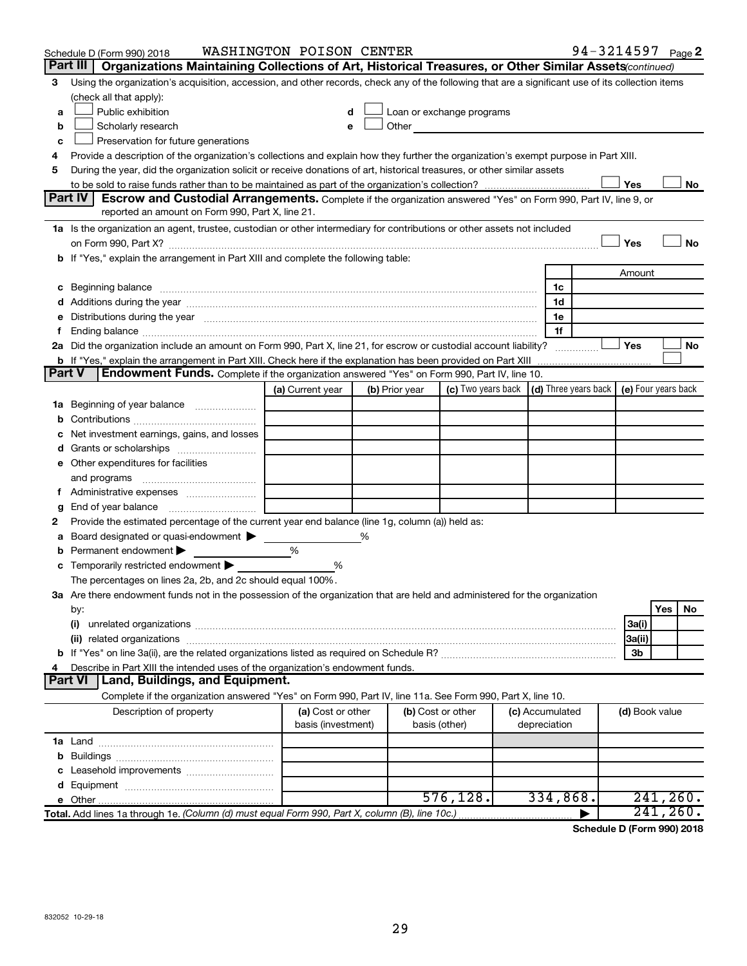|    | Schedule D (Form 990) 2018                                                                                                                                                                                                     | WASHINGTON POISON CENTER                |   |                                    |                           |                                            |                | 94-3214597 Page 2 |
|----|--------------------------------------------------------------------------------------------------------------------------------------------------------------------------------------------------------------------------------|-----------------------------------------|---|------------------------------------|---------------------------|--------------------------------------------|----------------|-------------------|
|    | Part III $\vert$<br>Organizations Maintaining Collections of Art, Historical Treasures, or Other Similar Assets (continued)                                                                                                    |                                         |   |                                    |                           |                                            |                |                   |
| З  | Using the organization's acquisition, accession, and other records, check any of the following that are a significant use of its collection items                                                                              |                                         |   |                                    |                           |                                            |                |                   |
|    | (check all that apply):                                                                                                                                                                                                        |                                         |   |                                    |                           |                                            |                |                   |
| a  | Public exhibition                                                                                                                                                                                                              |                                         |   |                                    | Loan or exchange programs |                                            |                |                   |
| b  | Scholarly research                                                                                                                                                                                                             |                                         |   | Other                              |                           |                                            |                |                   |
| c  | Preservation for future generations                                                                                                                                                                                            |                                         |   |                                    |                           |                                            |                |                   |
| 4  | Provide a description of the organization's collections and explain how they further the organization's exempt purpose in Part XIII.                                                                                           |                                         |   |                                    |                           |                                            |                |                   |
| 5  | During the year, did the organization solicit or receive donations of art, historical treasures, or other similar assets                                                                                                       |                                         |   |                                    |                           |                                            |                |                   |
|    |                                                                                                                                                                                                                                |                                         |   |                                    |                           |                                            | Yes            | No                |
|    | Part IV<br><b>Escrow and Custodial Arrangements.</b> Complete if the organization answered "Yes" on Form 990, Part IV, line 9, or                                                                                              |                                         |   |                                    |                           |                                            |                |                   |
|    | reported an amount on Form 990, Part X, line 21.                                                                                                                                                                               |                                         |   |                                    |                           |                                            |                |                   |
|    | 1a Is the organization an agent, trustee, custodian or other intermediary for contributions or other assets not included                                                                                                       |                                         |   |                                    |                           |                                            |                |                   |
|    | on Form 990, Part X? [11] matter continuum matter contract and contract and contract and contract and contract and contract and contract and contract and contract and contract and contract and contract and contract and con |                                         |   |                                    |                           |                                            | Yes            | No                |
|    | b If "Yes," explain the arrangement in Part XIII and complete the following table:                                                                                                                                             |                                         |   |                                    |                           |                                            |                |                   |
|    |                                                                                                                                                                                                                                |                                         |   |                                    |                           |                                            | Amount         |                   |
| c  | Beginning balance measurements and the contract of the contract of the contract of the contract of the contract of the contract of the contract of the contract of the contract of the contract of the contract of the contrac |                                         |   |                                    |                           | 1c                                         |                |                   |
|    |                                                                                                                                                                                                                                |                                         |   |                                    |                           | 1d                                         |                |                   |
|    | Distributions during the year measurement contains and all the year measurement of the state of the state of the state of the state of the state of the state of the state of the state of the state of the state of the state |                                         |   |                                    |                           | 1e                                         |                |                   |
|    |                                                                                                                                                                                                                                |                                         |   |                                    |                           | 1f                                         |                |                   |
|    | 2a Did the organization include an amount on Form 990, Part X, line 21, for escrow or custodial account liability?                                                                                                             |                                         |   |                                    |                           |                                            | Yes            | No                |
|    | <b>b</b> If "Yes," explain the arrangement in Part XIII. Check here if the explanation has been provided on Part XIII<br>Endowment Funds. Complete if the organization answered "Yes" on Form 990, Part IV, line 10.<br>Part V |                                         |   |                                    |                           |                                            |                |                   |
|    |                                                                                                                                                                                                                                | (a) Current year                        |   |                                    | (c) Two years back $\mid$ | (d) Three years back   (e) Four years back |                |                   |
|    |                                                                                                                                                                                                                                |                                         |   | (b) Prior year                     |                           |                                            |                |                   |
| ٦а | Beginning of year balance                                                                                                                                                                                                      |                                         |   |                                    |                           |                                            |                |                   |
|    | Net investment earnings, gains, and losses                                                                                                                                                                                     |                                         |   |                                    |                           |                                            |                |                   |
|    |                                                                                                                                                                                                                                |                                         |   |                                    |                           |                                            |                |                   |
| d  | e Other expenditures for facilities                                                                                                                                                                                            |                                         |   |                                    |                           |                                            |                |                   |
|    | and programs                                                                                                                                                                                                                   |                                         |   |                                    |                           |                                            |                |                   |
|    |                                                                                                                                                                                                                                |                                         |   |                                    |                           |                                            |                |                   |
| g  |                                                                                                                                                                                                                                |                                         |   |                                    |                           |                                            |                |                   |
| 2  | Provide the estimated percentage of the current year end balance (line 1g, column (a)) held as:                                                                                                                                |                                         |   |                                    |                           |                                            |                |                   |
| а  | Board designated or quasi-endowment                                                                                                                                                                                            |                                         | % |                                    |                           |                                            |                |                   |
| b  | Permanent endowment                                                                                                                                                                                                            | %                                       |   |                                    |                           |                                            |                |                   |
|    | Temporarily restricted endowment                                                                                                                                                                                               | %                                       |   |                                    |                           |                                            |                |                   |
|    | The percentages on lines 2a, 2b, and 2c should equal 100%.                                                                                                                                                                     |                                         |   |                                    |                           |                                            |                |                   |
|    | 3a Are there endowment funds not in the possession of the organization that are held and administered for the organization                                                                                                     |                                         |   |                                    |                           |                                            |                |                   |
|    | by:                                                                                                                                                                                                                            |                                         |   |                                    |                           |                                            |                | Yes<br>No.        |
|    | (i)                                                                                                                                                                                                                            |                                         |   |                                    |                           |                                            | 3a(i)          |                   |
|    |                                                                                                                                                                                                                                |                                         |   |                                    |                           |                                            | 3a(ii)         |                   |
|    |                                                                                                                                                                                                                                |                                         |   |                                    |                           |                                            | Зb             |                   |
|    | Describe in Part XIII the intended uses of the organization's endowment funds.                                                                                                                                                 |                                         |   |                                    |                           |                                            |                |                   |
|    | <b>Part VI</b><br>Land, Buildings, and Equipment.                                                                                                                                                                              |                                         |   |                                    |                           |                                            |                |                   |
|    | Complete if the organization answered "Yes" on Form 990, Part IV, line 11a. See Form 990, Part X, line 10.                                                                                                                     |                                         |   |                                    |                           |                                            |                |                   |
|    | Description of property                                                                                                                                                                                                        | (a) Cost or other<br>basis (investment) |   | (b) Cost or other<br>basis (other) |                           | (c) Accumulated<br>depreciation            | (d) Book value |                   |
|    |                                                                                                                                                                                                                                |                                         |   |                                    |                           |                                            |                |                   |
| b  |                                                                                                                                                                                                                                |                                         |   |                                    |                           |                                            |                |                   |
|    |                                                                                                                                                                                                                                |                                         |   |                                    |                           |                                            |                |                   |
|    |                                                                                                                                                                                                                                |                                         |   |                                    |                           |                                            |                |                   |
|    |                                                                                                                                                                                                                                |                                         |   |                                    | 576, 128.                 | 334,868.                                   |                | 241, 260.         |
|    | Total. Add lines 1a through 1e. (Column (d) must equal Form 990, Part X, column (B), line 10c.)                                                                                                                                |                                         |   |                                    |                           |                                            |                | $241, 260$ .      |

**Schedule D (Form 990) 2018**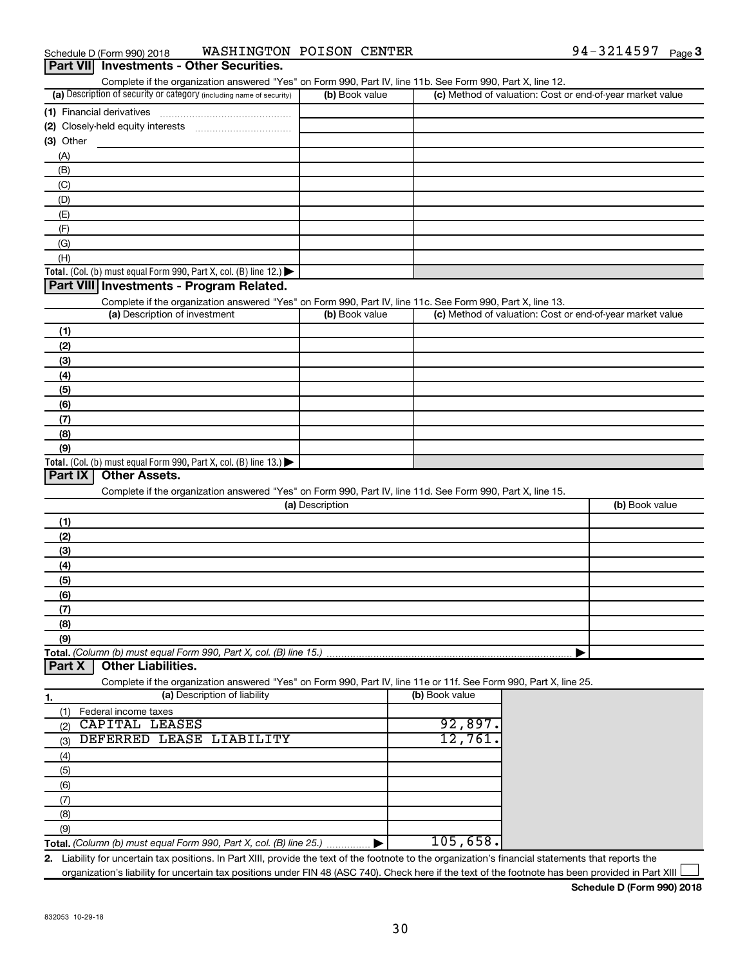| Complete if the organization answered "Yes" on Form 990, Part IV, line 11b. See Form 990, Part X, line 12.<br>(a) Description of security or category (including name of security) | (b) Book value  |                | (c) Method of valuation: Cost or end-of-year market value |
|------------------------------------------------------------------------------------------------------------------------------------------------------------------------------------|-----------------|----------------|-----------------------------------------------------------|
|                                                                                                                                                                                    |                 |                |                                                           |
|                                                                                                                                                                                    |                 |                |                                                           |
| $(3)$ Other                                                                                                                                                                        |                 |                |                                                           |
| (A)                                                                                                                                                                                |                 |                |                                                           |
| (B)                                                                                                                                                                                |                 |                |                                                           |
|                                                                                                                                                                                    |                 |                |                                                           |
| (C)<br>(D)                                                                                                                                                                         |                 |                |                                                           |
|                                                                                                                                                                                    |                 |                |                                                           |
| (E)                                                                                                                                                                                |                 |                |                                                           |
| (F)                                                                                                                                                                                |                 |                |                                                           |
| (G)                                                                                                                                                                                |                 |                |                                                           |
| (H)                                                                                                                                                                                |                 |                |                                                           |
| Total. (Col. (b) must equal Form 990, Part X, col. (B) line 12.)<br>Part VIII Investments - Program Related.                                                                       |                 |                |                                                           |
|                                                                                                                                                                                    |                 |                |                                                           |
| Complete if the organization answered "Yes" on Form 990, Part IV, line 11c. See Form 990, Part X, line 13.<br>(a) Description of investment                                        | (b) Book value  |                | (c) Method of valuation: Cost or end-of-year market value |
|                                                                                                                                                                                    |                 |                |                                                           |
| (1)                                                                                                                                                                                |                 |                |                                                           |
| (2)                                                                                                                                                                                |                 |                |                                                           |
| (3)                                                                                                                                                                                |                 |                |                                                           |
| (4)                                                                                                                                                                                |                 |                |                                                           |
| (5)                                                                                                                                                                                |                 |                |                                                           |
| (6)                                                                                                                                                                                |                 |                |                                                           |
| (7)                                                                                                                                                                                |                 |                |                                                           |
| (8)                                                                                                                                                                                |                 |                |                                                           |
| (9)                                                                                                                                                                                |                 |                |                                                           |
| Total. (Col. (b) must equal Form 990, Part X, col. (B) line 13.)                                                                                                                   |                 |                |                                                           |
| <b>Other Assets.</b><br>Part IX                                                                                                                                                    |                 |                |                                                           |
| Complete if the organization answered "Yes" on Form 990, Part IV, line 11d. See Form 990, Part X, line 15.                                                                         |                 |                |                                                           |
|                                                                                                                                                                                    | (a) Description |                | (b) Book value                                            |
| (1)                                                                                                                                                                                |                 |                |                                                           |
| (2)                                                                                                                                                                                |                 |                |                                                           |
| (3)                                                                                                                                                                                |                 |                |                                                           |
| (4)                                                                                                                                                                                |                 |                |                                                           |
| (5)                                                                                                                                                                                |                 |                |                                                           |
| (6)                                                                                                                                                                                |                 |                |                                                           |
| (7)                                                                                                                                                                                |                 |                |                                                           |
| (8)                                                                                                                                                                                |                 |                |                                                           |
| (9)                                                                                                                                                                                |                 |                |                                                           |
| Total. (Column (b) must equal Form 990, Part X, col. (B) line 15.)                                                                                                                 |                 |                |                                                           |
| <b>Other Liabilities.</b><br>Part X                                                                                                                                                |                 |                |                                                           |
| Complete if the organization answered "Yes" on Form 990, Part IV, line 11e or 11f. See Form 990, Part X, line 25.                                                                  |                 |                |                                                           |
| (a) Description of liability<br>1.                                                                                                                                                 |                 | (b) Book value |                                                           |
| (1)<br>Federal income taxes                                                                                                                                                        |                 |                |                                                           |
| CAPITAL LEASES<br>(2)                                                                                                                                                              |                 | 92,897         |                                                           |
| DEFERRED LEASE LIABILITY<br>(3)                                                                                                                                                    |                 | 12,761         |                                                           |
|                                                                                                                                                                                    |                 |                |                                                           |
|                                                                                                                                                                                    |                 |                |                                                           |
| (4)                                                                                                                                                                                |                 |                |                                                           |
| (5)                                                                                                                                                                                |                 |                |                                                           |
| (6)                                                                                                                                                                                |                 |                |                                                           |
| (7)                                                                                                                                                                                |                 |                |                                                           |
| (8)<br>(9)                                                                                                                                                                         |                 |                |                                                           |

**2.** Liability for uncertain tax positions. In Part XIII, provide the text of the footnote to the organization's financial statements that reports the organization's liability for uncertain tax positions under FIN 48 (ASC 740). Check here if the text of the footnote has been provided in Part XIII

**Schedule D (Form 990) 2018**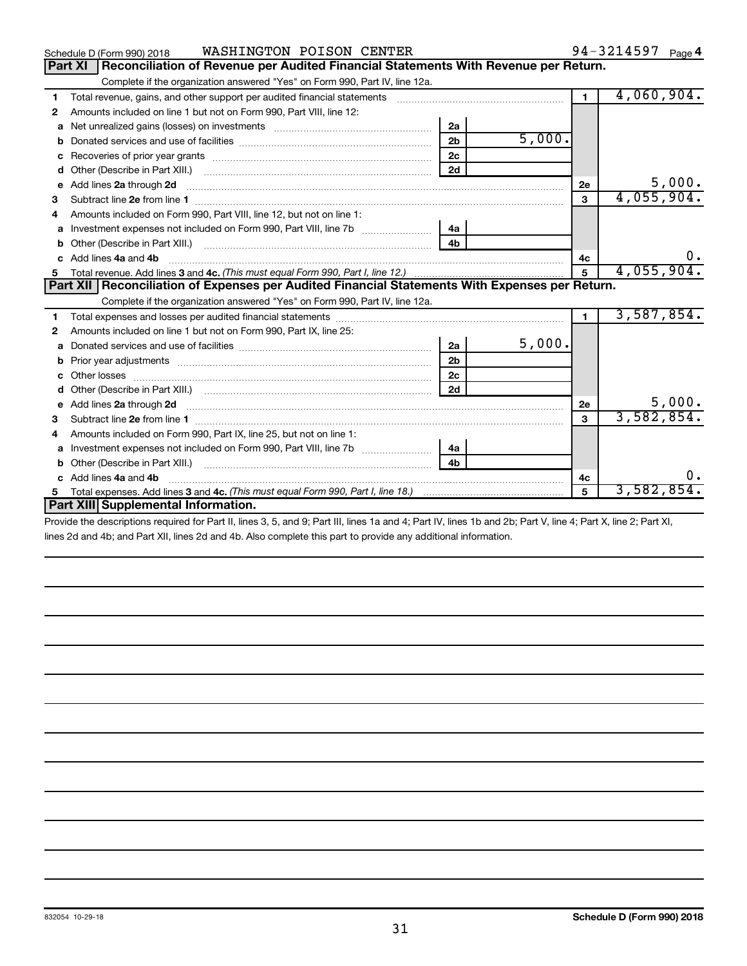|    | WASHINGTON POISON CENTER<br>Schedule D (Form 990) 2018                                                                                                                                                                               |                |            |              | 94-3214597 Page 4 |
|----|--------------------------------------------------------------------------------------------------------------------------------------------------------------------------------------------------------------------------------------|----------------|------------|--------------|-------------------|
|    | Reconciliation of Revenue per Audited Financial Statements With Revenue per Return.<br><b>Part XI</b>                                                                                                                                |                |            |              |                   |
|    | Complete if the organization answered "Yes" on Form 990, Part IV, line 12a.                                                                                                                                                          |                |            |              |                   |
| 1  | Total revenue, gains, and other support per audited financial statements [111] [11] Total revenue, gains, and other support per audited financial statements                                                                         |                |            | $\mathbf{1}$ | 4,060,904.        |
| 2  | Amounts included on line 1 but not on Form 990, Part VIII, line 12:                                                                                                                                                                  |                |            |              |                   |
| a  | Net unrealized gains (losses) on investments [111] [12] matter and the unrealized gains (losses) on investments                                                                                                                      | 2a             |            |              |                   |
| b  |                                                                                                                                                                                                                                      | 2 <sub>b</sub> | 5,000.     |              |                   |
| c  | Recoveries of prior year grants [111] Recoveries of prior year grants [11] Recoveries of prior year grants                                                                                                                           | 2c             |            |              |                   |
| d  |                                                                                                                                                                                                                                      | 2d             |            |              |                   |
| е  |                                                                                                                                                                                                                                      |                |            | 2е           | 5,000.            |
| з  |                                                                                                                                                                                                                                      |                |            | 3            | 4,055,904.        |
|    | Amounts included on Form 990, Part VIII, line 12, but not on line 1:                                                                                                                                                                 |                |            |              |                   |
| a  |                                                                                                                                                                                                                                      | 4a             |            |              |                   |
| b  |                                                                                                                                                                                                                                      | 4 <sub>h</sub> |            |              |                   |
| C. | Add lines 4a and 4b                                                                                                                                                                                                                  |                |            | 4с           |                   |
|    |                                                                                                                                                                                                                                      | 5 <sup>5</sup> | 4,055,904. |              |                   |
|    | Part XII   Reconciliation of Expenses per Audited Financial Statements With Expenses per Return.                                                                                                                                     |                |            |              |                   |
|    | Complete if the organization answered "Yes" on Form 990, Part IV, line 12a.                                                                                                                                                          |                |            |              |                   |
|    |                                                                                                                                                                                                                                      |                |            |              |                   |
| 1  |                                                                                                                                                                                                                                      |                |            | $\mathbf{1}$ | 3,587,854.        |
| 2  | Amounts included on line 1 but not on Form 990, Part IX, line 25:                                                                                                                                                                    |                |            |              |                   |
| a  |                                                                                                                                                                                                                                      | 2a             | 5,000.     |              |                   |
| b  |                                                                                                                                                                                                                                      | 2 <sub>b</sub> |            |              |                   |
|    |                                                                                                                                                                                                                                      | 2 <sub>c</sub> |            |              |                   |
| d  |                                                                                                                                                                                                                                      | 2d             |            |              |                   |
| е  | Add lines 2a through 2d <b>continuum continuum contract and all the contract of the contract of the contract of the contract of the contract of the contract of the contract of the contract of the contract of the contract of </b> |                |            | 2e           | 5,000.            |
| з  |                                                                                                                                                                                                                                      |                |            | 3            | 3,582,854.        |
| 4  | Amounts included on Form 990, Part IX, line 25, but not on line 1:                                                                                                                                                                   |                |            |              |                   |
| a  |                                                                                                                                                                                                                                      | 4a             |            |              |                   |
|    | Other (Describe in Part XIII.)                                                                                                                                                                                                       | 4 <sub>h</sub> |            |              |                   |
|    | Add lines 4a and 4b                                                                                                                                                                                                                  |                |            | 4с           | 0.                |
| 5  | Part XIII Supplemental Information.                                                                                                                                                                                                  |                |            | 5            | 3,582,854.        |

Provide the descriptions required for Part II, lines 3, 5, and 9; Part III, lines 1a and 4; Part IV, lines 1b and 2b; Part V, line 4; Part X, line 2; Part XI, lines 2d and 4b; and Part XII, lines 2d and 4b. Also complete this part to provide any additional information.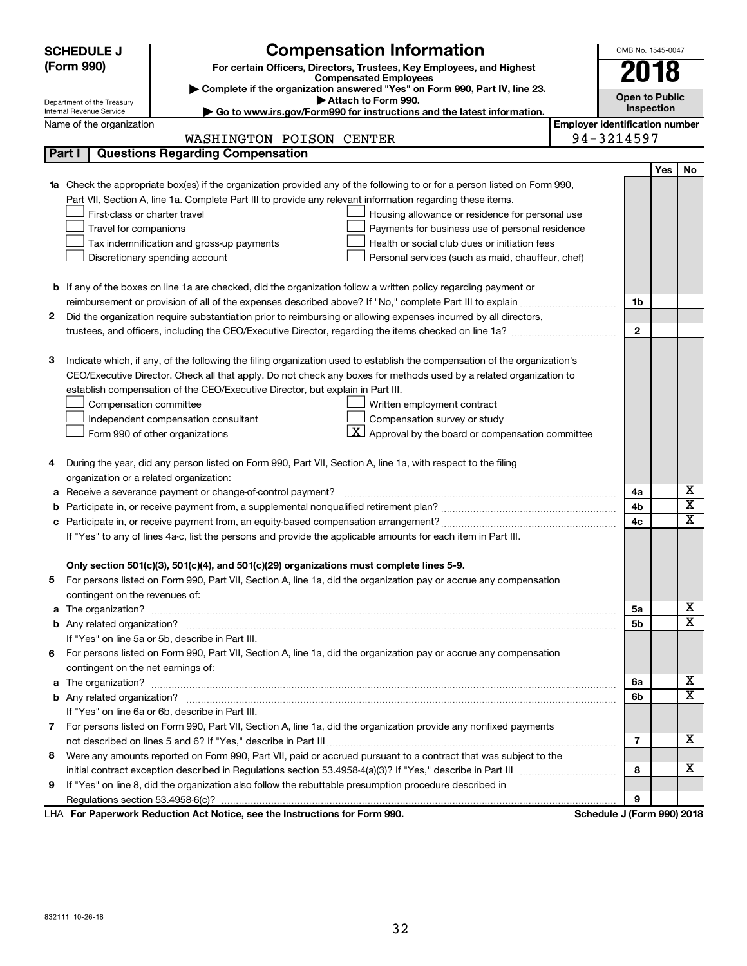|    | <b>SCHEDULE J</b>                       | <b>Compensation Information</b>                                                                                           |                                       | OMB No. 1545-0047          |     |             |  |  |
|----|-----------------------------------------|---------------------------------------------------------------------------------------------------------------------------|---------------------------------------|----------------------------|-----|-------------|--|--|
|    | (Form 990)                              | For certain Officers, Directors, Trustees, Key Employees, and Highest                                                     |                                       | 2018                       |     |             |  |  |
|    |                                         | <b>Compensated Employees</b>                                                                                              |                                       |                            |     |             |  |  |
|    | Department of the Treasury              | Complete if the organization answered "Yes" on Form 990, Part IV, line 23.<br>Attach to Form 990.                         |                                       | <b>Open to Public</b>      |     |             |  |  |
|    | Internal Revenue Service                | Go to www.irs.gov/Form990 for instructions and the latest information.                                                    |                                       | Inspection                 |     |             |  |  |
|    | Name of the organization                |                                                                                                                           | <b>Employer identification number</b> |                            |     |             |  |  |
|    |                                         | WASHINGTON POISON CENTER                                                                                                  |                                       | 94-3214597                 |     |             |  |  |
|    | Part I                                  | <b>Questions Regarding Compensation</b>                                                                                   |                                       |                            |     |             |  |  |
|    |                                         |                                                                                                                           |                                       |                            | Yes | No          |  |  |
|    |                                         | 1a Check the appropriate box(es) if the organization provided any of the following to or for a person listed on Form 990, |                                       |                            |     |             |  |  |
|    |                                         | Part VII, Section A, line 1a. Complete Part III to provide any relevant information regarding these items.                |                                       |                            |     |             |  |  |
|    | First-class or charter travel           | Housing allowance or residence for personal use                                                                           |                                       |                            |     |             |  |  |
|    | Travel for companions                   | Payments for business use of personal residence                                                                           |                                       |                            |     |             |  |  |
|    |                                         | Health or social club dues or initiation fees<br>Tax indemnification and gross-up payments                                |                                       |                            |     |             |  |  |
|    |                                         | Discretionary spending account<br>Personal services (such as maid, chauffeur, chef)                                       |                                       |                            |     |             |  |  |
|    |                                         |                                                                                                                           |                                       |                            |     |             |  |  |
|    |                                         | <b>b</b> If any of the boxes on line 1a are checked, did the organization follow a written policy regarding payment or    |                                       |                            |     |             |  |  |
|    |                                         |                                                                                                                           |                                       | 1b                         |     |             |  |  |
| 2  |                                         | Did the organization require substantiation prior to reimbursing or allowing expenses incurred by all directors,          |                                       |                            |     |             |  |  |
|    |                                         |                                                                                                                           |                                       | $\mathbf{2}$               |     |             |  |  |
|    |                                         |                                                                                                                           |                                       |                            |     |             |  |  |
| з  |                                         | Indicate which, if any, of the following the filing organization used to establish the compensation of the organization's |                                       |                            |     |             |  |  |
|    |                                         | CEO/Executive Director. Check all that apply. Do not check any boxes for methods used by a related organization to        |                                       |                            |     |             |  |  |
|    |                                         | establish compensation of the CEO/Executive Director, but explain in Part III.                                            |                                       |                            |     |             |  |  |
|    | Compensation committee                  | Written employment contract                                                                                               |                                       |                            |     |             |  |  |
|    |                                         | Compensation survey or study<br>Independent compensation consultant                                                       |                                       |                            |     |             |  |  |
|    |                                         | $\mathbf{X}$ Approval by the board or compensation committee<br>Form 990 of other organizations                           |                                       |                            |     |             |  |  |
|    |                                         |                                                                                                                           |                                       |                            |     |             |  |  |
| 4  |                                         | During the year, did any person listed on Form 990, Part VII, Section A, line 1a, with respect to the filing              |                                       |                            |     |             |  |  |
|    | organization or a related organization: |                                                                                                                           |                                       |                            |     | х           |  |  |
| а  |                                         | Receive a severance payment or change-of-control payment?                                                                 |                                       | 4a                         |     | х           |  |  |
| b  |                                         |                                                                                                                           |                                       | 4b                         |     | $\mathbf x$ |  |  |
|    |                                         |                                                                                                                           |                                       | 4c                         |     |             |  |  |
|    |                                         | If "Yes" to any of lines 4a-c, list the persons and provide the applicable amounts for each item in Part III.             |                                       |                            |     |             |  |  |
|    |                                         | Only section 501(c)(3), 501(c)(4), and 501(c)(29) organizations must complete lines 5-9.                                  |                                       |                            |     |             |  |  |
|    |                                         | For persons listed on Form 990, Part VII, Section A, line 1a, did the organization pay or accrue any compensation         |                                       |                            |     |             |  |  |
|    | contingent on the revenues of:          |                                                                                                                           |                                       |                            |     |             |  |  |
|    |                                         |                                                                                                                           |                                       | 5а                         |     | х           |  |  |
|    |                                         |                                                                                                                           |                                       | 5b                         |     | x           |  |  |
|    |                                         | If "Yes" on line 5a or 5b, describe in Part III.                                                                          |                                       |                            |     |             |  |  |
| 6. |                                         | For persons listed on Form 990, Part VII, Section A, line 1a, did the organization pay or accrue any compensation         |                                       |                            |     |             |  |  |
|    | contingent on the net earnings of:      |                                                                                                                           |                                       |                            |     |             |  |  |
|    |                                         |                                                                                                                           |                                       | 6a                         |     | х           |  |  |
|    |                                         |                                                                                                                           |                                       | 6b                         |     | x           |  |  |
|    |                                         | If "Yes" on line 6a or 6b, describe in Part III.                                                                          |                                       |                            |     |             |  |  |
|    |                                         | 7 For persons listed on Form 990, Part VII, Section A, line 1a, did the organization provide any nonfixed payments        |                                       |                            |     |             |  |  |
|    |                                         |                                                                                                                           |                                       | 7                          |     | х           |  |  |
| 8  |                                         | Were any amounts reported on Form 990, Part VII, paid or accrued pursuant to a contract that was subject to the           |                                       |                            |     |             |  |  |
|    |                                         |                                                                                                                           |                                       | 8                          |     | х           |  |  |
| 9  |                                         | If "Yes" on line 8, did the organization also follow the rebuttable presumption procedure described in                    |                                       |                            |     |             |  |  |
|    |                                         |                                                                                                                           |                                       | 9                          |     |             |  |  |
|    |                                         | LHA For Paperwork Reduction Act Notice, see the Instructions for Form 990.                                                |                                       | Schedule J (Form 990) 2018 |     |             |  |  |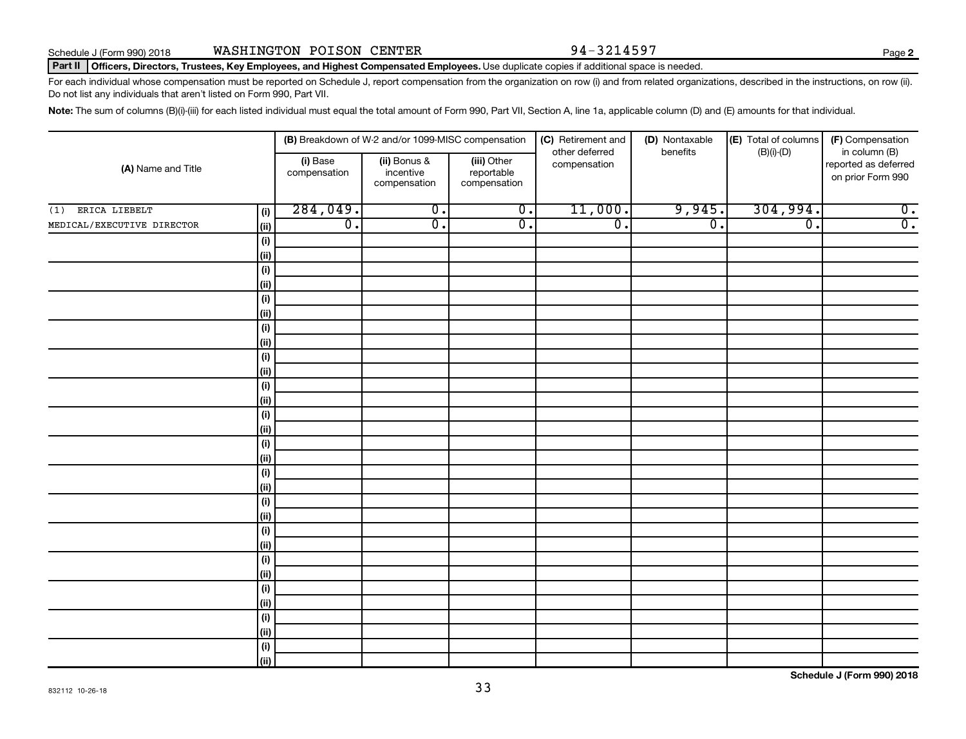**2**

#### Part II | Officers, Directors, Trustees, Key Employees, and Highest Compensated Employees. Use duplicate copies if additional space is needed.

For each individual whose compensation must be reported on Schedule J, report compensation from the organization on row (i) and from related organizations, described in the instructions, on row (ii). Do not list any individuals that aren't listed on Form 990, Part VII.

Note: The sum of columns (B)(i)-(iii) for each listed individual must equal the total amount of Form 990, Part VII, Section A, line 1a, applicable column (D) and (E) amounts for that individual.

|                            |                                      |                          | (B) Breakdown of W-2 and/or 1099-MISC compensation |                                           | (C) Retirement and<br>other deferred | (D) Nontaxable<br>benefits | (E) Total of columns<br>$(B)(i)$ - $(D)$ | (F) Compensation<br>in column (B)         |
|----------------------------|--------------------------------------|--------------------------|----------------------------------------------------|-------------------------------------------|--------------------------------------|----------------------------|------------------------------------------|-------------------------------------------|
| (A) Name and Title         |                                      | (i) Base<br>compensation | (ii) Bonus &<br>incentive<br>compensation          | (iii) Other<br>reportable<br>compensation | compensation                         |                            |                                          | reported as deferred<br>on prior Form 990 |
| ERICA LIEBELT<br>(1)       | (i)                                  | 284,049.                 | $\overline{0}$ .                                   | $\overline{0}$ .                          | 11,000.                              | 9,945.                     | 304,994.                                 | $\overline{0}$ .                          |
| MEDICAL/EXECUTIVE DIRECTOR | (ii)                                 | $\overline{0}$ .         | $\overline{0}$ .                                   | $\overline{0}$ .                          | $\overline{0}$ .                     | $\overline{0}$ .           | $\overline{0}$ .                         | $\overline{0}$ .                          |
|                            | $(\sf{i})$                           |                          |                                                    |                                           |                                      |                            |                                          |                                           |
|                            | (ii)                                 |                          |                                                    |                                           |                                      |                            |                                          |                                           |
|                            | $\qquad \qquad \textbf{(i)}$         |                          |                                                    |                                           |                                      |                            |                                          |                                           |
|                            | (ii)                                 |                          |                                                    |                                           |                                      |                            |                                          |                                           |
|                            | $\qquad \qquad \textbf{(i)}$         |                          |                                                    |                                           |                                      |                            |                                          |                                           |
|                            | (ii)                                 |                          |                                                    |                                           |                                      |                            |                                          |                                           |
|                            | $(\sf{i})$                           |                          |                                                    |                                           |                                      |                            |                                          |                                           |
|                            | (ii)                                 |                          |                                                    |                                           |                                      |                            |                                          |                                           |
|                            | $(\sf{i})$                           |                          |                                                    |                                           |                                      |                            |                                          |                                           |
|                            | (i)                                  |                          |                                                    |                                           |                                      |                            |                                          |                                           |
|                            | $(\sf{i})$                           |                          |                                                    |                                           |                                      |                            |                                          |                                           |
|                            | (ii)                                 |                          |                                                    |                                           |                                      |                            |                                          |                                           |
|                            | $(\sf{i})$<br>(ii)                   |                          |                                                    |                                           |                                      |                            |                                          |                                           |
|                            |                                      |                          |                                                    |                                           |                                      |                            |                                          |                                           |
|                            | $\qquad \qquad \textbf{(i)}$<br>(ii) |                          |                                                    |                                           |                                      |                            |                                          |                                           |
|                            | $\qquad \qquad \textbf{(i)}$         |                          |                                                    |                                           |                                      |                            |                                          |                                           |
|                            | (i)                                  |                          |                                                    |                                           |                                      |                            |                                          |                                           |
|                            | $(\sf{i})$                           |                          |                                                    |                                           |                                      |                            |                                          |                                           |
|                            | (i)                                  |                          |                                                    |                                           |                                      |                            |                                          |                                           |
|                            | (i)                                  |                          |                                                    |                                           |                                      |                            |                                          |                                           |
|                            | (i)                                  |                          |                                                    |                                           |                                      |                            |                                          |                                           |
|                            | (i)                                  |                          |                                                    |                                           |                                      |                            |                                          |                                           |
|                            | (i)                                  |                          |                                                    |                                           |                                      |                            |                                          |                                           |
|                            | (i)                                  |                          |                                                    |                                           |                                      |                            |                                          |                                           |
|                            | (ii)                                 |                          |                                                    |                                           |                                      |                            |                                          |                                           |
|                            | (i)                                  |                          |                                                    |                                           |                                      |                            |                                          |                                           |
|                            | (ii)                                 |                          |                                                    |                                           |                                      |                            |                                          |                                           |
|                            | (i)                                  |                          |                                                    |                                           |                                      |                            |                                          |                                           |
|                            | (ii)                                 |                          |                                                    |                                           |                                      |                            |                                          |                                           |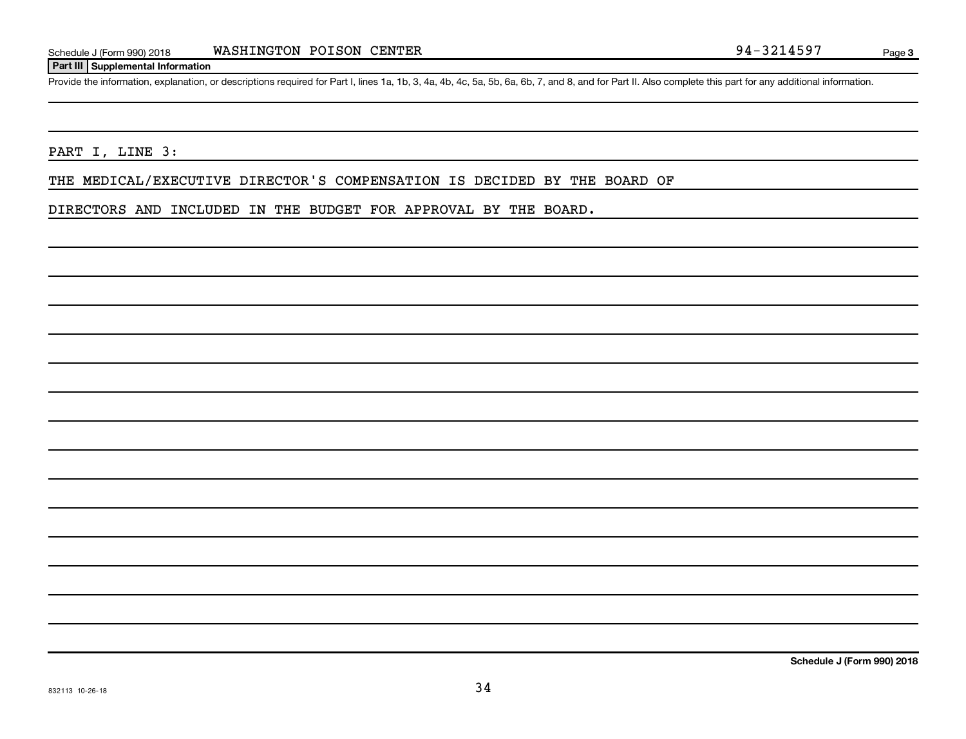#### **Part III Supplemental Information**

Provide the information, explanation, or descriptions required for Part I, lines 1a, 1b, 3, 4a, 4b, 4c, 5a, 5b, 6a, 6b, 7, and 8, and for Part II. Also complete this part for any additional information.

#### PART I, LINE 3:

THE MEDICAL/EXECUTIVE DIRECTOR'S COMPENSATION IS DECIDED BY THE BOARD OF

DIRECTORS AND INCLUDED IN THE BUDGET FOR APPROVAL BY THE BOARD.

**Schedule J (Form 990) 2018**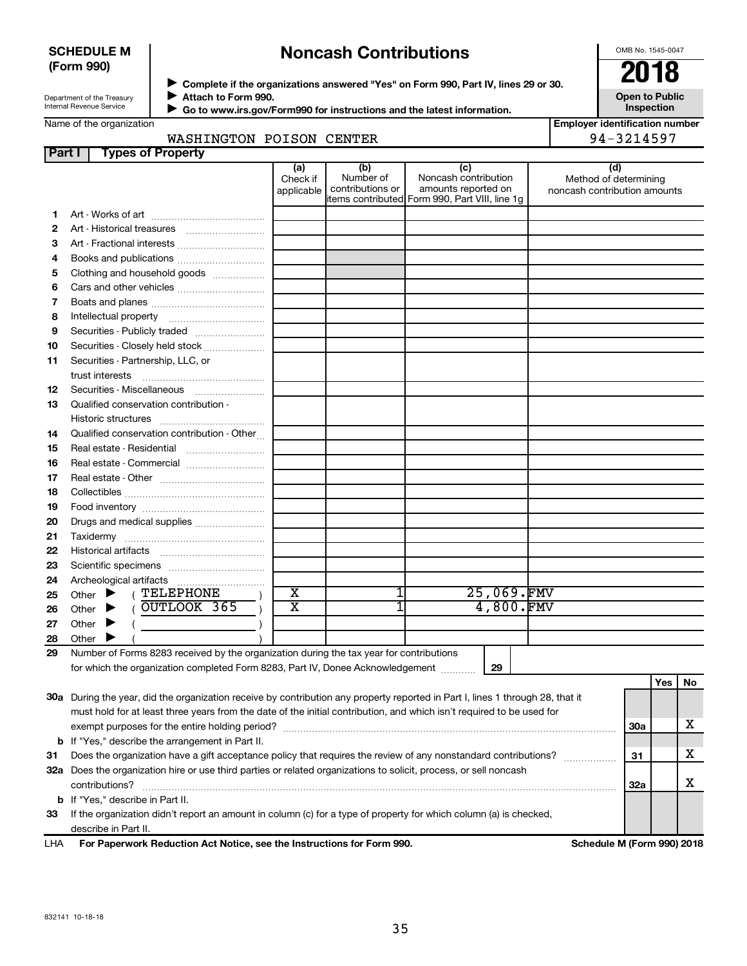#### **SCHEDULE M (Form 990)**

## **Noncash Contributions**

OMB No. 1545-0047

**Open to Public**

| Department of the Treasury |  |  |  |  |  |  |
|----------------------------|--|--|--|--|--|--|
|                            |  |  |  |  |  |  |
| Internal Revenue Service   |  |  |  |  |  |  |
|                            |  |  |  |  |  |  |

◆ Complete if the organizations answered "Yes" on Form 990, Part IV, lines 29 or 30.<br>▶ Complete if the organizations answered "Yes" on Form 990, Part IV, lines 29 or 30. **Attach to Form 990.**  $\blacktriangleright$ 

 **Go to www.irs.gov/Form990 for instructions and the latest information.** J

**Inspection Employer identification number** 94-3214597

| Name of the organization |  |
|--------------------------|--|
|--------------------------|--|

| WASHINGTON POISON CENTER |  |
|--------------------------|--|
|                          |  |

| Part I                            | <b>Types of Property</b>                                                                                                       |                               |                                      |                                                                                                      |                                                              |            |     |    |
|-----------------------------------|--------------------------------------------------------------------------------------------------------------------------------|-------------------------------|--------------------------------------|------------------------------------------------------------------------------------------------------|--------------------------------------------------------------|------------|-----|----|
|                                   |                                                                                                                                | (a)<br>Check if<br>applicable | (b)<br>Number of<br>contributions or | (c)<br>Noncash contribution<br>amounts reported on<br>items contributed Form 990, Part VIII, line 1g | (d)<br>Method of determining<br>noncash contribution amounts |            |     |    |
| 1                                 |                                                                                                                                |                               |                                      |                                                                                                      |                                                              |            |     |    |
| 2                                 |                                                                                                                                |                               |                                      |                                                                                                      |                                                              |            |     |    |
| з                                 | Art - Fractional interests                                                                                                     |                               |                                      |                                                                                                      |                                                              |            |     |    |
| 4                                 |                                                                                                                                |                               |                                      |                                                                                                      |                                                              |            |     |    |
| Clothing and household goods<br>5 |                                                                                                                                |                               |                                      |                                                                                                      |                                                              |            |     |    |
| 6                                 | Cars and other vehicles                                                                                                        |                               |                                      |                                                                                                      |                                                              |            |     |    |
| 7                                 |                                                                                                                                |                               |                                      |                                                                                                      |                                                              |            |     |    |
| 8                                 |                                                                                                                                |                               |                                      |                                                                                                      |                                                              |            |     |    |
| 9                                 | Securities - Publicly traded                                                                                                   |                               |                                      |                                                                                                      |                                                              |            |     |    |
| 10                                | Securities - Closely held stock                                                                                                |                               |                                      |                                                                                                      |                                                              |            |     |    |
| 11                                | Securities - Partnership, LLC, or                                                                                              |                               |                                      |                                                                                                      |                                                              |            |     |    |
|                                   | trust interests                                                                                                                |                               |                                      |                                                                                                      |                                                              |            |     |    |
| 12                                |                                                                                                                                |                               |                                      |                                                                                                      |                                                              |            |     |    |
| 13                                | Qualified conservation contribution -                                                                                          |                               |                                      |                                                                                                      |                                                              |            |     |    |
|                                   |                                                                                                                                |                               |                                      |                                                                                                      |                                                              |            |     |    |
| 14                                | Qualified conservation contribution - Other                                                                                    |                               |                                      |                                                                                                      |                                                              |            |     |    |
| 15                                | Real estate - Residential                                                                                                      |                               |                                      |                                                                                                      |                                                              |            |     |    |
| 16                                | Real estate - Commercial                                                                                                       |                               |                                      |                                                                                                      |                                                              |            |     |    |
| 17                                |                                                                                                                                |                               |                                      |                                                                                                      |                                                              |            |     |    |
| 18                                |                                                                                                                                |                               |                                      |                                                                                                      |                                                              |            |     |    |
| 19                                |                                                                                                                                |                               |                                      |                                                                                                      |                                                              |            |     |    |
| 20                                | Drugs and medical supplies                                                                                                     |                               |                                      |                                                                                                      |                                                              |            |     |    |
| 21                                |                                                                                                                                |                               |                                      |                                                                                                      |                                                              |            |     |    |
| 22                                |                                                                                                                                |                               |                                      |                                                                                                      |                                                              |            |     |    |
| 23                                |                                                                                                                                |                               |                                      |                                                                                                      |                                                              |            |     |    |
| 24                                |                                                                                                                                |                               |                                      |                                                                                                      |                                                              |            |     |    |
| 25                                | (TELEPHONE<br>Other $\blacktriangleright$                                                                                      | $\overline{\textbf{x}}$       | 1                                    |                                                                                                      | 25,069.FMV                                                   |            |     |    |
| 26                                | (OUTLOOK 365<br>Other $\blacktriangleright$                                                                                    | х                             | 1                                    | 4,800.FMV                                                                                            |                                                              |            |     |    |
| 27                                | Other $\blacktriangleright$                                                                                                    |                               |                                      |                                                                                                      |                                                              |            |     |    |
| 28                                | Other $\blacktriangleright$                                                                                                    |                               |                                      |                                                                                                      |                                                              |            |     |    |
| 29                                | Number of Forms 8283 received by the organization during the tax year for contributions                                        |                               |                                      |                                                                                                      |                                                              |            |     |    |
|                                   | for which the organization completed Form 8283, Part IV, Donee Acknowledgement                                                 |                               |                                      | 29                                                                                                   |                                                              |            |     |    |
|                                   |                                                                                                                                |                               |                                      |                                                                                                      |                                                              |            | Yes | No |
|                                   | 30a During the year, did the organization receive by contribution any property reported in Part I, lines 1 through 28, that it |                               |                                      |                                                                                                      |                                                              |            |     |    |
|                                   | must hold for at least three years from the date of the initial contribution, and which isn't required to be used for          |                               |                                      |                                                                                                      |                                                              |            |     |    |
|                                   |                                                                                                                                |                               |                                      |                                                                                                      |                                                              | <b>30a</b> |     | x  |
|                                   | <b>b</b> If "Yes," describe the arrangement in Part II.                                                                        |                               |                                      |                                                                                                      |                                                              |            |     |    |
| 31                                | Does the organization have a gift acceptance policy that requires the review of any nonstandard contributions?                 |                               |                                      |                                                                                                      |                                                              |            |     | х  |
|                                   | 32a Does the organization hire or use third parties or related organizations to solicit, process, or sell noncash              |                               |                                      |                                                                                                      |                                                              |            |     |    |
|                                   | contributions?                                                                                                                 |                               |                                      |                                                                                                      |                                                              | 32a        |     | х  |
|                                   | <b>b</b> If "Yes," describe in Part II.                                                                                        |                               |                                      |                                                                                                      |                                                              |            |     |    |
| 33                                | If the organization didn't report an amount in column (c) for a type of property for which column (a) is checked,              |                               |                                      |                                                                                                      |                                                              |            |     |    |
|                                   | describe in Part II.                                                                                                           |                               |                                      |                                                                                                      |                                                              |            |     |    |

|  | LHA | For Paperwork Reduction Act Notice, see the Instructions for Form 990. |
|--|-----|------------------------------------------------------------------------|
|--|-----|------------------------------------------------------------------------|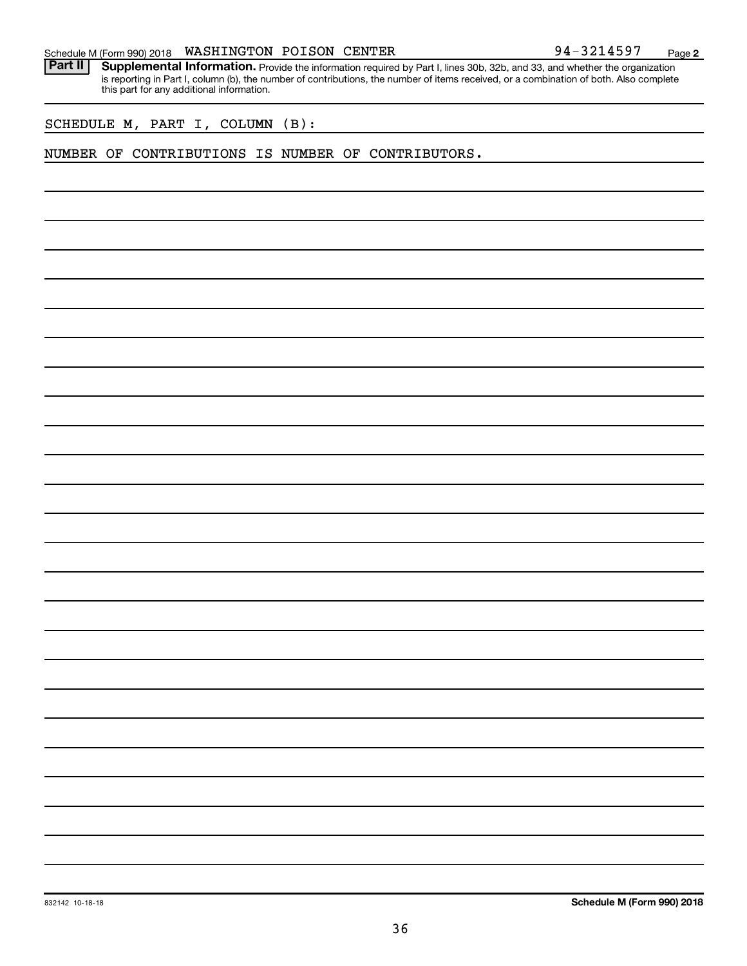|  |  |  |  |  |  | 94-3214597 | Page |  |
|--|--|--|--|--|--|------------|------|--|
|--|--|--|--|--|--|------------|------|--|

Provide the information required by Part I, lines 30b, 32b, and 33, and whether the organization is reporting in Part I, column (b), the number of contributions, the number of items received, or a combination of both. Also complete this part for any additional information. **Part II Supplemental Information.** 

SCHEDULE M, PART I, COLUMN (B):

#### NUMBER OF CONTRIBUTIONS IS NUMBER OF CONTRIBUTORS.